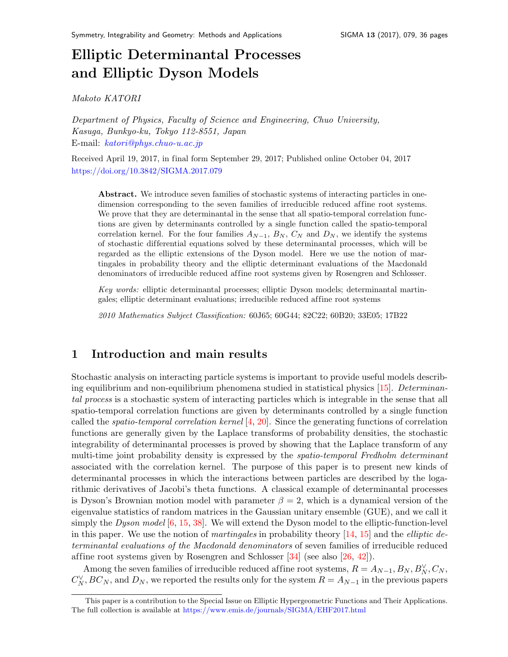# Elliptic Determinantal Processes and Elliptic Dyson Model[s](#page-0-0)

Makoto KATORI

Department of Physics, Faculty of Science and Engineering, Chuo University, Kasuga, Bunkyo-ku, Tokyo 112-8551, Japan E-mail: [katori@phys.chuo-u.ac.jp](mailto:katori@phys.chuo-u.ac.jp)

Received April 19, 2017, in final form September 29, 2017; Published online October 04, 2017 <https://doi.org/10.3842/SIGMA.2017.079>

Abstract. We introduce seven families of stochastic systems of interacting particles in onedimension corresponding to the seven families of irreducible reduced affine root systems. We prove that they are determinantal in the sense that all spatio-temporal correlation functions are given by determinants controlled by a single function called the spatio-temporal correlation kernel. For the four families  $A_{N-1}$ ,  $B_N$ ,  $C_N$  and  $D_N$ , we identify the systems of stochastic dif ferential equations solved by these determinantal processes, which will be regarded as the elliptic extensions of the Dyson model. Here we use the notion of martingales in probability theory and the elliptic determinant evaluations of the Macdonald denominators of irreducible reduced affine root systems given by Rosengren and Schlosser.

Key words: elliptic determinantal processes; elliptic Dyson models; determinantal martingales; elliptic determinant evaluations; irreducible reduced affine root systems

2010 Mathematics Subject Classification: 60J65; 60G44; 82C22; 60B20; 33E05; 17B22

## <span id="page-0-1"></span>1 Introduction and main results

Stochastic analysis on interacting particle systems is important to provide useful models describing equilibrium and non-equilibrium phenomena studied in statistical physics  $[15]$ . Determinantal process is a stochastic system of interacting particles which is integrable in the sense that all spatio-temporal correlation functions are given by determinants controlled by a single function called the *spatio-temporal correlation kernel* [\[4,](#page-33-0) [20\]](#page-34-1). Since the generating functions of correlation functions are generally given by the Laplace transforms of probability densities, the stochastic integrability of determinantal processes is proved by showing that the Laplace transform of any multi-time joint probability density is expressed by the *spatio-temporal Fredholm determinant* associated with the correlation kernel. The purpose of this paper is to present new kinds of determinantal processes in which the interactions between particles are described by the logarithmic derivatives of Jacobi's theta functions. A classical example of determinantal processes is Dyson's Brownian motion model with parameter  $\beta = 2$ , which is a dynamical version of the eigenvalue statistics of random matrices in the Gaussian unitary ensemble (GUE), and we call it simply the Dyson model  $[6, 15, 38]$  $[6, 15, 38]$  $[6, 15, 38]$  $[6, 15, 38]$  $[6, 15, 38]$ . We will extend the Dyson model to the elliptic-function-level in this paper. We use the notion of *martingales* in probability theory  $[14, 15]$  $[14, 15]$  $[14, 15]$  and the *elliptic de*terminantal evaluations of the Macdonald denominators of seven families of irreducible reduced affine root systems given by Rosengren and Schlosser  $[34]$  (see also  $[26, 42]$  $[26, 42]$  $[26, 42]$ ).

Among the seven families of irreducible reduced affine root systems,  $R = A_{N-1}, B_N, B_N^{\vee}, C_N$ ,  $C_N^{\vee}$ ,  $BC_N$ , and  $D_N$ , we reported the results only for the system  $R = A_{N-1}$  in the previous papers

<span id="page-0-0"></span>This paper is a contribution to the Special Issue on Elliptic Hypergeometric Functions and Their Applications. The full collection is available at <https://www.emis.de/journals/SIGMA/EHF2017.html>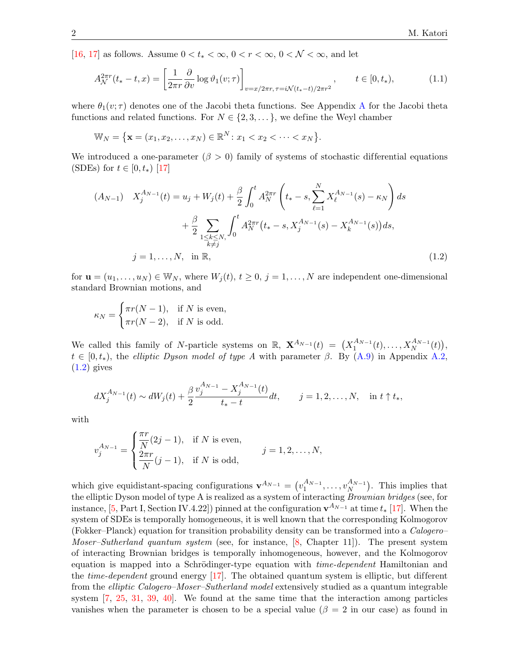[\[16,](#page-34-5) [17\]](#page-34-6) as follows. Assume  $0 < t_* < \infty$ ,  $0 < r < \infty$ ,  $0 < \mathcal{N} < \infty$ , and let

<span id="page-1-1"></span>
$$
A_{\mathcal{N}}^{2\pi r}(t_{*}-t,x)=\left[\frac{1}{2\pi r}\frac{\partial}{\partial v}\log\vartheta_{1}(v;\tau)\right]_{v=x/2\pi r,\,\tau=i\mathcal{N}(t_{*}-t)/2\pi r^{2}},\qquad t\in[0,t_{*}),\tag{1.1}
$$

where  $\theta_1(v;\tau)$  denotes one of the Jacobi theta functions. See [A](#page-30-0)ppendix A for the Jacobi theta functions and related functions. For  $N \in \{2, 3, \dots\}$ , we define the Weyl chamber

$$
\mathbb{W}_N = \{ \mathbf{x} = (x_1, x_2, \dots, x_N) \in \mathbb{R}^N : x_1 < x_2 < \dots < x_N \}.
$$

We introduced a one-parameter ( $\beta > 0$ ) family of systems of stochastic differential equations (SDEs) for  $t \in [0, t_*)$  [\[17\]](#page-34-6)

$$
(A_{N-1}) \t X_j^{A_{N-1}}(t) = u_j + W_j(t) + \frac{\beta}{2} \int_0^t A_N^{2\pi r} \left( t_* - s, \sum_{\ell=1}^N X_\ell^{A_{N-1}}(s) - \kappa_N \right) ds
$$
  
+  $\frac{\beta}{2} \sum_{\substack{1 \le k \le N, \\ k \ne j}} \int_0^t A_N^{2\pi r} (t_* - s, X_j^{A_{N-1}}(s) - X_k^{A_{N-1}}(s)) ds,$   
 $j = 1, ..., N, \text{ in } \mathbb{R},$  (1.2)

for  $\mathbf{u} = (u_1, \dots, u_N) \in \mathbb{W}_N$ , where  $W_j(t)$ ,  $t \geq 0$ ,  $j = 1, \dots, N$  are independent one-dimensional standard Brownian motions, and

<span id="page-1-0"></span>
$$
\kappa_N = \begin{cases} \pi r(N-1), & \text{if } N \text{ is even,} \\ \pi r(N-2), & \text{if } N \text{ is odd.} \end{cases}
$$

We called this family of N-particle systems on  $\mathbb{R}$ ,  $\mathbf{X}^{A_{N-1}}(t) = (X_1^{A_{N-1}})$  $X_1^{A_{N-1}}(t),...,X_N^{A_{N-1}}(t)\big),$  $t \in [0, t_*)$ , the elliptic Dyson model of type A with parameter  $\beta$ . By [\(A.9\)](#page-32-0) in Appendix [A.2,](#page-31-0)  $(1.2)$  gives

$$
dX_j^{A_{N-1}}(t) \sim dW_j(t) + \frac{\beta}{2} \frac{v_j^{A_{N-1}} - X_j^{A_{N-1}}(t)}{t_* - t} dt, \qquad j = 1, 2, \dots, N, \quad \text{in } t \uparrow t_*,
$$

with

$$
v_j^{A_{N-1}} = \begin{cases} \frac{\pi r}{N} (2j-1), & \text{if } N \text{ is even,} \\ \frac{2\pi r}{N} (j-1), & \text{if } N \text{ is odd,} \end{cases} \qquad j = 1, 2, \dots, N,
$$

which give equidistant-spacing configurations  $\mathbf{v}^{A_{N-1}} = (v_1^{A_{N-1}})$  $\frac{A_{N-1}}{1},\ldots,v_N^{A_{N-1}}$  $\binom{A_{N-1}}{N}$ . This implies that the elliptic Dyson model of type A is realized as a system of interacting Brownian bridges (see, for instance, [\[5,](#page-33-2) Part I, Section IV.4.22]) pinned at the configuration  $\mathbf{v}^{A_{N-1}}$  at time  $t_*$  [\[17\]](#page-34-6). When the system of SDEs is temporally homogeneous, it is well known that the corresponding Kolmogorov (Fokker–Planck) equation for transition probability density can be transformed into a Calogero– *Moser–Sutherland quantum system* (see, for instance,  $[8, Chapter 11]$  $[8, Chapter 11]$ ). The present system of interacting Brownian bridges is temporally inhomogeneous, however, and the Kolmogorov equation is mapped into a Schrödinger-type equation with *time-dependent* Hamiltonian and the *time-dependent* ground energy  $[17]$ . The obtained quantum system is elliptic, but different from the *elliptic Calogero–Moser–Sutherland model* extensively studied as a quantum integrable system [\[7,](#page-33-4) [25,](#page-34-7) [31,](#page-34-8) [39,](#page-35-2) [40\]](#page-35-3). We found at the same time that the interaction among particles vanishes when the parameter is chosen to be a special value ( $\beta = 2$  in our case) as found in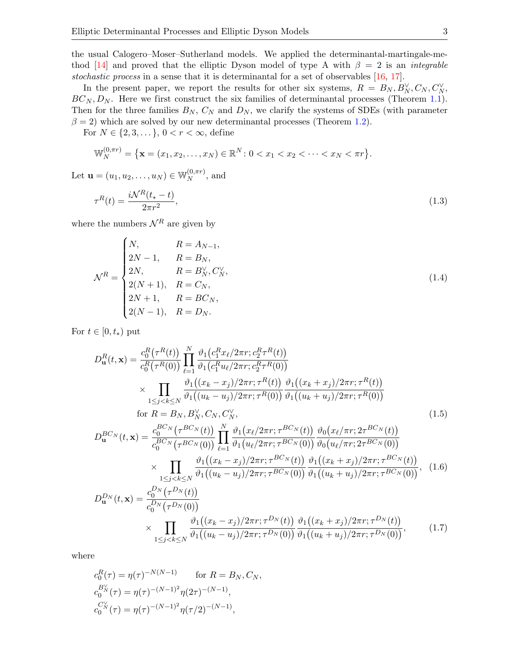the usual Calogero–Moser–Sutherland models. We applied the determinantal-martingale-me-thod [\[14\]](#page-34-2) and proved that the elliptic Dyson model of type A with  $\beta = 2$  is an *integrable* stochastic process in a sense that it is determinantal for a set of observables [\[16,](#page-34-5) [17\]](#page-34-6).

In the present paper, we report the results for other six systems,  $R = B_N, B_N^{\vee}, C_N, C_N^{\vee},$  $BC_N, D_N$ . Here we first construct the six families of determinantal processes (Theorem [1.1\)](#page-4-0). Then for the three families  $B_N$ ,  $C_N$  and  $D_N$ , we clarify the systems of SDEs (with parameter  $\beta = 2$ ) which are solved by our new determinantal processes (Theorem [1.2\)](#page-4-1).

For  $N \in \{2, 3, \dots\}$ ,  $0 < r < \infty$ , define

$$
\mathbb{W}_{N}^{(0,\pi r)} = \{ \mathbf{x} = (x_1, x_2, \dots, x_N) \in \mathbb{R}^{N} : 0 < x_1 < x_2 < \dots < x_N < \pi r \}.
$$

Let  $\mathbf{u} = (u_1, u_2, \dots, u_N) \in \mathbb{W}_N^{(0, \pi r)}$  $_N^{(0,\pi r)}$ , and

<span id="page-2-2"></span>
$$
\tau^{R}(t) = \frac{i\mathcal{N}^{R}(t_{*}-t)}{2\pi r^{2}},
$$
\n(1.3)

where the numbers  $\mathcal{N}^R$  are given by

<span id="page-2-3"></span>
$$
\mathcal{N}^{R} = \begin{cases} N, & R = A_{N-1}, \\ 2N-1, & R = B_N, \\ 2N, & R = B_N^{\vee}, C_N^{\vee}, \\ 2(N+1), & R = C_N, \\ 2N+1, & R = BC_N, \\ 2(N-1), & R = D_N. \end{cases} \tag{1.4}
$$

For  $t \in [0, t_*)$  put

<span id="page-2-0"></span>
$$
D_{\mathbf{u}}^{R}(t,\mathbf{x}) = \frac{c_{0}^{R}(\tau^{R}(t))}{c_{0}^{R}(\tau^{R}(0))} \prod_{\ell=1}^{N} \frac{\vartheta_{1}(c_{1}^{R}x_{\ell}/2\pi r; c_{2}^{R} \tau^{R}(t))}{\vartheta_{1}(c_{1}^{R}u_{\ell}/2\pi r; c_{2}^{R} \tau^{R}(0))} \times \prod_{1 \leq j < k \leq N} \frac{\vartheta_{1}((x_{k} - x_{j})/2\pi r; \tau^{R}(t))}{\vartheta_{1}((u_{k} - u_{j})/2\pi r; \tau^{R}(0))} \frac{\vartheta_{1}((x_{k} + x_{j})/2\pi r; \tau^{R}(t))}{\vartheta_{1}((u_{k} + u_{j})/2\pi r; \tau^{R}(0))} \times \text{for } R = B_{N}, B_{N}^{\vee}, C_{N}, C_{N}^{\vee},
$$
\n
$$
D_{\mathbf{u}}^{BC_{N}}(t,\mathbf{x}) = \frac{c_{0}^{BC_{N}}(\tau^{BC_{N}}(t))}{c_{0}^{BC_{N}}(\tau^{BC_{N}}(0))} \prod_{\ell=1}^{N} \frac{\vartheta_{1}(x_{\ell}/2\pi r; \tau^{BC_{N}}(t))}{\vartheta_{1}(u_{\ell}/2\pi r; \tau^{BC_{N}}(0))} \frac{\vartheta_{0}(x_{\ell}/\pi r; 2\tau^{BC_{N}}(t))}{\vartheta_{0}(u_{\ell}/\pi r; 2\tau^{BC_{N}}(0))} \times \prod_{1 \leq j < k \leq N} \frac{\vartheta_{1}((x_{k} - x_{j})/2\pi r; \tau^{BC_{N}}(t))}{\vartheta_{1}((u_{k} - u_{j})/2\pi r; \tau^{BC_{N}}(0))} \frac{\vartheta_{1}((x_{k} + x_{j})/2\pi r; \tau^{BC_{N}}(t))}{\vartheta_{1}((u_{k} + u_{j})/2\pi r; \tau^{BC_{N}}(0))}, \quad (1.6)
$$
\n
$$
D_{\mathbf{u}}^{D_{N}}(t,\mathbf{x}) = \frac{c_{0}^{D_{N}}(\tau^{D_{N}}(t))}{c_{0}^{D_{N}}(\tau^{D_{N}}(0))} \times \prod_{1 \
$$

where

<span id="page-2-1"></span>
$$
c_0^R(\tau) = \eta(\tau)^{-N(N-1)} \quad \text{for } R = B_N, C_N,
$$
  
\n
$$
c_0^{B_N^\vee}(\tau) = \eta(\tau)^{-(N-1)^2} \eta(2\tau)^{-(N-1)},
$$
  
\n
$$
c_0^{C_N^\vee}(\tau) = \eta(\tau)^{-(N-1)^2} \eta(\tau/2)^{-(N-1)},
$$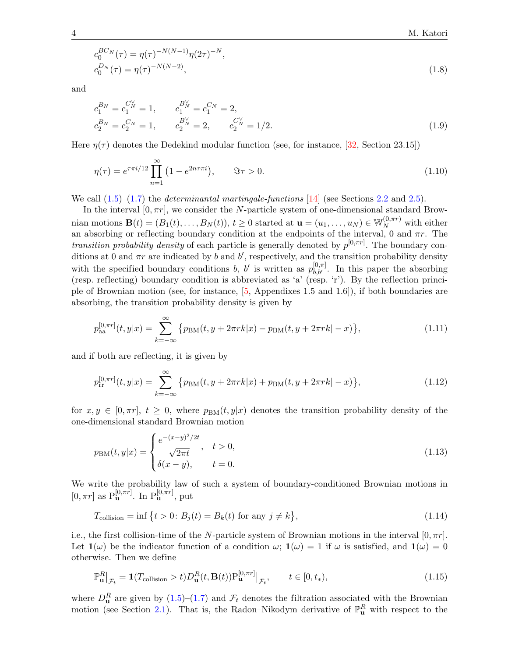<span id="page-3-3"></span>
$$
c_0^{BC_N}(\tau) = \eta(\tau)^{-N(N-1)} \eta(2\tau)^{-N},
$$
  
\n
$$
c_0^{D_N}(\tau) = \eta(\tau)^{-N(N-2)},
$$
\n(1.8)

and

<span id="page-3-1"></span>
$$
c_1^{B_N} = c_1^{C_N^{\vee}} = 1, \qquad c_1^{B_N^{\vee}} = c_1^{C_N} = 2, c_2^{B_N} = c_2^{C_N} = 1, \qquad c_2^{B_N^{\vee}} = 2, \qquad c_2^{C_N^{\vee}} = 1/2.
$$
 (1.9)

Here  $\eta(\tau)$  denotes the Dedekind modular function (see, for instance, [\[32,](#page-34-9) Section 23.15])

<span id="page-3-4"></span>
$$
\eta(\tau) = e^{\tau \pi i/12} \prod_{n=1}^{\infty} (1 - e^{2n\tau \pi i}), \qquad \Im \tau > 0.
$$
\n(1.10)

We call  $(1.5)$ – $(1.7)$  the *determinantal martingale-functions* [\[14\]](#page-34-2) (see Sections [2.2](#page-9-0) and [2.5\)](#page-15-0).

In the interval  $[0, \pi r]$ , we consider the N-particle system of one-dimensional standard Brownian motions  $\mathbf{B}(t) = (B_1(t), \ldots, B_N(t)), t \ge 0$  started at  $\mathbf{u} = (u_1, \ldots, u_N) \in \mathbb{W}_N^{(0, \pi r)}$  with either an absorbing or reflecting boundary condition at the endpoints of the interval, 0 and  $\pi r$ . The *transition probability density* of each particle is generally denoted by  $p^{[0,\pi r]}$ . The boundary conditions at 0 and  $\pi r$  are indicated by b and b', respectively, and the transition probability density with the specified boundary conditions b, b' is written as  $p_{b,b'}^{[0,\pi]}$ . In this paper the absorbing (resp. reflecting) boundary condition is abbreviated as 'a' (resp. 'r'). By the reflection principle of Brownian motion (see, for instance, [\[5,](#page-33-2) Appendixes 1.5 and 1.6]), if both boundaries are absorbing, the transition probability density is given by

<span id="page-3-5"></span>
$$
p_{aa}^{[0,\pi r]}(t,y|x) = \sum_{k=-\infty}^{\infty} \left\{ p_{BM}(t,y+2\pi rk|x) - p_{BM}(t,y+2\pi rk|-x) \right\},\tag{1.11}
$$

and if both are reflecting, it is given by

<span id="page-3-6"></span>
$$
p_{rr}^{[0,\pi r]}(t,y|x) = \sum_{k=-\infty}^{\infty} \{p_{\text{BM}}(t,y+2\pi rk|x) + p_{\text{BM}}(t,y+2\pi rk|-x)\},\tag{1.12}
$$

for  $x, y \in [0, \pi r], t \geq 0$ , where  $p_{BM}(t, y|x)$  denotes the transition probability density of the one-dimensional standard Brownian motion

<span id="page-3-2"></span>
$$
p_{BM}(t, y|x) = \begin{cases} \frac{e^{-(x-y)^2/2t}}{\sqrt{2\pi t}}, & t > 0, \\ \delta(x-y), & t = 0. \end{cases}
$$
(1.13)

We write the probability law of such a system of boundary-conditioned Brownian motions in  $[0, \pi r]$  as  $P_{\mathbf{u}}^{[0,\pi r]}$ . In  $P_{\mathbf{u}}^{[0,\pi r]}$ , put

$$
T_{\text{collision}} = \inf \left\{ t > 0 : B_j(t) = B_k(t) \text{ for any } j \neq k \right\},\tag{1.14}
$$

i.e., the first collision-time of the N-particle system of Brownian motions in the interval  $[0, \pi r]$ . Let  $\mathbf{1}(\omega)$  be the indicator function of a condition  $\omega$ ;  $\mathbf{1}(\omega) = 1$  if  $\omega$  is satisfied, and  $\mathbf{1}(\omega) = 0$ otherwise. Then we define

<span id="page-3-0"></span>
$$
\mathbb{P}_{\mathbf{u}}^R\big|_{\mathcal{F}_t} = \mathbf{1}(T_{\text{collision}} > t)D_{\mathbf{u}}^R(t, \mathbf{B}(t))\mathbb{P}_{\mathbf{u}}^{[0,\pi r]}\big|_{\mathcal{F}_t}, \qquad t \in [0, t_*),
$$
\n(1.15)

where  $D_{\mathbf{u}}^R$  are given by  $(1.5)-(1.7)$  $(1.5)-(1.7)$  $(1.5)-(1.7)$  and  $\mathcal{F}_t$  denotes the filtration associated with the Brownian motion (see Section [2.1\)](#page-8-0). That is, the Radon–Nikodym derivative of  $\mathbb{P}^R_{\mathbf{u}}$  with respect to the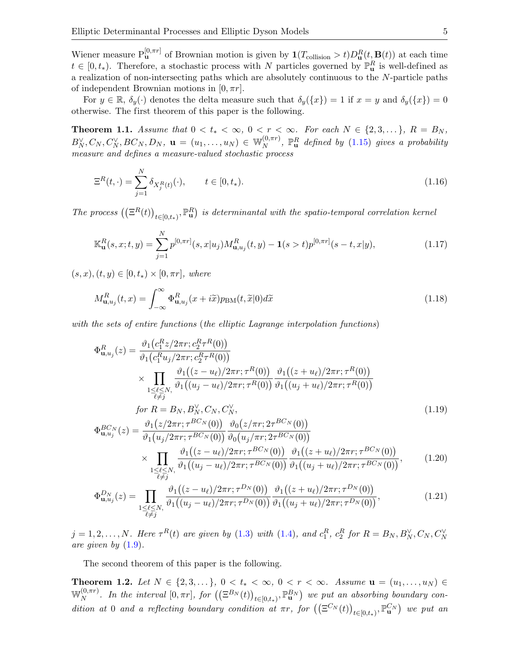Wiener measure  $P_{\bf{u}}^{[0,\pi r]}$  of Brownian motion is given by  $\mathbf{1}(T_{\text{collision}} > t)D_{\bf{u}}^{R}(t,\mathbf{B}(t))$  at each time  $t \in [0, t_*)$ . Therefore, a stochastic process with N particles governed by  $\mathbb{P}^R_{\mathbf{u}}$  is well-defined as a realization of non-intersecting paths which are absolutely continuous to the N-particle paths of independent Brownian motions in  $[0, \pi r]$ .

For  $y \in \mathbb{R}$ ,  $\delta_y(\cdot)$  denotes the delta measure such that  $\delta_y(\lbrace x \rbrace) = 1$  if  $x = y$  and  $\delta_y(\lbrace x \rbrace) = 0$ otherwise. The first theorem of this paper is the following.

<span id="page-4-0"></span>**Theorem 1.1.** Assume that  $0 < t_* < \infty$ ,  $0 < r < \infty$ . For each  $N \in \{2, 3, \dots\}$ ,  $R = B_N$ ,  $B_N^{\vee}, C_N, C_N^{\vee}, BC_N, D_N, \mathbf{u} = (u_1, \dots, u_N) \in \mathbb{W}_N^{(0, \pi r)}$  $_{N}^{\left( 0,\pi r\right) },\;\mathbb{P}_{\mathbf{u}}^{R}\; defined\; by\;\left( 1.15\right) \; gives\; a\,\; probability$ measure and defines a measure-valued stochastic process

<span id="page-4-6"></span>
$$
\Xi^{R}(t,\cdot) = \sum_{j=1}^{N} \delta_{X_{j}^{R}(t)}(\cdot), \qquad t \in [0, t_{*}).
$$
\n(1.16)

The process  $((\Xi^R(t))_{t\in[0,t_*)}, \mathbb{P}^R_{\mathbf{u}})$  is determinantal with the spatio-temporal correlation kernel

<span id="page-4-2"></span>
$$
\mathbb{K}_{\mathbf{u}}^{R}(s,x;t,y) = \sum_{j=1}^{N} p^{[0,\pi r]}(s,x|u_j) M_{\mathbf{u},u_j}^{R}(t,y) - \mathbf{1}(s>t) p^{[0,\pi r]}(s-t,x|y), \qquad (1.17)
$$

 $(s, x), (t, y) \in [0, t_*) \times [0, \pi r],$  where

<span id="page-4-5"></span>
$$
M_{\mathbf{u},u_j}^R(t,x) = \int_{-\infty}^{\infty} \Phi_{\mathbf{u},u_j}^R(x+i\tilde{x}) p_{\text{BM}}(t,\tilde{x}|0) d\tilde{x}
$$
\n(1.18)

with the sets of entire functions (the elliptic Lagrange interpolation functions)

<span id="page-4-3"></span>
$$
\Phi_{\mathbf{u},u_{j}}^{R}(z) = \frac{\vartheta_{1}(c_{1}^{R}z/2\pi r; c_{2}^{R} \tau^{R}(0))}{\vartheta_{1}(c_{1}^{R}u_{j}/2\pi r; c_{2}^{R} \tau^{R}(0))} \times \prod_{\substack{1 \leq \ell \leq N, \\ \ell \neq j}} \frac{\vartheta_{1}((z - u_{\ell})/2\pi r; \tau^{R}(0))}{\vartheta_{1}((u_{j} - u_{\ell})/2\pi r; \tau^{R}(0))} \frac{\vartheta_{1}((z + u_{\ell})/2\pi r; \tau^{R}(0))}{\vartheta_{1}((u_{j} + u_{\ell})/2\pi r; \tau^{R}(0))}
$$
\n
$$
\text{for } R = B_{N}, B_{N}^{\vee}, C_{N}, C_{N}^{\vee},
$$
\n
$$
\Phi_{\mathbf{u},u_{j}}^{BC_{N}}(z) = \frac{\vartheta_{1}(z/2\pi r; \tau^{BC_{N}}(0))}{\vartheta_{1}(u_{j}/2\pi r; \tau^{BC_{N}}(0))} \frac{\vartheta_{0}(z/\pi r; 2\tau^{BC_{N}}(0))}{\vartheta_{0}(u_{j}/\pi r; 2\tau^{BC_{N}}(0))}
$$
\n
$$
\times \prod_{\substack{1 \leq \ell \leq N, \\ \ell \neq j}} \frac{\vartheta_{1}((z - u_{\ell})/2\pi r; \tau^{BC_{N}}(0))}{\vartheta_{1}((u_{j} - u_{\ell})/2\pi r; \tau^{BC_{N}}(0))} \frac{\vartheta_{1}((z + u_{\ell})/2\pi r; \tau^{BC_{N}}(0))}{\vartheta_{1}((u_{j} + u_{\ell})/2\pi r; \tau^{BC_{N}}(0))}, \qquad (1.20)
$$

<span id="page-4-4"></span>
$$
\Phi_{\mathbf{u},u_j}^{D_N}(z) = \prod_{\substack{1 \le \ell \le N, \\ \ell \ne j}} \frac{\vartheta_1((z - u_\ell)/2\pi r; \tau^{D_N}(0))}{\vartheta_1((u_j - u_\ell)/2\pi r; \tau^{D_N}(0))} \frac{\vartheta_1((z + u_\ell)/2\pi r; \tau^{D_N}(0))}{\vartheta_1((u_j + u_\ell)/2\pi r; \tau^{D_N}(0))},
$$
\n(1.21)

 $j = 1, 2, \ldots, N$ . Here  $\tau^{R}(t)$  are given by [\(1.3\)](#page-2-2) with [\(1.4\)](#page-2-3), and  $c_1^R$ ,  $c_2^R$  for  $R = B_N, B_N^{\vee}, C_N, C_N^{\vee}$ are given by  $(1.9)$ .

The second theorem of this paper is the following.

<span id="page-4-1"></span>Theorem 1.2. Let  $N \in \{2, 3, ...\}$ ,  $0 < t_* < \infty$ ,  $0 < r < \infty$ . Assume  $u = (u_1, ..., u_N) \in$  $\mathbb{W}^{(0,\pi r)}_{N}$  $N^{(0,\pi r)}$ . In the interval  $[0,\pi r]$ , for  $((\Xi^{B_N}(t))_{t\in[0,t_*)},\mathbb{P}^{B_N}_{\mathbf{u}})$  we put an absorbing boundary condition at 0 and a reflecting boundary condition at  $\pi r$ , for  $((\Xi^{C_N}(t))_{t \in [0,t_*)}, \mathbb{P}^{C_N}_u)$  we put an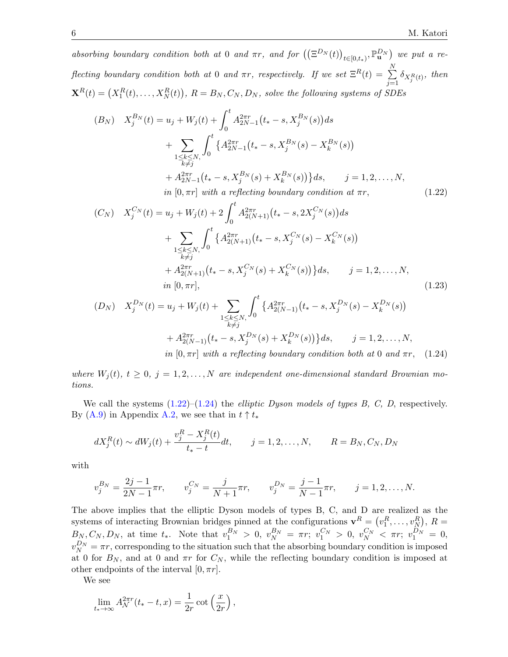absorbing boundary condition both at 0 and  $\pi r$ , and for  $((\Xi^{D_N}(t))_{t\in[0,t_*)}, \mathbb{P}^{D_N}_{\mathbf{u}})$  we put a reflecting boundary condition both at 0 and  $\pi r$ , respectively. If we set  $\Xi^R(t) = \sum^N$  $\sum_{j=1} \delta_{X_j^R(t)},$  then  $\mathbf{X}^{R}(t)=\left(X_{1}^{R}(t),\ldots,X_{N}^{R}(t)\right),\,R=B_{N},C_{N},D_{N},$  solve the following systems of SDEs

$$
(B_N) \t X_j^{B_N}(t) = u_j + W_j(t) + \int_0^t A_{2N-1}^{2\pi r} (t_* - s, X_j^{B_N}(s)) ds + \sum_{\substack{1 \le k \le N, \\ k \ne j}} \int_0^t \{ A_{2N-1}^{2\pi r} (t_* - s, X_j^{B_N}(s) - X_k^{B_N}(s)) + A_{2N-1}^{2\pi r} (t_* - s, X_j^{B_N}(s) + X_k^{B_N}(s)) \} ds, \t j = 1, 2, ..., N, in [0, \pi r] with a reflecting boundary condition at \pi r,
$$
 (1.22)

<span id="page-5-0"></span>
$$
(C_N) \t X_j^{C_N}(t) = u_j + W_j(t) + 2 \int_0^t A_{2(N+1)}^{2\pi r} (t_* - s, 2X_j^{C_N}(s)) ds + \sum_{\substack{1 \le k \le N, \\ k \ne j}} \int_0^t \{ A_{2(N+1)}^{2\pi r} (t_* - s, X_j^{C_N}(s) - X_k^{C_N}(s)) + A_{2(N+1)}^{2\pi r} (t_* - s, X_j^{C_N}(s) + X_k^{C_N}(s)) \} ds, \t j = 1, 2, ..., N, in [0, \pi r],
$$
\t(1.23)

<span id="page-5-2"></span><span id="page-5-1"></span>
$$
(D_N) \quad X_j^{D_N}(t) = u_j + W_j(t) + \sum_{\substack{1 \le k \le N, \\ k \ne j}} \int_0^t \left\{ A_{2(N-1)}^{2\pi r} \left( t_* - s, X_j^{D_N}(s) - X_k^{D_N}(s) \right) \right. \\ \left. + A_{2(N-1)}^{2\pi r} \left( t_* - s, X_j^{D_N}(s) + X_k^{D_N}(s) \right) \right\} ds, \qquad j = 1, 2, \dots, N,
$$
  
in [0, \pi r] with a reflecting boundary condition both at 0 and  $\pi r$ , (1.24)

where  $W_i(t)$ ,  $t \geq 0$ ,  $j = 1, 2, ..., N$  are independent one-dimensional standard Brownian motions.

We call the systems  $(1.22)$ – $(1.24)$  the *elliptic Dyson models of types B, C, D,* respectively. By [\(A.9\)](#page-32-0) in Appendix [A.2,](#page-31-0) we see that in  $t \uparrow t_*$ 

$$
dX_j^R(t) \sim dW_j(t) + \frac{v_j^R - X_j^R(t)}{t_* - t} dt, \qquad j = 1, 2, \dots, N, \qquad R = B_N, C_N, D_N
$$

with

$$
v_j^{B_N} = \frac{2j-1}{2N-1}\pi r, \qquad v_j^{C_N} = \frac{j}{N+1}\pi r, \qquad v_j^{D_N} = \frac{j-1}{N-1}\pi r, \qquad j = 1, 2, \dots, N.
$$

The above implies that the elliptic Dyson models of types B, C, and D are realized as the systems of interacting Brownian bridges pinned at the configurations  $\mathbf{v}^R = (v_1^R, \dots, v_N^R), R =$  $B_N, C_N, D_N$ , at time  $t_*$ . Note that  $v_1^{B_N} > 0$ ,  $v_N^{B_N} = \pi r$ ;  $v_1^{C_N} > 0$ ,  $v_N^{C_N} < \pi r$ ;  $v_1^{D_N} = 0$ ,  $v_N^{D_N} = \pi r$ , corresponding to the situation such that the absorbing boundary condition is imposed at 0 for  $B_N$ , and at 0 and  $\pi r$  for  $C_N$ , while the reflecting boundary condition is imposed at other endpoints of the interval  $[0, \pi r]$ .

We see

$$
\lim_{t_* \to \infty} A_{\mathcal{N}}^{2\pi r} (t_* - t, x) = \frac{1}{2r} \cot \left( \frac{x}{2r} \right),
$$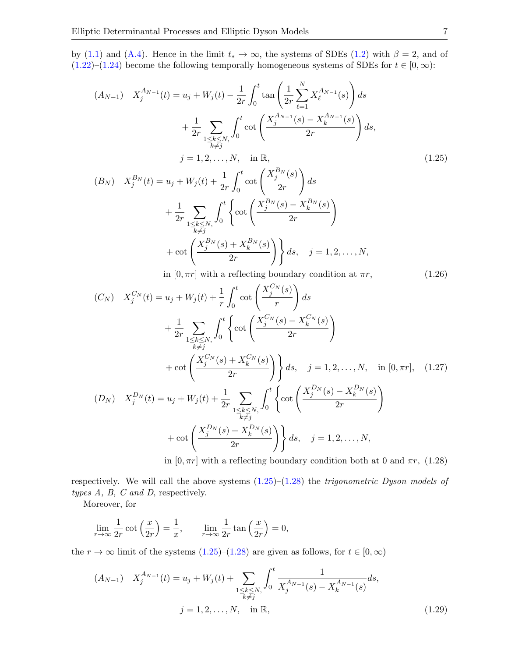by [\(1.1\)](#page-1-1) and [\(A.4\)](#page-31-1). Hence in the limit  $t_* \to \infty$ , the systems of SDEs [\(1.2\)](#page-1-0) with  $\beta = 2$ , and of  $(1.22)$ – $(1.24)$  become the following temporally homogeneous systems of SDEs for  $t \in [0, \infty)$ :

$$
(A_{N-1}) \t X_{j}^{A_{N-1}}(t) = u_{j} + W_{j}(t) - \frac{1}{2r} \int_{0}^{t} \tan\left(\frac{1}{2r} \sum_{\ell=1}^{N} X_{\ell}^{A_{N-1}}(s)\right) ds
$$
  
+  $\frac{1}{2r} \sum_{\substack{1 \le k \le N, \\ k \ne j}} \int_{0}^{t} \cot\left(\frac{X_{j}^{A_{N-1}}(s) - X_{k}^{A_{N-1}}(s)}{2r}\right) ds$ ,  
 $j = 1, 2, ..., N$ , in  $\mathbb{R}$ ,  

$$
(B_{N}) \t X_{j}^{B_{N}}(t) = u_{j} + W_{j}(t) + \frac{1}{2r} \int_{0}^{t} \cot\left(\frac{X_{j}^{B_{N}}(s)}{2r}\right) ds
$$
  
+  $\frac{1}{2r} \sum_{\substack{1 \le k \le N, \\ k \ne j}} \int_{0}^{t} \left\{ \cot\left(\frac{X_{j}^{B_{N}}(s) - X_{k}^{B_{N}}(s)}{2r}\right) + \cot\left(\frac{X_{j}^{B_{N}}(s) + X_{k}^{B_{N}}(s)}{2r}\right) \right\} ds$ ,  $j = 1, 2, ..., N$ ,  
in [0, -a] with a reflection boundary condition at  $\pi$ . (1.26)

<span id="page-6-4"></span><span id="page-6-3"></span><span id="page-6-0"></span>in 
$$
[0, \pi r]
$$
 with a reflecting boundary condition at  $\pi r$ ,  $(1.26)$ 

$$
(C_N) \t X_j^{C_N}(t) = u_j + W_j(t) + \frac{1}{r} \int_0^t \cot\left(\frac{X_j^{C_N}(s)}{r}\right) ds + \frac{1}{2r} \sum_{\substack{1 \le k \le N, \\ k \ne j}} \int_0^t \left\{ \cot\left(\frac{X_j^{C_N}(s) - X_k^{C_N}(s)}{2r}\right) \right. + \cot\left(\frac{X_j^{C_N}(s) + X_k^{C_N}(s)}{2r}\right) \right\} ds, \quad j = 1, 2, ..., N, \quad \text{in } [0, \pi r], \quad (1.27)
$$
  

$$
(D_N) \t X_j^{D_N}(t) = u_j + W_j(t) + \frac{1}{2r} \sum_{\substack{1 \le k \le N, \\ k \ne j}} \int_0^t \left\{ \cot\left(\frac{X_j^{D_N}(s) - X_k^{D_N}(s)}{2r}\right) \right. + \cot\left(\frac{X_j^{D_N}(s) + X_k^{D_N}(s)}{2r}\right) \right\} ds, \quad j = 1, 2, ..., N,
$$

<span id="page-6-2"></span><span id="page-6-1"></span>in  $[0, \pi r]$  with a reflecting boundary condition both at 0 and  $\pi r$ , (1.28)

respectively. We will call the above systems  $(1.25)-(1.28)$  $(1.25)-(1.28)$  $(1.25)-(1.28)$  the *trigonometric Dyson models of* types  $A$ ,  $B$ ,  $C$  and  $D$ , respectively.

Moreover, for

$$
\lim_{r \to \infty} \frac{1}{2r} \cot\left(\frac{x}{2r}\right) = \frac{1}{x}, \qquad \lim_{r \to \infty} \frac{1}{2r} \tan\left(\frac{x}{2r}\right) = 0,
$$

the  $r \to \infty$  limit of the systems [\(1.25\)](#page-6-0)–[\(1.28\)](#page-6-1) are given as follows, for  $t \in [0, \infty)$ 

$$
(A_{N-1}) \t X_j^{A_{N-1}}(t) = u_j + W_j(t) + \sum_{\substack{1 \le k \le N, \\ k \ne j}} \int_0^t \frac{1}{X_j^{A_{N-1}}(s) - X_k^{A_{N-1}}(s)} ds,
$$
  

$$
j = 1, 2, ..., N, \text{ in } \mathbb{R}, \qquad (1.29)
$$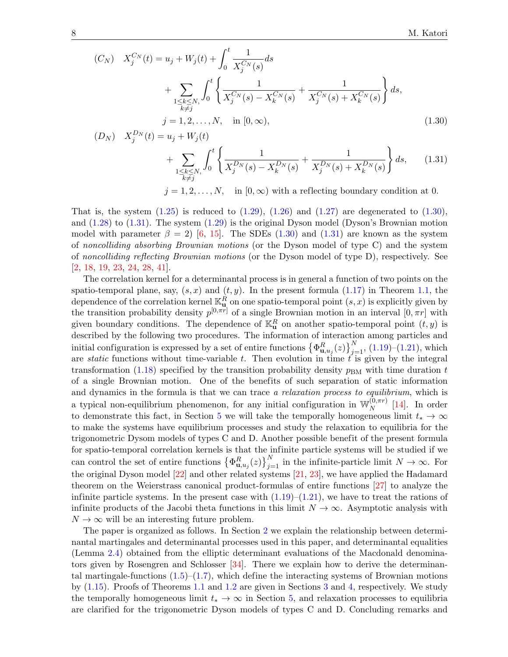$$
(C_N) \t X_j^{C_N}(t) = u_j + W_j(t) + \int_0^t \frac{1}{X_j^{C_N}(s)} ds + \sum_{\substack{1 \le k \le N, \\ k \ne j}} \int_0^t \left\{ \frac{1}{X_j^{C_N}(s) - X_k^{C_N}(s)} + \frac{1}{X_j^{C_N}(s) + X_k^{C_N}(s)} \right\} ds, j = 1, 2, ..., N, \text{ in } [0, \infty),
$$
\n(1.30)

<span id="page-7-1"></span><span id="page-7-0"></span>
$$
(D_N) \t X_j^{D_N}(t) = u_j + W_j(t) + \sum_{\substack{1 \le k \le N, \\ k \ne j}} \int_0^t \left\{ \frac{1}{X_j^{D_N}(s) - X_k^{D_N}(s)} + \frac{1}{X_j^{D_N}(s) + X_k^{D_N}(s)} \right\} ds, \qquad (1.31)
$$
  
 $j = 1, 2, ..., N, \text{ in } [0, \infty) \text{ with a reflecting boundary condition at 0.}$ 

That is, the system  $(1.25)$  is reduced to  $(1.29)$ ,  $(1.26)$  and  $(1.27)$  are degenerated to  $(1.30)$ , and [\(1.28\)](#page-6-1) to [\(1.31\)](#page-7-1). The system [\(1.29\)](#page-6-2) is the original Dyson model (Dyson's Brownian motion model with parameter  $\beta = 2$ ) [\[6,](#page-33-1) [15\]](#page-34-0). The SDEs [\(1.30\)](#page-7-0) and [\(1.31\)](#page-7-1) are known as the system of noncolliding absorbing Brownian motions (or the Dyson model of type C) and the system of noncolliding reflecting Brownian motions (or the Dyson model of type D), respectively. See [\[2,](#page-33-5) [18,](#page-34-10) [19,](#page-34-11) [23,](#page-34-12) [24,](#page-34-13) [28,](#page-34-14) [41\]](#page-35-4).

The correlation kernel for a determinantal process is in general a function of two points on the spatio-temporal plane, say,  $(s, x)$  and  $(t, y)$ . In the present formula [\(1.17\)](#page-4-2) in Theorem [1.1,](#page-4-0) the dependence of the correlation kernel  $\mathbb{K}_{\mathbf{u}}^R$  on one spatio-temporal point  $(s, x)$  is explicitly given by the transition probability density  $p^{[0,\pi r]}$  of a single Brownian motion in an interval  $[0,\pi r]$  with given boundary conditions. The dependence of  $\mathbb{K}_{\mathbf{u}}^R$  on another spatio-temporal point  $(t, y)$  is described by the following two procedures. The information of interaction among particles and initial configuration is expressed by a set of entire functions  $\{\Phi_{\mathbf{u},u_j}^R(z)\}_{j=1}^N$ , [\(1.19\)](#page-4-3)–[\(1.21\)](#page-4-4), which are *static* functions without time-variable t. Then evolution in time  $t$  is given by the integral transformation [\(1.18\)](#page-4-5) specified by the transition probability density  $p_{BM}$  with time duration t of a single Brownian motion. One of the benefits of such separation of static information and dynamics in the formula is that we can trace a relaxation process to equilibrium, which is a typical non-equilibrium phenomenon, for any initial configuration in  $\mathbb{W}_N^{(0,\pi r)}$  $\big[14\big]$ . In order to demonstrate this fact, in Section [5](#page-25-0) we will take the temporally homogeneous limit  $t_* \to \infty$ to make the systems have equilibrium processes and study the relaxation to equilibria for the trigonometric Dysom models of types C and D. Another possible benefit of the present formula for spatio-temporal correlation kernels is that the infinite particle systems will be studied if we can control the set of entire functions  $\left\{\Phi_{\mathbf{u},u_j}^R(z)\right\}_{j=1}^N$  in the infinite-particle limit  $N \to \infty$ . For the original Dyson model [\[22\]](#page-34-15) and other related systems [\[21,](#page-34-16) [23\]](#page-34-12), we have applied the Hadamard theorem on the Weierstrass canonical product-formulas of entire functions [\[27\]](#page-34-17) to analyze the infinite particle systems. In the present case with  $(1.19)$ – $(1.21)$ , we have to treat the rations of infinite products of the Jacobi theta functions in this limit  $N \to \infty$ . Asymptotic analysis with  $N \to \infty$  will be an interesting future problem.

The paper is organized as follows. In Section [2](#page-8-1) we explain the relationship between determinantal martingales and determinantal processes used in this paper, and determinantal equalities (Lemma [2.4\)](#page-14-0) obtained from the elliptic determinant evaluations of the Macdonald denominators given by Rosengren and Schlosser  $[34]$ . There we explain how to derive the determinantal martingale-functions  $(1.5)$ – $(1.7)$ , which define the interacting systems of Brownian motions by [\(1.15\)](#page-3-0). Proofs of Theorems [1.1](#page-4-0) and [1.2](#page-4-1) are given in Sections [3](#page-16-0) and [4,](#page-18-0) respectively. We study the temporally homogeneous limit  $t_* \to \infty$  in Section [5,](#page-25-0) and relaxation processes to equilibria are clarified for the trigonometric Dyson models of types C and D. Concluding remarks and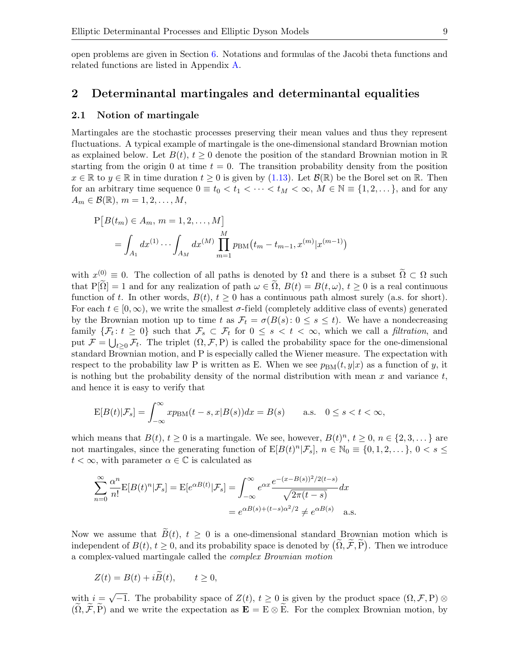open problems are given in Section [6.](#page-28-0) Notations and formulas of the Jacobi theta functions and related functions are listed in Appendix [A.](#page-30-0)

## <span id="page-8-1"></span>2 Determinantal martingales and determinantal equalities

### <span id="page-8-0"></span>2.1 Notion of martingale

Martingales are the stochastic processes preserving their mean values and thus they represent fluctuations. A typical example of martingale is the one-dimensional standard Brownian motion as explained below. Let  $B(t)$ ,  $t \geq 0$  denote the position of the standard Brownian motion in  $\mathbb{R}$ starting from the origin 0 at time  $t = 0$ . The transition probability density from the position  $x \in \mathbb{R}$  to  $y \in \mathbb{R}$  in time duration  $t \geq 0$  is given by [\(1.13\)](#page-3-2). Let  $\mathcal{B}(\mathbb{R})$  be the Borel set on  $\mathbb{R}$ . Then for an arbitrary time sequence  $0 \equiv t_0 < t_1 < \cdots < t_M < \infty$ ,  $M \in \mathbb{N} \equiv \{1, 2, \dots\}$ , and for any  $A_m \in \mathcal{B}(\mathbb{R}), m = 1, 2, \ldots, M,$ 

$$
P[B(t_m) \in A_m, m = 1, 2, ..., M]
$$
  
=  $\int_{A_1} dx^{(1)} \cdots \int_{A_M} dx^{(M)} \prod_{m=1}^M p_{BM}(t_m - t_{m-1}, x^{(m)} | x^{(m-1)})$ 

with  $x^{(0)} \equiv 0$ . The collection of all paths is denoted by  $\Omega$  and there is a subset  $\widetilde{\Omega} \subset \Omega$  such that P[ $\tilde{\Omega}$ ] = 1 and for any realization of path  $\omega \in \Omega$ ,  $B(t) = B(t, \omega)$ ,  $t \geq 0$  is a real continuous function of t. In other words,  $B(t)$ ,  $t > 0$  has a continuous path almost surely (a.s. for short). For each  $t \in [0,\infty)$ , we write the smallest  $\sigma$ -field (completely additive class of events) generated by the Brownian motion up to time t as  $\mathcal{F}_t = \sigma(B(s): 0 \le s \le t)$ . We have a nondecreasing family  $\{\mathcal{F}_t: t \geq 0\}$  such that  $\mathcal{F}_s \subset \mathcal{F}_t$  for  $0 \leq s < t < \infty$ , which we call a *filtration*, and put  $\mathcal{F} = \bigcup_{t \geq 0} \mathcal{F}_t$ . The triplet  $(\Omega, \mathcal{F}, P)$  is called the probability space for the one-dimensional standard Brownian motion, and P is especially called the Wiener measure. The expectation with respect to the probability law P is written as E. When we see  $p_{BM}(t, y|x)$  as a function of y, it is nothing but the probability density of the normal distribution with mean  $x$  and variance  $t$ , and hence it is easy to verify that

$$
E[B(t)|\mathcal{F}_s] = \int_{-\infty}^{\infty} x p_{\text{BM}}(t-s, x | B(s)) dx = B(s) \quad \text{a.s.} \quad 0 \le s < t < \infty,
$$

which means that  $B(t)$ ,  $t \ge 0$  is a martingale. We see, however,  $B(t)^n$ ,  $t \ge 0$ ,  $n \in \{2, 3, \dots\}$  are not martingales, since the generating function of  $E[B(t)^n|\mathcal{F}_s], n \in \mathbb{N}_0 \equiv \{0, 1, 2, \dots\}, 0 < s \leq$  $t < \infty$ , with parameter  $\alpha \in \mathbb{C}$  is calculated as

$$
\sum_{n=0}^{\infty} \frac{\alpha^n}{n!} \mathbf{E}[B(t)^n | \mathcal{F}_s] = \mathbf{E}[e^{\alpha B(t)} | \mathcal{F}_s] = \int_{-\infty}^{\infty} e^{\alpha x} \frac{e^{-(x - B(s))^2/2(t - s)}}{\sqrt{2\pi(t - s)}} dx
$$

$$
= e^{\alpha B(s) + (t - s)\alpha^2/2} \neq e^{\alpha B(s)} \quad \text{a.s.}
$$

Now we assume that  $\tilde{B}(t)$ ,  $t \geq 0$  is a one-dimensional standard Brownian motion which is independent of  $B(t)$ ,  $t \geq 0$ , and its probability space is denoted by  $(\Omega, \mathcal{F}, \mathbf{P})$ . Then we introduce a complex-valued martingale called the complex Brownian motion

$$
Z(t) = B(t) + i\tilde{B}(t), \qquad t \ge 0,
$$

with  $i =$ √  $\overline{-1}$ . The probability space of  $Z(t)$ ,  $t \geq 0$  is given by the product space  $(\Omega, \mathcal{F}, P)$  ⊗  $(\widetilde{\Omega}, \widetilde{\mathcal{F}}, \widetilde{P})$  and we write the expectation as  $\mathbf{E} = E \otimes \widetilde{E}$ . For the complex Brownian motion, by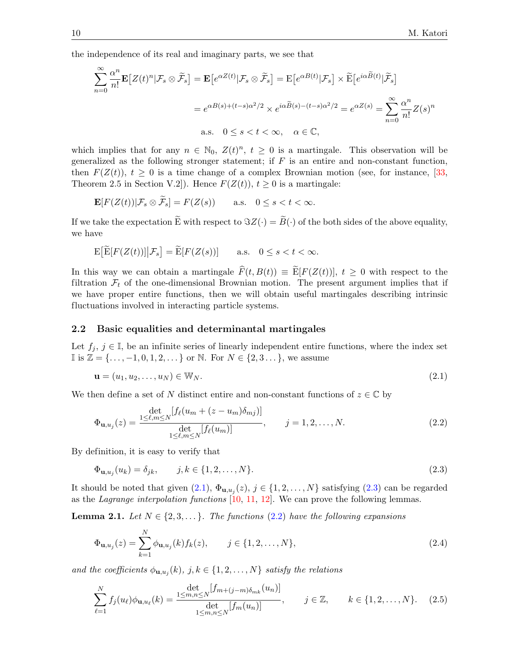the independence of its real and imaginary parts, we see that

$$
\sum_{n=0}^{\infty} \frac{\alpha^n}{n!} \mathbf{E}\left[Z(t)^n | \mathcal{F}_s \otimes \tilde{\mathcal{F}}_s\right] = \mathbf{E}\left[e^{\alpha Z(t)} | \mathcal{F}_s \otimes \tilde{\mathcal{F}}_s\right] = \mathbf{E}\left[e^{\alpha B(t)} | \mathcal{F}_s\right] \times \tilde{\mathbf{E}}\left[e^{i\alpha \tilde{B}(t)} | \tilde{\mathcal{F}}_s\right]
$$

$$
= e^{\alpha B(s) + (t-s)\alpha^2/2} \times e^{i\alpha \tilde{B}(s) - (t-s)\alpha^2/2} = e^{\alpha Z(s)} = \sum_{n=0}^{\infty} \frac{\alpha^n}{n!} Z(s)^n
$$
a.s.  $0 \le s < t < \infty$ ,  $\alpha \in \mathbb{C}$ ,

which implies that for any  $n \in \mathbb{N}_0$ ,  $Z(t)^n$ ,  $t \geq 0$  is a martingale. This observation will be generalized as the following stronger statement; if  $F$  is an entire and non-constant function, then  $F(Z(t))$ ,  $t \geq 0$  is a time change of a complex Brownian motion (see, for instance, [\[33,](#page-34-18) Theorem 2.5 in Section V.2]). Hence  $F(Z(t))$ ,  $t \ge 0$  is a martingale:

$$
\mathbf{E}[F(Z(t))|\mathcal{F}_s\otimes\widetilde{\mathcal{F}}_s]=F(Z(s))\qquad\text{a.s.}\quad 0\leq s
$$

If we take the expectation  $\widetilde{E}$  with respect to  $\Im Z(\cdot) = \widetilde{B}(\cdot)$  of the both sides of the above equality, we have

$$
\mathbb{E}\big[\widetilde{\mathbb{E}}[F(Z(t))]\big|\mathcal{F}_s\big] = \widetilde{\mathbb{E}}[F(Z(s))] \qquad \text{a.s.} \quad 0 \le s < t < \infty.
$$

In this way we can obtain a martingale  $\widehat{F}(t, B(t)) \equiv \widetilde{E}[F(Z(t))], t \ge 0$  with respect to the filtration  $\mathcal{F}_t$  of the one-dimensional Brownian motion. The present argument implies that if we have proper entire functions, then we will obtain useful martingales describing intrinsic fluctuations involved in interacting particle systems.

### <span id="page-9-0"></span>2.2 Basic equalities and determinantal martingales

Let  $f_i, j \in \mathbb{I}$ , be an infinite series of linearly independent entire functions, where the index set I is  $\mathbb{Z} = \{..., -1, 0, 1, 2, ...\}$  or  $\mathbb{N}$ . For  $N \in \{2, 3, ...\}$ , we assume

<span id="page-9-1"></span>
$$
\mathbf{u} = (u_1, u_2, \dots, u_N) \in \mathbb{W}_N. \tag{2.1}
$$

We then define a set of N distinct entire and non-constant functions of  $z \in \mathbb{C}$  by

<span id="page-9-3"></span>
$$
\Phi_{\mathbf{u},u_j}(z) = \frac{\det_{1 \leq \ell,m \leq N} [f_{\ell}(u_m + (z - u_m)\delta_{mj})]}{\det_{1 \leq \ell,m \leq N} [f_{\ell}(u_m)]}, \qquad j = 1, 2, ..., N.
$$
\n(2.2)

By definition, it is easy to verify that

<span id="page-9-2"></span>
$$
\Phi_{\mathbf{u},u_j}(u_k) = \delta_{jk}, \qquad j,k \in \{1,2,\ldots,N\}.
$$
\n(2.3)

It should be noted that given  $(2.1)$ ,  $\Phi_{\mathbf{u},u_j}(z)$ ,  $j \in \{1,2,\ldots,N\}$  satisfying  $(2.3)$  can be regarded as the Lagrange interpolation functions  $[10, 11, 12]$  $[10, 11, 12]$  $[10, 11, 12]$  $[10, 11, 12]$  $[10, 11, 12]$ . We can prove the following lemmas.

<span id="page-9-6"></span>**Lemma 2.1.** Let  $N \in \{2, 3, \ldots\}$ . The functions [\(2.2\)](#page-9-3) have the following expansions

<span id="page-9-4"></span>
$$
\Phi_{\mathbf{u},u_j}(z) = \sum_{k=1}^{N} \phi_{\mathbf{u},u_j}(k) f_k(z), \qquad j \in \{1, 2, ..., N\},
$$
\n(2.4)

and the coefficients  $\phi_{\mathbf{u},u_j}(k)$ ,  $j,k \in \{1,2,\ldots,N\}$  satisfy the relations

<span id="page-9-5"></span>
$$
\sum_{\ell=1}^{N} f_j(u_{\ell}) \phi_{\mathbf{u},u_{\ell}}(k) = \frac{\det_{m,n \leq N} [f_{m+(j-m)\delta_{mk}}(u_n)]}{\det_{m,n \leq N} [f_m(u_n)]}, \qquad j \in \mathbb{Z}, \qquad k \in \{1, 2, ..., N\}.
$$
 (2.5)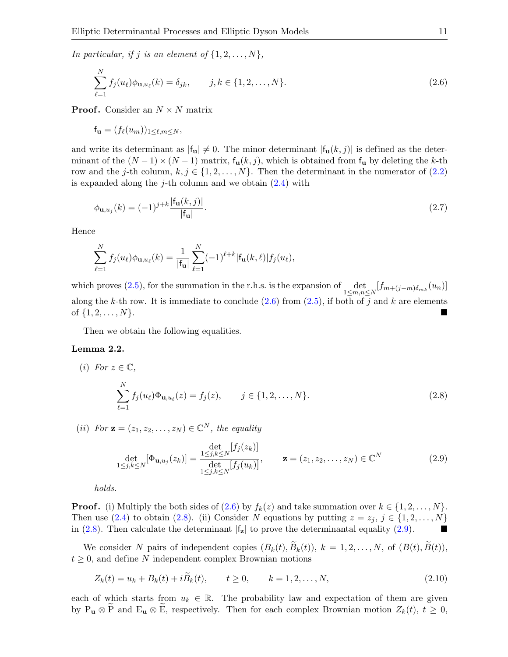In particular, if j is an element of  $\{1, 2, \ldots, N\}$ ,

<span id="page-10-0"></span>
$$
\sum_{\ell=1}^{N} f_j(u_{\ell}) \phi_{\mathbf{u},u_{\ell}}(k) = \delta_{jk}, \qquad j,k \in \{1,2,\ldots,N\}.
$$
 (2.6)

**Proof.** Consider an  $N \times N$  matrix

$$
\mathbf{f}_{\mathbf{u}} = (f_{\ell}(u_m))_{1 \leq \ell, m \leq N},
$$

and write its determinant as  $|f_{\mathbf{u}}| \neq 0$ . The minor determinant  $|f_{\mathbf{u}}(k, j)|$  is defined as the determinant of the  $(N-1) \times (N-1)$  matrix,  $f_u(k, j)$ , which is obtained from  $f_u$  by deleting the k-th row and the j-th column,  $k, j \in \{1, 2, ..., N\}$ . Then the determinant in the numerator of [\(2.2\)](#page-9-3) is expanded along the *j*-th column and we obtain  $(2.4)$  with

$$
\phi_{\mathbf{u},u_j}(k) = (-1)^{j+k} \frac{|f_{\mathbf{u}}(k,j)|}{|f_{\mathbf{u}}|}.
$$
\n(2.7)

Hence

$$
\sum_{\ell=1}^N f_j(u_{\ell})\phi_{\mathbf{u},u_{\ell}}(k) = \frac{1}{|\mathbf{f}_{\mathbf{u}}|} \sum_{\ell=1}^N (-1)^{\ell+k} |\mathbf{f}_{\mathbf{u}}(k,\ell)| f_j(u_{\ell}),
$$

which proves [\(2.5\)](#page-9-5), for the summation in the r.h.s. is the expansion of  $\det_{1 \leq m,n \leq N} [f_{m+(j-m)\delta_{mk}}(u_n)]$ along the k-th row. It is immediate to conclude  $(2.6)$  from  $(2.5)$ , if both of j and k are elements of  $\{1, 2, \ldots, N\}$ .

Then we obtain the following equalities.

### Lemma 2.2.

(i) For 
$$
z \in \mathbb{C}
$$
,  
\n
$$
\sum_{\ell=1}^{N} f_j(u_{\ell}) \Phi_{\mathbf{u},u_{\ell}}(z) = f_j(z), \qquad j \in \{1, 2, ..., N\}.
$$
\n(2.8)

(ii) For  $\mathbf{z} = (z_1, z_2, \dots, z_N) \in \mathbb{C}^N$ , the equality

<span id="page-10-2"></span><span id="page-10-1"></span>
$$
\det_{1 \le j,k \le N} [\Phi_{\mathbf{u},u_j}(z_k)] = \frac{\det_{j,k \le N} [f_j(z_k)]}{\det_{1 \le j,k \le N} [f_j(u_k)]}, \qquad \mathbf{z} = (z_1, z_2, \dots, z_N) \in \mathbb{C}^N
$$
\n(2.9)

holds.

**Proof.** (i) Multiply the both sides of [\(2.6\)](#page-10-0) by  $f_k(z)$  and take summation over  $k \in \{1, 2, ..., N\}$ . Then use [\(2.4\)](#page-9-4) to obtain [\(2.8\)](#page-10-1). (ii) Consider N equations by putting  $z = z_j$ ,  $j \in \{1, 2, ..., N\}$ in [\(2.8\)](#page-10-1). Then calculate the determinant  $|f_z|$  to prove the determinantal equality [\(2.9\)](#page-10-2).

We consider N pairs of independent copies  $(B_k(t), \widetilde{B}_k(t)), k = 1, 2, ..., N$ , of  $(B(t), \widetilde{B}(t)),$  $t \geq 0$ , and define N independent complex Brownian motions

$$
Z_k(t) = u_k + B_k(t) + i\ddot{B}_k(t), \qquad t \ge 0, \qquad k = 1, 2, \dots, N,
$$
\n(2.10)

each of which starts from  $u_k \in \mathbb{R}$ . The probability law and expectation of them are given by  $P_u \otimes \tilde{P}$  and  $E_u \otimes \tilde{E}$ , respectively. Then for each complex Brownian motion  $Z_k(t)$ ,  $t \geq 0$ ,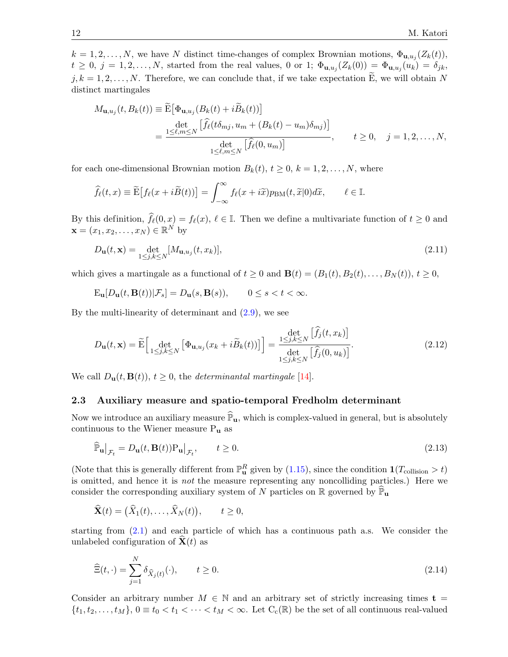$k = 1, 2, \ldots, N$ , we have N distinct time-changes of complex Brownian motions,  $\Phi_{\mathbf{u},u_j}(Z_k(t))$ ,  $t \geq 0, j = 1, 2, \ldots, N$ , started from the real values, 0 or 1;  $\Phi_{\mathbf{u},u_j}(Z_k(0)) = \Phi_{\mathbf{u},u_j}(u_k) = \delta_{jk}$ ,  $j, k = 1, 2, \ldots, N$ . Therefore, we can conclude that, if we take expectation E, we will obtain N distinct martingales

$$
M_{\mathbf{u},u_j}(t, B_k(t)) \equiv \widetilde{\mathbf{E}}\big[\Phi_{\mathbf{u},u_j}(B_k(t) + i\widetilde{B}_k(t))\big]
$$
  
= 
$$
\frac{\det\limits_{1 \leq \ell,m \leq N} \big[\widehat{f}_{\ell}(t\delta_{mj}, u_m + (B_k(t) - u_m)\delta_{mj})\big]}{\det\limits_{1 \leq \ell,m \leq N} \big[\widehat{f}_{\ell}(0, u_m)\big]}, \qquad t \geq 0, \quad j = 1, 2, ..., N,
$$

for each one-dimensional Brownian motion  $B_k(t)$ ,  $t \geq 0$ ,  $k = 1, 2, \ldots, N$ , where

$$
\widehat{f}_{\ell}(t,x) \equiv \widetilde{\mathbf{E}}\big[f_{\ell}(x+i\widetilde{B}(t))\big] = \int_{-\infty}^{\infty} f_{\ell}(x+i\widetilde{x})p_{\text{BM}}(t,\widetilde{x}|0)d\widetilde{x}, \qquad \ell \in \mathbb{I}.
$$

By this definition,  $\hat{f}_{\ell}(0, x) = f_{\ell}(x), \ell \in \mathbb{I}$ . Then we define a multivariate function of  $t \geq 0$  and  $\mathbf{x} = (x_1, x_2, \dots, x_N) \in \mathbb{R}^N$  by

<span id="page-11-2"></span>
$$
D_{\mathbf{u}}(t, \mathbf{x}) = \det_{1 \leq j,k \leq N} [M_{\mathbf{u},u_j}(t, x_k)],
$$
\n(2.11)

which gives a martingale as a functional of  $t \geq 0$  and  $\mathbf{B}(t) = (B_1(t), B_2(t), \ldots, B_N(t)), t \geq 0$ ,

$$
\mathbf{E}_{\mathbf{u}}[D_{\mathbf{u}}(t,\mathbf{B}(t))|\mathcal{F}_s] = D_{\mathbf{u}}(s,\mathbf{B}(s)), \qquad 0 \le s < t < \infty.
$$

By the multi-linearity of determinant and  $(2.9)$ , we see

<span id="page-11-3"></span>
$$
D_{\mathbf{u}}(t,\mathbf{x}) = \widetilde{\mathbf{E}} \Big[ \det_{1 \leq j,k \leq N} \left[ \Phi_{\mathbf{u},u_j}(x_k + i\widetilde{B}_k(t)) \right] \Big] = \frac{\det_{j,k \leq N} \left[ \widehat{f}_j(t,x_k) \right]}{\det_{1 \leq j,k \leq N} \left[ \widehat{f}_j(0,u_k) \right]}.
$$
\n(2.12)

We call  $D_{\mathbf{u}}(t, \mathbf{B}(t)), t \geq 0$ , the *determinantal martingale* [\[14\]](#page-34-2).

## 2.3 Auxiliary measure and spatio-temporal Fredholm determinant

Now we introduce an auxiliary measure  $\mathbb{P}_{u}$ , which is complex-valued in general, but is absolutely continuous to the Wiener measure  $P_u$  as

<span id="page-11-1"></span>
$$
\widehat{\mathbb{P}}_{\mathbf{u}}\big|_{\mathcal{F}_t} = D_{\mathbf{u}}(t, \mathbf{B}(t)) \mathcal{P}_{\mathbf{u}}\big|_{\mathcal{F}_t}, \qquad t \ge 0. \tag{2.13}
$$

(Note that this is generally different from  $\mathbb{P}^R_u$  given by [\(1.15\)](#page-3-0), since the condition  $\mathbf{1}(T_{\text{collision}} > t)$ is omitted, and hence it is not the measure representing any noncolliding particles.) Here we consider the corresponding auxiliary system of N particles on R governed by  $\mathbb{P}_{u}$ 

$$
\widehat{\mathbf{X}}(t) = (\widehat{X}_1(t), \dots, \widehat{X}_N(t)), \qquad t \ge 0,
$$

starting from [\(2.1\)](#page-9-1) and each particle of which has a continuous path a.s. We consider the unlabeled configuration of  $\mathbf{X}(t)$  as

<span id="page-11-0"></span>
$$
\widehat{\Xi}(t,\cdot) = \sum_{j=1}^{N} \delta_{\widehat{X}_j(t)}(\cdot), \qquad t \ge 0.
$$
\n(2.14)

Consider an arbitrary number  $M \in \mathbb{N}$  and an arbitrary set of strictly increasing times  $t =$  $\{t_1, t_2, \ldots, t_M\}, 0 \equiv t_0 < t_1 < \cdots < t_M < \infty$ . Let  $C_c(\mathbb{R})$  be the set of all continuous real-valued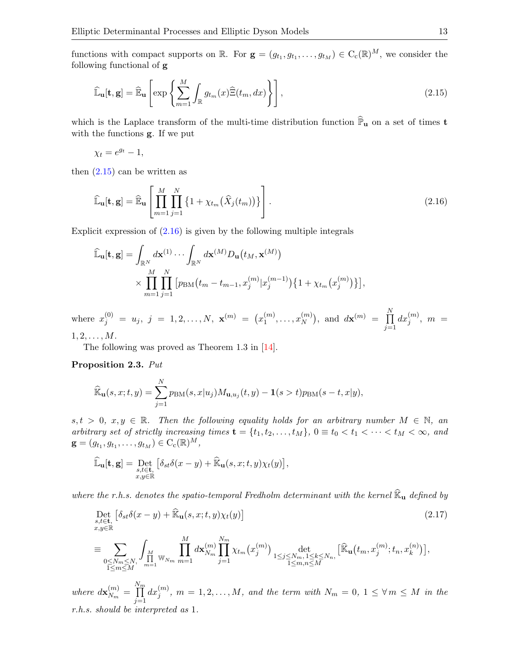functions with compact supports on  $\mathbb{R}$ . For  $\mathbf{g} = (g_{t_1}, g_{t_1}, \dots, g_{t_M}) \in C_c(\mathbb{R})^M$ , we consider the following functional of g

<span id="page-12-0"></span>
$$
\widehat{\mathbb{L}}_{\mathbf{u}}[\mathbf{t}, \mathbf{g}] = \widehat{\mathbb{E}}_{\mathbf{u}} \left[ \exp \left\{ \sum_{m=1}^{M} \int_{\mathbb{R}} g_{t_m}(x) \widehat{\Xi}(t_m, dx) \right\} \right],
$$
\n(2.15)

which is the Laplace transform of the multi-time distribution function  $\widehat{\mathbb{P}}_{\mathbf{u}}$  on a set of times  $\mathbf{t}$ with the functions g. If we put

 $\chi_t = e^{g_t} - 1,$ 

then  $(2.15)$  can be written as

<span id="page-12-1"></span>
$$
\widehat{\mathbb{L}}_{\mathbf{u}}[\mathbf{t}, \mathbf{g}] = \widehat{\mathbb{E}}_{\mathbf{u}} \left[ \prod_{m=1}^{M} \prod_{j=1}^{N} \left\{ 1 + \chi_{t_m}(\widehat{X}_j(t_m)) \right\} \right]. \tag{2.16}
$$

Explicit expression of  $(2.16)$  is given by the following multiple integrals

$$
\widehat{\mathbb{L}}_{\mathbf{u}}[\mathbf{t},\mathbf{g}] = \int_{\mathbb{R}^N} d\mathbf{x}^{(1)} \cdots \int_{\mathbb{R}^N} d\mathbf{x}^{(M)} D_{\mathbf{u}}(t_M, \mathbf{x}^{(M)}) \times \prod_{m=1}^M \prod_{j=1}^N \left[ p_{BM}(t_m - t_{m-1}, x_j^{(m)} | x_j^{(m-1)}) \{1 + \chi_{t_m}(x_j^{(m)})\} \right],
$$

where  $x_j^{(0)} = u_j, j = 1, 2, ..., N, \mathbf{x}^{(m)} = (x_1^{(m)})$  $x_1^{(m)},\ldots,x_N^{(m)}$  $\binom{m}{N}$ , and  $d\mathbf{x}^{(m)} = \prod^N$  $j=1$  $dx_j^{(m)},\,\,m\,\,=\,\,$  $1, 2, \ldots, M$ .

The following was proved as Theorem 1.3 in [\[14\]](#page-34-2).

<span id="page-12-2"></span>Proposition 2.3. Put

$$
\widehat{\mathbb{K}}_{\mathbf{u}}(s,x;t,y) = \sum_{j=1}^{N} p_{\mathrm{BM}}(s,x|u_j) M_{\mathbf{u},u_j}(t,y) - \mathbf{1}(s > t) p_{\mathrm{BM}}(s-t,x|y),
$$

 $s, t > 0, x, y \in \mathbb{R}$ . Then the following equality holds for an arbitrary number  $M \in \mathbb{N}$ , an arbitrary set of strictly increasing times  $\mathbf{t} = \{t_1, t_2, \ldots, t_M\}$ ,  $0 \equiv t_0 < t_1 < \cdots < t_M < \infty$ , and  $\mathbf{g} = (g_{t_1}, g_{t_1}, \dots, g_{t_M}) \in \mathrm{C}_c(\mathbb{R})^M,$ 

$$
\widehat{\mathbb{L}}_\mathbf{u}[\mathbf{t},\mathbf{g}]=\underset{\substack{s,t\in\mathbf{t},\\x,y\in\mathbb{R}}}{\mathrm{Det}}\left[\delta_{st}\delta(x-y)+\widehat{\mathbb{K}}_\mathbf{u}(s,x;t,y)\chi_t(y)\right],
$$

where the r.h.s. denotes the spatio-temporal Fredholm determinant with the kernel  $\widehat{\mathbb{K}}_{\mathbf{u}}$  defined by

<span id="page-12-3"></span>
$$
\begin{split}\n\text{Det}_{s,t \in \mathbf{t}, \atop x,y \in \mathbb{R}} \left[ \delta_{st} \delta(x-y) + \widehat{\mathbb{K}}_{\mathbf{u}}(s,x;t,y) \chi_t(y) \right] \\
&= \sum_{\substack{0 \le N_m \le N, \\ 1 \le m \le M}} \int_M \prod_{m=1}^M d\mathbf{x}_{N_m}^{(m)} \prod_{j=1}^{N_m} \chi_{t_m}(x_j^{(m)}) \det_{\substack{1 \le j \le N_m, 1 \le k \le N_n, \\ 1 \le m,n \le M}} \left[ \widehat{\mathbb{K}}_{\mathbf{u}}(t_m, x_j^{(m)}; t_n, x_k^{(n)}) \right],\n\end{split} \tag{2.17}
$$

where  $d\mathbf{x}_{N_m}^{(m)}$  $\frac{m}{N_m} =$  $\prod^{\overline{N_m}}$  $j=1$  $dx_j^{(m)}, m=1,2,\ldots,M,$  and the term with  $N_m=0,~1\leq \forall\, m\leq M$  in the r.h.s. should be interpreted as 1.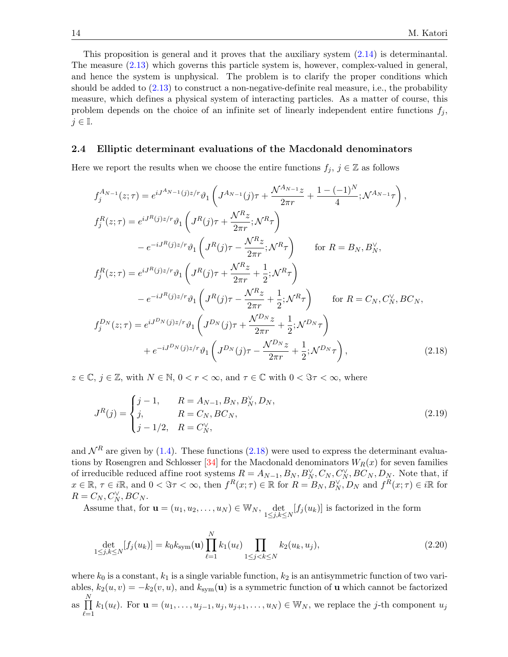This proposition is general and it proves that the auxiliary system [\(2.14\)](#page-11-0) is determinantal. The measure [\(2.13\)](#page-11-1) which governs this particle system is, however, complex-valued in general, and hence the system is unphysical. The problem is to clarify the proper conditions which should be added to [\(2.13\)](#page-11-1) to construct a non-negative-definite real measure, i.e., the probability measure, which defines a physical system of interacting particles. As a matter of course, this problem depends on the choice of an infinite set of linearly independent entire functions  $f_j$ ,  $j \in \mathbb{I}$ .

### 2.4 Elliptic determinant evaluations of the Macdonald denominators

Here we report the results when we choose the entire functions  $f_j$ ,  $j \in \mathbb{Z}$  as follows

$$
f_{j}^{A_{N-1}}(z;\tau) = e^{iJ^{A_{N-1}}(j)z/r} \vartheta_{1} \left( J^{A_{N-1}}(j)\tau + \frac{\mathcal{N}^{A_{N-1}}z}{2\pi r} + \frac{1 - (-1)^{N}}{4}; \mathcal{N}^{A_{N-1}}\tau \right),
$$
  
\n
$$
f_{j}^{R}(z;\tau) = e^{iJ^{R}(j)z/r} \vartheta_{1} \left( J^{R}(j)\tau + \frac{\mathcal{N}^{R}z}{2\pi r}; \mathcal{N}^{R}\tau \right)
$$
  
\n
$$
- e^{-iJ^{R}(j)z/r} \vartheta_{1} \left( J^{R}(j)\tau - \frac{\mathcal{N}^{R}z}{2\pi r}; \mathcal{N}^{R}\tau \right) \quad \text{for } R = B_{N}, B_{N}^{\vee},
$$
  
\n
$$
f_{j}^{R}(z;\tau) = e^{iJ^{R}(j)z/r} \vartheta_{1} \left( J^{R}(j)\tau + \frac{\mathcal{N}^{R}z}{2\pi r} + \frac{1}{2}; \mathcal{N}^{R}\tau \right)
$$
  
\n
$$
- e^{-iJ^{R}(j)z/r} \vartheta_{1} \left( J^{R}(j)\tau - \frac{\mathcal{N}^{R}z}{2\pi r} + \frac{1}{2}; \mathcal{N}^{R}\tau \right) \quad \text{for } R = C_{N}, C_{N}^{\vee}, BC_{N},
$$
  
\n
$$
f_{j}^{D_{N}}(z;\tau) = e^{iJ^{D_{N}}(j)z/r} \vartheta_{1} \left( J^{D_{N}}(j)\tau + \frac{\mathcal{N}^{D_{N}}z}{2\pi r} + \frac{1}{2}; \mathcal{N}^{D_{N}}\tau \right)
$$
  
\n
$$
+ e^{-iJ^{D_{N}}(j)z/r} \vartheta_{1} \left( J^{D_{N}}(j)\tau - \frac{\mathcal{N}^{D_{N}}z}{2\pi r} + \frac{1}{2}; \mathcal{N}^{D_{N}}\tau \right), \qquad (2.18)
$$

 $z \in \mathbb{C}, j \in \mathbb{Z}$ , with  $N \in \mathbb{N}, 0 < r < \infty$ , and  $\tau \in \mathbb{C}$  with  $0 < \Im \tau < \infty$ , where

<span id="page-13-2"></span><span id="page-13-0"></span>
$$
J^{R}(j) = \begin{cases} j-1, & R = A_{N-1}, B_{N}, B_{N}^{\vee}, D_{N}, \\ j, & R = C_{N}, BC_{N}, \\ j-1/2, & R = C_{N}^{\vee}, \end{cases}
$$
(2.19)

and  $\mathcal{N}^R$  are given by [\(1.4\)](#page-2-3). These functions [\(2.18\)](#page-13-0) were used to express the determinant evalua-tions by Rosengren and Schlosser [\[34\]](#page-34-3) for the Macdonald denominators  $W_R(x)$  for seven families of irreducible reduced affine root systems  $R = A_{N-1}, B_N, B_N^{\vee}, C_N, C_N^{\vee}, BC_N, D_N$ . Note that, if  $x \in \mathbb{R}, \tau \in i\mathbb{R}, \text{ and } 0 < \Im \tau < \infty, \text{ then } f^R(x;\tau) \in \mathbb{R} \text{ for } R = B_N, B_N^{\vee}, D_N \text{ and } f^R(x;\tau) \in i\mathbb{R} \text{ for }$  $R = C_N, C_N^{\vee}, BC_N.$ 

Assume that, for  $\mathbf{u} = (u_1, u_2, \dots, u_N) \in \mathbb{W}_N$ ,  $\det_{1 \leq j,k \leq N} [f_j(u_k)]$  is factorized in the form

<span id="page-13-1"></span>
$$
\det_{1 \le j,k \le N} [f_j(u_k)] = k_0 k_{\text{sym}}(\mathbf{u}) \prod_{\ell=1}^N k_1(u_\ell) \prod_{1 \le j < k \le N} k_2(u_k, u_j),\tag{2.20}
$$

where  $k_0$  is a constant,  $k_1$  is a single variable function,  $k_2$  is an antisymmetric function of two variables,  $k_2(u, v) = -k_2(v, u)$ , and  $k_{sym}(u)$  is a symmetric function of u which cannot be factorized as  $\prod^N$  $_{\ell=1}$  $k_1(u_\ell)$ . For  $\mathbf{u} = (u_1, \ldots, u_{j-1}, u_j, u_{j+1}, \ldots, u_N) \in \mathbb{W}_N$ , we replace the j-th component  $u_j$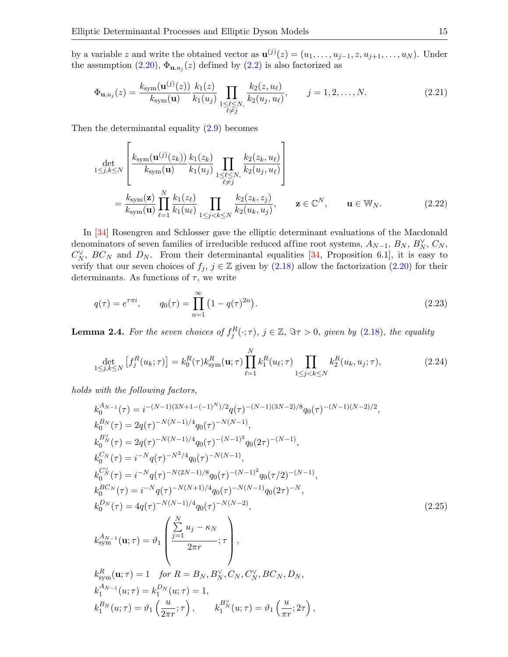by a variable z and write the obtained vector as  $\mathbf{u}^{(j)}(z) = (u_1, \ldots, u_{j-1}, z, u_{j+1}, \ldots, u_N)$ . Under the assumption  $(2.20)$ ,  $\Phi_{\mathbf{u},u_j}(z)$  defined by  $(2.2)$  is also factorized as

$$
\Phi_{\mathbf{u},u_j}(z) = \frac{k_{\text{sym}}(\mathbf{u}^{(j)}(z))}{k_{\text{sym}}(\mathbf{u})} \frac{k_1(z)}{k_1(u_j)} \prod_{\substack{1 \le \ell \le N, \\ \ell \ne j}} \frac{k_2(z, u_\ell)}{k_2(u_j, u_\ell)}, \qquad j = 1, 2, \dots, N. \tag{2.21}
$$

Then the determinantal equality [\(2.9\)](#page-10-2) becomes

$$
\det_{1 \leq j,k \leq N} \left[ \frac{k_{\text{sym}}(\mathbf{u}^{(j)}(z_k))}{k_{\text{sym}}(\mathbf{u})} \frac{k_1(z_k)}{k_1(u_j)} \prod_{\substack{1 \leq \ell \leq N, \\ \ell \neq j}} \frac{k_2(z_k, u_{\ell})}{k_2(u_j, u_{\ell})} \right]
$$
\n
$$
= \frac{k_{\text{sym}}(\mathbf{z})}{k_{\text{sym}}(\mathbf{u})} \prod_{\ell=1}^N \frac{k_1(z_{\ell})}{k_1(u_{\ell})} \prod_{1 \leq j < k \leq N} \frac{k_2(z_k, z_j)}{k_2(u_k, u_j)}, \qquad \mathbf{z} \in \mathbb{C}^N, \qquad \mathbf{u} \in \mathbb{W}_N. \tag{2.22}
$$

In [\[34\]](#page-34-3) Rosengren and Schlosser gave the elliptic determinant evaluations of the Macdonald denominators of seven families of irreducible reduced affine root systems,  $A_{N-1}$ ,  $B_N$ ,  $B_N^{\vee}$ ,  $C_N$ ,  $C_N^{\vee}$ ,  $BC_N$  and  $D_N$ . From their determinantal equalities [\[34,](#page-34-3) Proposition 6.1], it is easy to verify that our seven choices of  $f_j$ ,  $j \in \mathbb{Z}$  given by  $(2.18)$  allow the factorization  $(2.20)$  for their determinants. As functions of  $\tau$ , we write

<span id="page-14-2"></span>
$$
q(\tau) = e^{\tau \pi i}, \qquad q_0(\tau) = \prod_{n=1}^{\infty} \left( 1 - q(\tau)^{2n} \right). \tag{2.23}
$$

<span id="page-14-0"></span>**Lemma 2.4.** For the seven choices of  $f_j^R(\cdot; \tau)$ ,  $j \in \mathbb{Z}$ ,  $\Im \tau > 0$ , given by [\(2.18\)](#page-13-0), the equality

<span id="page-14-3"></span>
$$
\det_{1 \le j,k \le N} \left[ f_j^R(u_k; \tau) \right] = k_0^R(\tau) k_{\text{sym}}^R(\mathbf{u}; \tau) \prod_{\ell=1}^N k_1^R(u_\ell; \tau) \prod_{1 \le j < k \le N} k_2^R(u_k, u_j; \tau), \tag{2.24}
$$

holds with the following factors,

<span id="page-14-1"></span>
$$
k_0^{A_{N-1}}(\tau) = i^{-(N-1)(3N+1-(-1)^N)/2} q(\tau)^{-(N-1)(3N-2)/8} q_0(\tau)^{-(N-1)(N-2)/2},
$$
  
\n
$$
k_0^{B_N}(\tau) = 2q(\tau)^{-N(N-1)/4} q_0(\tau)^{-N(N-1)},
$$
  
\n
$$
k_0^{B_N}(\tau) = 2q(\tau)^{-N(N-1)/4} q_0(\tau)^{-(N-1)^2} q_0(2\tau)^{-(N-1)},
$$
  
\n
$$
k_0^{C_N}(\tau) = i^{-N} q(\tau)^{-N^2/4} q_0(\tau)^{-N(N-1)},
$$
  
\n
$$
k_0^{C_N}(\tau) = i^{-N} q(\tau)^{-N(2N-1)/8} q_0(\tau)^{-(N-1)^2} q_0(\tau/2)^{-(N-1)},
$$
  
\n
$$
k_0^{B C_N}(\tau) = i^{-N} q(\tau)^{-N(N+1)/4} q_0(\tau)^{-N(N-1)} q_0(2\tau)^{-N},
$$
  
\n
$$
k_0^{D_N}(\tau) = 4q(\tau)^{-N(N-1)/4} q_0(\tau)^{-N(N-2)},
$$
  
\n
$$
k_{\text{sym}}^{A_{N-1}}(\mathbf{u}; \tau) = \vartheta_1 \begin{pmatrix} \sum_{j=1}^{N} u_j - \kappa_N \\ \frac{\sum_{j=1}^{N} u_j - \kappa_N}{2\pi r} \\ \frac{\sum_{j=1}^{N} u_j - \kappa_N}{2\pi r} \\ \frac{\sum_{j=1}^{N} u_j - \kappa_N}{2\pi r} \\ \frac{\sum_{j=1}^{N} u_j - \kappa_N}{2\pi r} \\ \frac{\sum_{j=1}^{N} u_j - \kappa_N}{2\pi r} \\ \frac{\sum_{j=1}^{N} u_j - \kappa_N}{2\pi r} \\ \frac{\sum_{j=1}^{N} u_j - \kappa_N}{2\pi r} \\ \frac{\sum_{j=1}^{N} u_j - \kappa_N}{2\pi r} \\ \frac{\sum_{j=1}^{N} u_j - \kappa_N}{2\pi r} \\ \frac{\sum_{j=1}^{N} u_j - \kappa_N}{2\pi r} \\ \frac{\sum_{j=1}^{N} u_j - \kappa_N}{2
$$

$$
k_1^{B_N}(u;\tau) = \vartheta_1\left(\frac{u}{2\pi r};\tau\right), \qquad k_1^{B_N^{\vee}}(u;\tau) = \vartheta_1\left(\frac{u}{\pi r};2\tau\right),
$$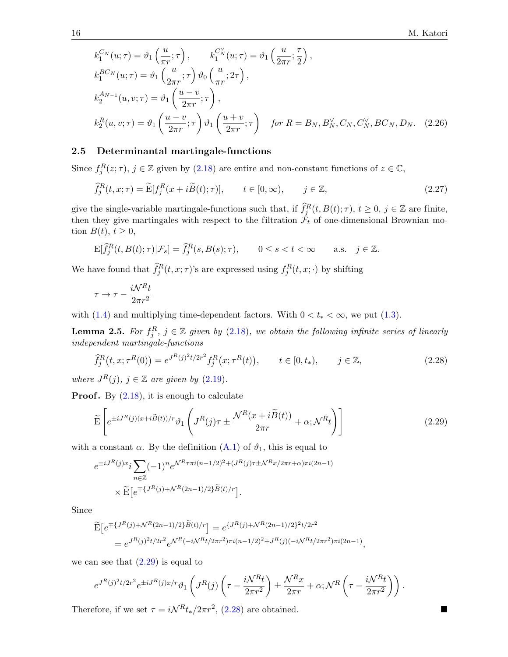$$
k_1^{C_N}(u;\tau) = \vartheta_1\left(\frac{u}{\pi r};\tau\right), \qquad k_1^{C_N}(u;\tau) = \vartheta_1\left(\frac{u}{2\pi r};\frac{\tau}{2}\right),
$$
  
\n
$$
k_1^{BC_N}(u;\tau) = \vartheta_1\left(\frac{u}{2\pi r};\tau\right)\vartheta_0\left(\frac{u}{\pi r};2\tau\right),
$$
  
\n
$$
k_2^{A_{N-1}}(u,v;\tau) = \vartheta_1\left(\frac{u-v}{2\pi r};\tau\right),
$$
  
\n
$$
k_2^R(u,v;\tau) = \vartheta_1\left(\frac{u-v}{2\pi r};\tau\right)\vartheta_1\left(\frac{u+v}{2\pi r};\tau\right) \quad \text{for } R = B_N, B_N^{\vee}, C_N, C_N^{\vee}, BC_N, D_N. \quad (2.26)
$$

### <span id="page-15-0"></span>2.5 Determinantal martingale-functions

Since  $f_j^R(z;\tau)$ ,  $j \in \mathbb{Z}$  given by [\(2.18\)](#page-13-0) are entire and non-constant functions of  $z \in \mathbb{C}$ ,

$$
\widehat{f}_j^R(t, x; \tau) = \widetilde{\mathcal{E}}[f_j^R(x + i\widetilde{B}(t); \tau)], \qquad t \in [0, \infty), \qquad j \in \mathbb{Z}, \tag{2.27}
$$

give the single-variable martingale-functions such that, if  $\hat{f}_j^R(t, B(t); \tau)$ ,  $t \geq 0$ ,  $j \in \mathbb{Z}$  are finite, then they give martingales with respect to the filtration  $\mathcal{F}_t$  of one-dimensional Brownian motion  $B(t)$ ,  $t \geq 0$ ,

$$
\mathbf{E}[\widehat{f}_j^R(t, B(t); \tau)|\mathcal{F}_s] = \widehat{f}_j^R(s, B(s); \tau), \qquad 0 \le s < t < \infty \qquad \text{a.s.} \quad j \in \mathbb{Z}.
$$

We have found that  $\hat{f}_j^R(t, x; \tau)$ 's are expressed using  $f_j^R(t, x; \cdot)$  by shifting

$$
\tau \to \tau - \frac{i \mathcal{N}^R t}{2 \pi r^2}
$$

with [\(1.4\)](#page-2-3) and multiplying time-dependent factors. With  $0 < t_* < \infty$ , we put [\(1.3\)](#page-2-2).

<span id="page-15-3"></span>**Lemma 2.5.** For  $f_j^R$ ,  $j \in \mathbb{Z}$  given by [\(2.18\)](#page-13-0), we obtain the following infinite series of linearly independent martingale-functions

<span id="page-15-2"></span>
$$
\widehat{f}_j^R(t, x; \tau^R(0)) = e^{J^R(j)^2 t/2r^2} f_j^R(x; \tau^R(t)), \qquad t \in [0, t_*), \qquad j \in \mathbb{Z}, \tag{2.28}
$$

where  $J^R(j)$ ,  $j \in \mathbb{Z}$  are given by  $(2.19)$ .

**Proof.** By  $(2.18)$ , it is enough to calculate

<span id="page-15-1"></span>
$$
\widetilde{\mathbf{E}}\left[e^{\pm iJ^{R}(j)(x+i\widetilde{B}(t))/r}\vartheta_{1}\left(J^{R}(j)\tau\pm\frac{\mathcal{N}^{R}(x+i\widetilde{B}(t))}{2\pi r}+\alpha;\mathcal{N}^{R}t\right)\right]
$$
\n(2.29)

with a constant  $\alpha$ . By the definition  $(A.1)$  of  $\vartheta_1$ , this is equal to

$$
e^{\pm iJ^R(j)x} i \sum_{n \in \mathbb{Z}} (-1)^n e^{\mathcal{N}^R \tau \pi i (n-1/2)^2 + (J^R(j)\tau \pm \mathcal{N}^R x / 2\pi r + \alpha)\pi i (2n-1)}
$$

$$
\times \widetilde{\mathbf{E}} \left[ e^{\mp \{J^R(j) + \mathcal{N}^R(2n-1)/2\} \widetilde{B}(t) / r} \right].
$$

Since

$$
\begin{aligned} \widetilde{\mathbf{E}}\left[e^{\mp\{J^R(j)+\mathcal{N}^R(2n-1)/2\}\widetilde{B}(t)/r}\right] &= e^{\{J^R(j)+\mathcal{N}^R(2n-1)/2\}^2t/2r^2} \\ &= e^{J^R(j)^2t/2r^2}e^{\mathcal{N}^R(-i\mathcal{N}^Rt/2\pi r^2)\pi i(n-1/2)^2 + J^R(j)(-i\mathcal{N}^Rt/2\pi r^2)\pi i(2n-1)}, \end{aligned}
$$

we can see that  $(2.29)$  is equal to

$$
e^{J^R(j)^2t/2r^2}e^{\pm iJ^R(j)x/r}\vartheta_1\left(J^R(j)\left(\tau-\frac{i\mathcal{N}^Rt}{2\pi r^2}\right)\pm\frac{\mathcal{N}^Rx}{2\pi r}+\alpha;\mathcal{N}^R\left(\tau-\frac{i\mathcal{N}^Rt}{2\pi r^2}\right)\right).
$$

Therefore, if we set  $\tau = i\mathcal{N}^R t_*/2\pi r^2$ , [\(2.28\)](#page-15-2) are obtained.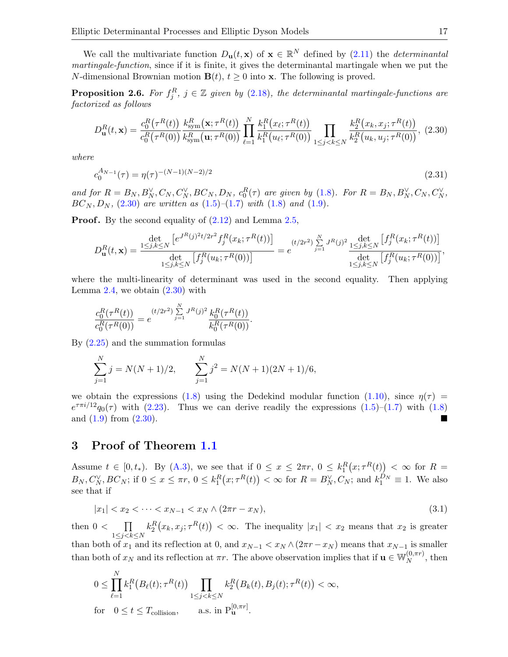We call the multivariate function  $D_{\mathbf{u}}(t, \mathbf{x})$  of  $\mathbf{x} \in \mathbb{R}^N$  defined by  $(2.11)$  the *determinantal* martingale-function, since if it is finite, it gives the determinantal martingale when we put the N-dimensional Brownian motion  $\mathbf{B}(t)$ ,  $t \geq 0$  into **x**. The following is proved.

**Proposition 2.6.** For  $f_j^R$ ,  $j \in \mathbb{Z}$  given by [\(2.18\)](#page-13-0), the determinantal martingale-functions are factorized as follows

<span id="page-16-1"></span>
$$
D_{\mathbf{u}}^{R}(t,\mathbf{x}) = \frac{c_{0}^{R}(\tau^{R}(t))}{c_{0}^{R}(\tau^{R}(0))} \frac{k_{\text{sym}}^{R}(\mathbf{x};\tau^{R}(t))}{k_{\text{sym}}^{R}(\mathbf{u};\tau^{R}(0))} \prod_{\ell=1}^{N} \frac{k_{1}^{R}(x_{\ell};\tau^{R}(t))}{k_{1}^{R}(u_{\ell};\tau^{R}(0))} \prod_{1 \leq j < k \leq N} \frac{k_{2}^{R}(x_{k},x_{j};\tau^{R}(t))}{k_{2}^{R}(u_{k},u_{j};\tau^{R}(0))},\tag{2.30}
$$

where

$$
c_0^{A_{N-1}}(\tau) = \eta(\tau)^{-(N-1)(N-2)/2} \tag{2.31}
$$

and for  $R = B_N, B_N^{\vee}, C_N, C_N^{\vee}, BC_N, D_N, c_0^R(\tau)$  are given by [\(1.8\)](#page-3-3). For  $R = B_N, B_N^{\vee}, C_N, C_N^{\vee}, C_N$  $BC_N, D_N, (2.30)$  $BC_N, D_N, (2.30)$  are written as  $(1.5)$ – $(1.7)$  with  $(1.8)$  and  $(1.9)$ .

**Proof.** By the second equality of  $(2.12)$  and Lemma [2.5,](#page-15-3)

$$
D_{\mathbf{u}}^{R}(t,\mathbf{x}) = \frac{\det_{j,k \leq N} \left[ e^{J^{R}(j)^{2}t/2r^{2}} f_{j}^{R}(x_{k};\tau^{R}(t)) \right]}{\det_{1 \leq j,k \leq N} \left[ f_{j}^{R}(u_{k};\tau^{R}(0)) \right]} = e^{(t/2r^{2}) \sum_{j=1}^{N} J^{R}(j)^{2}} \frac{\det_{1 \leq j,k \leq N} \left[ f_{j}^{R}(x_{k};\tau^{R}(t)) \right]}{\det_{1 \leq j,k \leq N} \left[ f_{j}^{R}(u_{k};\tau^{R}(0)) \right]},
$$

where the multi-linearity of determinant was used in the second equality. Then applying Lemma [2.4,](#page-14-0) we obtain  $(2.30)$  with

$$
\frac{c_0^R(\tau^R(t))}{c_0^R(\tau^R(0))} = e^{(t/2r^2)\sum_{j=1}^N J^R(j)^2} \frac{k_0^R(\tau^R(t))}{k_0^R(\tau^R(0))}.
$$

By [\(2.25\)](#page-14-1) and the summation formulas

$$
\sum_{j=1}^{N} j = N(N+1)/2, \qquad \sum_{j=1}^{N} j^2 = N(N+1)(2N+1)/6,
$$

we obtain the expressions [\(1.8\)](#page-3-3) using the Dedekind modular function [\(1.10\)](#page-3-4), since  $\eta(\tau)$  =  $e^{\tau \pi i/12} q_0(\tau)$  with [\(2.23\)](#page-14-2). Thus we can derive readily the expressions [\(1.5\)](#page-2-0)–[\(1.7\)](#page-2-1) with [\(1.8\)](#page-3-3) and  $(1.9)$  from  $(2.30)$ .

## <span id="page-16-0"></span>3 Proof of Theorem [1.1](#page-4-0)

Assume  $t \in [0, t_*)$ . By  $(A.3)$ , we see that if  $0 \le x \le 2\pi r$ ,  $0 \le k_1^R(x; \tau^R(t)) < \infty$  for  $R =$  $B_N, C_N^{\vee}, BC_N$ ; if  $0 \le x \le \pi r$ ,  $0 \le k_1^R(x; \tau^R(t)) < \infty$  for  $R = B_N^{\vee}, C_N$ ; and  $k_1^{D_N} \equiv 1$ . We also see that if

$$
|x_1| < x_2 < \dots < x_{N-1} < x_N \land (2\pi r - x_N),\tag{3.1}
$$

then  $0 < \Box$  $1 \leq j < k \leq N$  $k_2^R(x_k, x_j; \tau^R(t)) < \infty$ . The inequality  $|x_1| < x_2$  means that  $x_2$  is greater than both of  $x_1$  and its reflection at 0, and  $x_{N-1} < x_N \wedge (2\pi r - x_N)$  means that  $x_{N-1}$  is smaller than both of  $x_N$  and its reflection at  $\pi r$ . The above observation implies that if  $\mathbf{u} \in \mathbb{W}_N^{(0,\pi r)}$  $_N^{(0, \pi r)}$ , then

$$
0 \leq \prod_{\ell=1}^N k_1^R(B_{\ell}(t); \tau^R(t)) \prod_{1 \leq j < k \leq N} k_2^R(B_k(t), B_j(t); \tau^R(t)) < \infty,
$$
\nfor

\n
$$
0 \leq t \leq T_{\text{collision}}, \qquad \text{a.s. in } \mathbf{P}_{\mathbf{u}}^{[0, \pi r]}.
$$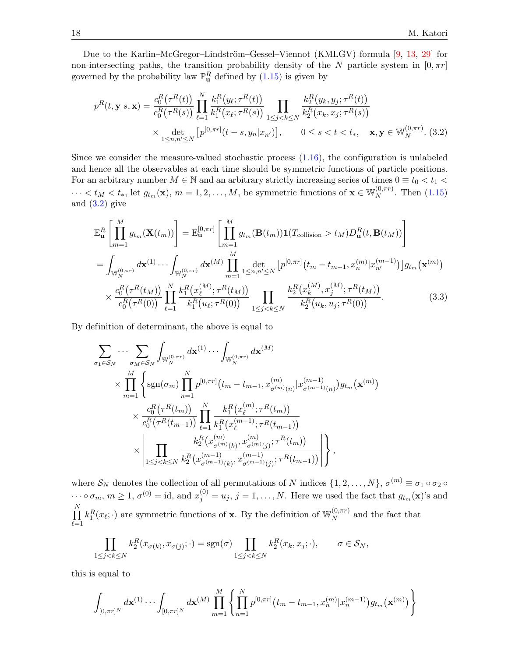Due to the Karlin–McGregor–Lindström–Gessel–Viennot (KMLGV) formula [\[9,](#page-33-7) [13,](#page-34-21) [29\]](#page-34-22) for non-intersecting paths, the transition probability density of the N particle system in  $[0, \pi r]$ governed by the probability law  $\mathbb{P}^R_{\mathbf{u}}$  defined by  $(1.15)$  is given by

<span id="page-17-0"></span>
$$
p^{R}(t, \mathbf{y}|s, \mathbf{x}) = \frac{c_{0}^{R}(\tau^{R}(t))}{c_{0}^{R}(\tau^{R}(s))} \prod_{\ell=1}^{N} \frac{k_{1}^{R}(y_{\ell}; \tau^{R}(t))}{k_{1}^{R}(x_{\ell}; \tau^{R}(s))} \prod_{1 \leq j < k \leq N} \frac{k_{2}^{R}(y_{k}, y_{j}; \tau^{R}(t))}{k_{2}^{R}(x_{k}, x_{j}; \tau^{R}(s))} \times \det_{1 \leq n, n' \leq N} \left[ p^{[0, \pi r]}(t - s, y_{n} | x_{n'}) \right], \qquad 0 \leq s < t < t_{*}, \quad \mathbf{x}, \mathbf{y} \in \mathbb{W}_{N}^{(0, \pi r)}.
$$
\n(3.2)

Since we consider the measure-valued stochastic process  $(1.16)$ , the configuration is unlabeled and hence all the observables at each time should be symmetric functions of particle positions. For an arbitrary number  $M \in \mathbb{N}$  and an arbitrary strictly increasing series of times  $0 \equiv t_0 < t_1$  $\cdots < t_M < t_*$ , let  $g_{t_m}(\mathbf{x}), m = 1, 2, \ldots, M$ , be symmetric functions of  $\mathbf{x} \in \mathbb{W}_N^{(0, \pi r)}$  $_N^{(0,\pi r)}$ . Then  $(1.15)$ and  $(3.2)$  give

$$
\mathbb{E}_{\mathbf{u}}^{R}\left[\prod_{m=1}^{M}g_{t_{m}}(\mathbf{X}(t_{m}))\right] = \mathbb{E}_{\mathbf{u}}^{[0,\pi r]}\left[\prod_{m=1}^{M}g_{t_{m}}(\mathbf{B}(t_{m}))\mathbf{1}(T_{\text{collision}} > t_{M})D_{\mathbf{u}}^{R}(t,\mathbf{B}(t_{M}))\right]
$$
\n
$$
= \int_{\mathbb{W}_{N}^{(0,\pi r)}} d\mathbf{x}^{(1)}\cdots \int_{\mathbb{W}_{N}^{(0,\pi r)}} d\mathbf{x}^{(M)}\prod_{m=1}^{M}\det_{1\leq n,n'\leq N}\left[p^{[0,\pi r]}(t_{m}-t_{m-1},x_{n}^{(m)}|x_{n'}^{(m-1)})\right]g_{t_{m}}(\mathbf{x}^{(m)})
$$
\n
$$
\times \frac{c_{0}^{R}(\tau^{R}(t_{M}))}{c_{0}^{R}(\tau^{R}(0))}\prod_{\ell=1}^{N}\frac{k_{1}^{R}(x_{\ell}^{(M)};\tau^{R}(t_{M}))}{k_{1}^{R}(u_{\ell};\tau^{R}(0))}\prod_{1\leq j
$$

By definition of determinant, the above is equal to

<span id="page-17-1"></span>
$$
\sum_{\sigma_1 \in S_N} \cdots \sum_{\sigma_M \in S_N} \int_{\mathbb{W}_N^{(0,\pi r)}} d\mathbf{x}^{(1)} \cdots \int_{\mathbb{W}_N^{(0,\pi r)}} d\mathbf{x}^{(M)} \times \prod_{m=1}^M \left\{ \text{sgn}(\sigma_m) \prod_{n=1}^N p^{[0,\pi r]} (t_m - t_{m-1}, x_{\sigma^{(m)}(n)}^{(m)} | x_{\sigma^{(m-1)}(n)}^{(m-1)}) g_{t_m}(\mathbf{x}^{(m)}) \right. \times \frac{c_0^R(\tau^R(t_m))}{c_0^R(\tau^R(t_{m-1}))} \prod_{\ell=1}^N \frac{k_1^R(x_\ell^{(m)}; \tau^R(t_m))}{k_1^R(x_\ell^{(m-1)}; \tau^R(t_{m-1}))} \times \left| \prod_{1 \le j < k \le N} \frac{k_2^R(x_{\sigma^{(m)}(k)}^{(m)}, x_{\sigma^{(m)}(j)}^{(m)}; \tau^R(t_m))}{k_2^R(x_{\sigma^{(m-1)}(k)}^{(m-1)}, x_{\sigma^{(m-1)}(j)}^{(m-1)}; \tau^R(t_{m-1}))} \right| \right\},
$$

where  $S_N$  denotes the collection of all permutations of N indices  $\{1, 2, ..., N\}, \sigma^{(m)} \equiv \sigma_1 \circ \sigma_2 \circ \sigma_3$  $\cdots \circ \sigma_m$ ,  $m \ge 1$ ,  $\sigma^{(0)} = id$ , and  $x_j^{(0)} = u_j$ ,  $j = 1, \ldots, N$ . Here we used the fact that  $g_{t_m}(\mathbf{x})$ 's and  $\prod$  $_{\ell=1}$  $k_1^R(x_\ell; \cdot)$  are symmetric functions of **x**. By the definition of  $\mathbb{W}_N^{(0,\pi r)}$  $N^{(0,\pi r)}$  and the fact that

$$
\prod_{1 \leq j < k \leq N} k_2^R(x_{\sigma(k)}, x_{\sigma(j)}; \cdot) = \text{sgn}(\sigma) \prod_{1 \leq j < k \leq N} k_2^R(x_k, x_j; \cdot), \quad \sigma \in \mathcal{S}_N,
$$

this is equal to

$$
\int_{[0,\pi r]^{N}} d\mathbf{x}^{(1)} \cdots \int_{[0,\pi r]^{N}} d\mathbf{x}^{(M)} \prod_{m=1}^{M} \left\{ \prod_{n=1}^{N} p^{[0,\pi r]} (t_{m} - t_{m-1}, x_{n}^{(m)} | x_{n}^{(m-1)}) g_{t_{m}}(\mathbf{x}^{(m)}) \right\}
$$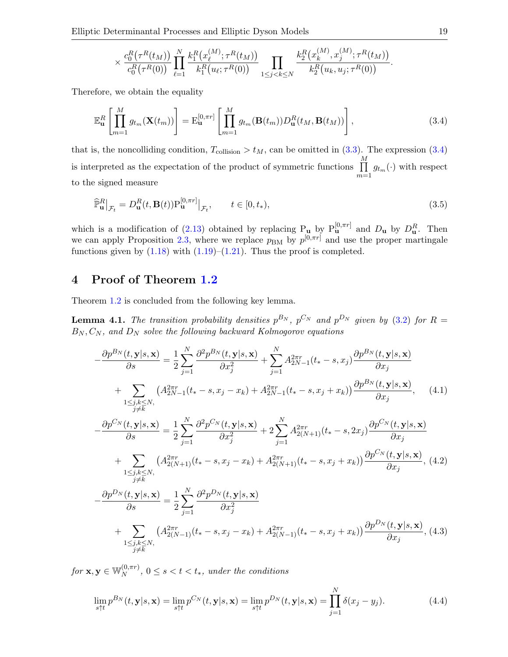Elliptic Determinantal Processes and Elliptic Dyson Models 19

<span id="page-18-1"></span>
$$
\times \frac{c_0^R(\tau^R(t_M))}{c_0^R(\tau^R(0))} \prod_{\ell=1}^N \frac{k_1^R\big(x_\ell^{(M)}; \tau^R(t_M)\big)}{k_1^R\big(u_\ell; \tau^R(0)\big)} \prod_{1 \le j < k \le N} \frac{k_2^R\big(x_k^{(M)}, x_j^{(M)}; \tau^R(t_M)\big)}{k_2^R\big(u_k, u_j; \tau^R(0)\big)}.
$$

Therefore, we obtain the equality

$$
\mathbb{E}_{\mathbf{u}}^{R}\left[\prod_{m=1}^{M}g_{t_m}(\mathbf{X}(t_m))\right] = \mathbb{E}_{\mathbf{u}}^{[0,\pi r]}\left[\prod_{m=1}^{M}g_{t_m}(\mathbf{B}(t_m))D_{\mathbf{u}}^{R}(t_M,\mathbf{B}(t_M))\right],
$$
\n(3.4)

that is, the noncolliding condition,  $T_{\text{collision}} > t_M$ , can be omitted in [\(3.3\)](#page-17-1). The expression [\(3.4\)](#page-18-1) is interpreted as the expectation of the product of symmetric functions  $\prod_{i=1}^{M}$  $\prod_{m=1} g_{t_m}(\cdot)$  with respect to the signed measure

$$
\widehat{\mathbb{P}}_{\mathbf{u}}^{R} \big|_{\mathcal{F}_t} = D_{\mathbf{u}}^{R}(t, \mathbf{B}(t)) \mathbb{P}_{\mathbf{u}}^{[0, \pi r]} \big|_{\mathcal{F}_t}, \qquad t \in [0, t_*), \tag{3.5}
$$

which is a modification of [\(2.13\)](#page-11-1) obtained by replacing  $P_{\bf{u}}$  by  $P_{\bf{u}}^{[0,\pi r]}$  and  $D_{\bf{u}}$  by  $D_{\bf{u}}^R$ . Then we can apply Proposition [2.3,](#page-12-2) where we replace  $p_{BM}$  by  $p^{[0,\pi r]}$  and use the proper martingale functions given by  $(1.18)$  with  $(1.19)$ – $(1.21)$ . Thus the proof is completed.

## <span id="page-18-0"></span>4 Proof of Theorem [1.2](#page-4-1)

Theorem [1.2](#page-4-1) is concluded from the following key lemma.

**Lemma 4.1.** The transition probability densities  $p^{B_N}$ ,  $p^{C_N}$  and  $p^{D_N}$  given by [\(3.2\)](#page-17-0) for  $R =$  $B_N, C_N$ , and  $D_N$  solve the following backward Kolmogorov equations

<span id="page-18-5"></span><span id="page-18-2"></span>
$$
-\frac{\partial p^{B_{N}}(t, \mathbf{y}|s, \mathbf{x})}{\partial s} = \frac{1}{2} \sum_{j=1}^{N} \frac{\partial^{2} p^{B_{N}}(t, \mathbf{y}|s, \mathbf{x})}{\partial x_{j}^{2}} + \sum_{j=1}^{N} A_{2N-1}^{2\pi r}(t_{*}-s, x_{j}) \frac{\partial p^{B_{N}}(t, \mathbf{y}|s, \mathbf{x})}{\partial x_{j}} + \sum_{\substack{1 \leq j,k \leq N, \\ j \neq k}} \left( A_{2N-1}^{2\pi r}(t_{*}-s, x_{j}-x_{k}) + A_{2N-1}^{2\pi r}(t_{*}-s, x_{j}+x_{k}) \right) \frac{\partial p^{B_{N}}(t, \mathbf{y}|s, \mathbf{x})}{\partial x_{j}}, \quad (4.1)
$$

$$
-\frac{\partial p^{C_{N}}(t, \mathbf{y}|s, \mathbf{x})}{\partial s} = \frac{1}{2} \sum_{j=1}^{N} \frac{\partial^{2} p^{C_{N}}(t, \mathbf{y}|s, \mathbf{x})}{\partial x_{j}^{2}} + 2 \sum_{j=1}^{N} A_{2(N+1)}^{2\pi r}(t_{*}-s, 2x_{j}) \frac{\partial p^{C_{N}}(t, \mathbf{y}|s, \mathbf{x})}{\partial x_{j}} + \sum_{\substack{1 \leq j,k \leq N, \\ j \neq k}} \left( A_{2(N+1)}^{2\pi r}(t_{*}-s, x_{j}-x_{k}) + A_{2(N+1)}^{2\pi r}(t_{*}-s, x_{j}+x_{k}) \right) \frac{\partial p^{C_{N}}(t, \mathbf{y}|s, \mathbf{x})}{\partial x_{j}}, \quad (4.2)
$$

$$
-\frac{\partial p^{D_{N}}(t, \mathbf{y}|s, \mathbf{x})}{\partial s} = \frac{1}{2} \sum_{j=1}^{N} \frac{\partial^{2} p^{D_{N}}(t, \mathbf{y}|s, \mathbf{x})}{\partial x_{j}^{2}} + \sum_{\substack{1 \leq j,k \leq N, \\ 1 \leq j,k \leq N, \\ j \neq k}} \left( A_{2(N-1)}^{2\pi r}(t_{*}-s, x_{j}-x_{k}) + A_{2(N-1)}^{2\pi r}(t_{*}-
$$

for  $\mathbf{x},\mathbf{y}\in\mathbb{W}_{N}^{\left( 0,\pi r\right) }$  $N^{(0,\pi r)}$ ,  $0 \leq s < t < t_*$ , under the conditions

<span id="page-18-4"></span><span id="page-18-3"></span>
$$
\lim_{s \uparrow t} p^{B_N}(t, \mathbf{y}|s, \mathbf{x}) = \lim_{s \uparrow t} p^{C_N}(t, \mathbf{y}|s, \mathbf{x}) = \lim_{s \uparrow t} p^{D_N}(t, \mathbf{y}|s, \mathbf{x}) = \prod_{j=1}^{N} \delta(x_j - y_j).
$$
\n(4.4)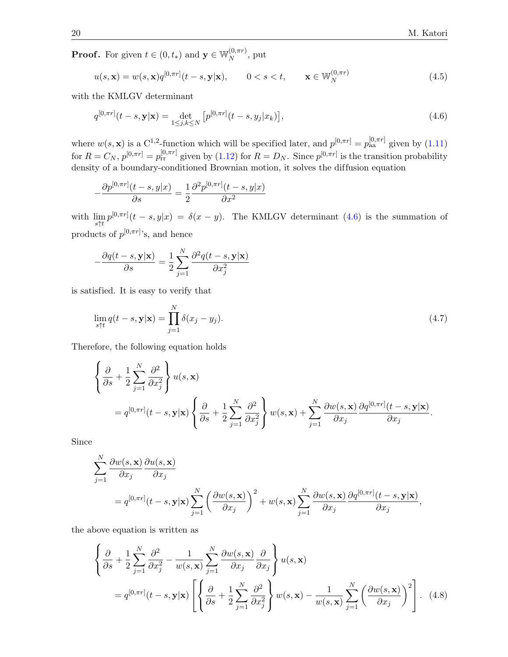**Proof.** For given  $t \in (0, t_*)$  and  $\mathbf{y} \in \mathbb{W}_N^{(0, \pi r)}$  $_N^{(0, \pi r)}$ , put

<span id="page-19-2"></span><span id="page-19-0"></span>
$$
u(s, \mathbf{x}) = w(s, \mathbf{x})q^{[0, \pi r]}(t - s, \mathbf{y}|\mathbf{x}), \qquad 0 < s < t, \qquad \mathbf{x} \in \mathbb{W}_N^{(0, \pi r)}
$$
(4.5)

with the KMLGV determinant

$$
q^{[0,\pi r]}(t-s, \mathbf{y}|\mathbf{x}) = \det_{1 \le j,k \le N} \left[ p^{[0,\pi r]}(t-s, y_j|x_k) \right],
$$
\n(4.6)

where  $w(s, \mathbf{x})$  is a C<sup>1,2</sup>-function which will be specified later, and  $p^{[0,\pi r]} = p_{aa}^{[0,\pi r]}$  given by [\(1.11\)](#page-3-5) for  $R = C_N$ ,  $p^{[0,\pi r]} = p_{rr}^{[0,\pi r]}$  given by [\(1.12\)](#page-3-6) for  $R = D_N$ . Since  $p^{[0,\pi r]}$  is the transition probability density of a boundary-conditioned Brownian motion, it solves the diffusion equation

$$
-\frac{\partial p^{[0,\pi r]}(t-s,y|x)}{\partial s} = \frac{1}{2}\frac{\partial^2 p^{[0,\pi r]}(t-s,y|x)}{\partial x^2}
$$

with  $\lim_{s \uparrow t} p^{[0,\pi r]}(t-s,y|x) = \delta(x-y)$ . The KMLGV determinant [\(4.6\)](#page-19-0) is the summation of products of  $p^{[0,\pi r]}$ 's, and hence

$$
-\frac{\partial q(t-s, \mathbf{y}|\mathbf{x})}{\partial s} = \frac{1}{2} \sum_{j=1}^{N} \frac{\partial^2 q(t-s, \mathbf{y}|\mathbf{x})}{\partial x_j^2}
$$

is satisfied. It is easy to verify that

<span id="page-19-3"></span>
$$
\lim_{s \uparrow t} q(t - s, \mathbf{y} | \mathbf{x}) = \prod_{j=1}^{N} \delta(x_j - y_j). \tag{4.7}
$$

Therefore, the following equation holds

$$
\begin{aligned}\n\left\{\frac{\partial}{\partial s} + \frac{1}{2} \sum_{j=1}^{N} \frac{\partial^{2}}{\partial x_{j}^{2}}\right\} u(s, \mathbf{x}) \\
= q^{[0, \pi r]}(t - s, \mathbf{y}|\mathbf{x}) \left\{\frac{\partial}{\partial s} + \frac{1}{2} \sum_{j=1}^{N} \frac{\partial^{2}}{\partial x_{j}^{2}}\right\} w(s, \mathbf{x}) + \sum_{j=1}^{N} \frac{\partial w(s, \mathbf{x})}{\partial x_{j}} \frac{\partial q^{[0, \pi r]}(t - s, \mathbf{y}|\mathbf{x})}{\partial x_{j}}.\n\end{aligned}
$$

Since

$$
\sum_{j=1}^{N} \frac{\partial w(s, \mathbf{x})}{\partial x_j} \frac{\partial u(s, \mathbf{x})}{\partial x_j}
$$
  
=  $q^{[0,\pi r]}(t-s, \mathbf{y}|\mathbf{x}) \sum_{j=1}^{N} \left(\frac{\partial w(s, \mathbf{x})}{\partial x_j}\right)^2 + w(s, \mathbf{x}) \sum_{j=1}^{N} \frac{\partial w(s, \mathbf{x})}{\partial x_j} \frac{\partial q^{[0,\pi r]}(t-s, \mathbf{y}|\mathbf{x})}{\partial x_j},$ 

the above equation is written as

<span id="page-19-1"></span>
$$
\left\{\frac{\partial}{\partial s} + \frac{1}{2} \sum_{j=1}^{N} \frac{\partial^{2}}{\partial x_{j}^{2}} - \frac{1}{w(s, \mathbf{x})} \sum_{j=1}^{N} \frac{\partial w(s, \mathbf{x})}{\partial x_{j}} \frac{\partial}{\partial x_{j}}\right\} u(s, \mathbf{x})
$$
  
=  $q^{[0, \pi r]}(t - s, \mathbf{y} | \mathbf{x}) \left[ \left\{ \frac{\partial}{\partial s} + \frac{1}{2} \sum_{j=1}^{N} \frac{\partial^{2}}{\partial x_{j}^{2}} \right\} w(s, \mathbf{x}) - \frac{1}{w(s, \mathbf{x})} \sum_{j=1}^{N} \left( \frac{\partial w(s, \mathbf{x})}{\partial x_{j}} \right)^{2} \right].$  (4.8)

−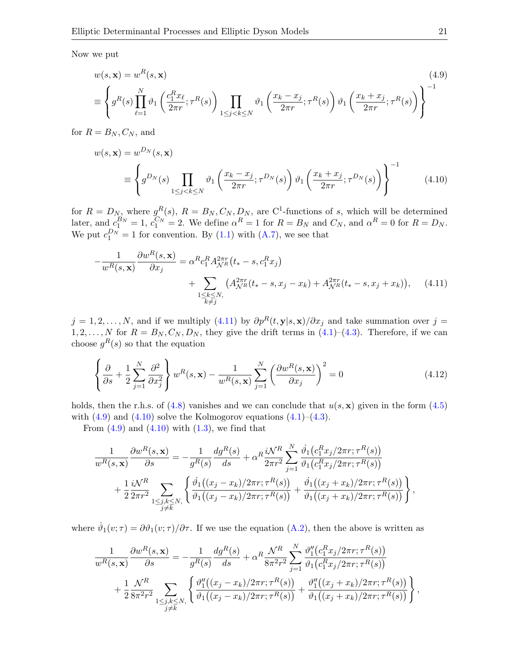Now we put

<span id="page-20-1"></span>
$$
w(s, \mathbf{x}) = w^R(s, \mathbf{x})
$$
\n
$$
\equiv \left\{ g^R(s) \prod_{\ell=1}^N \vartheta_1 \left( \frac{c_1^R x_\ell}{2\pi r}; \tau^R(s) \right) \prod_{1 \le j < k \le N} \vartheta_1 \left( \frac{x_k - x_j}{2\pi r}; \tau^R(s) \right) \vartheta_1 \left( \frac{x_k + x_j}{2\pi r}; \tau^R(s) \right) \right\}^{-1}
$$
\n
$$
(4.9)
$$

for  $R = B_N, C_N$ , and

<span id="page-20-2"></span>
$$
w(s, \mathbf{x}) = w^{D_N}(s, \mathbf{x})
$$
  
\n
$$
\equiv \left\{ g^{D_N}(s) \prod_{1 \le j < k \le N} \vartheta_1 \left( \frac{x_k - x_j}{2\pi r}; \tau^{D_N}(s) \right) \vartheta_1 \left( \frac{x_k + x_j}{2\pi r}; \tau^{D_N}(s) \right) \right\}^{-1}
$$
\n
$$
(4.10)
$$

for  $R = D_N$ , where  $g^R(s)$ ,  $R = B_N, C_N, D_N$ , are C<sup>1</sup>-functions of s, which will be determined later, and  $c_1^{B_N} = 1$ ,  $c_1^{C_N} = 2$ . We define  $\alpha^R = 1$  for  $R = B_N$  and  $C_N$ , and  $\alpha^R = 0$  for  $R = D_N$ . We put  $c_1^{D_N} = 1$  for convention. By [\(1.1\)](#page-1-1) with [\(A.7\)](#page-31-4), we see that

<span id="page-20-0"></span>
$$
-\frac{1}{w^{R}(s,\mathbf{x})}\frac{\partial w^{R}(s,\mathbf{x})}{\partial x_{j}} = \alpha^{R}c_{1}^{R}A_{\mathcal{N}^{R}}^{2\pi r}(t_{*}-s,c_{1}^{R}x_{j}) + \sum_{\substack{1 \leq k \leq N, \\ k \neq j}} \left(A_{\mathcal{N}^{R}}^{2\pi r}(t_{*}-s,x_{j}-x_{k}) + A_{\mathcal{N}^{R}}^{2\pi r}(t_{*}-s,x_{j}+x_{k})\right), \quad (4.11)
$$

 $j = 1, 2, \ldots, N$ , and if we multiply [\(4.11\)](#page-20-0) by  $\partial p^{R}(t, y | s, x) / \partial x_{j}$  and take summation over  $j =$  $1, 2, \ldots, N$  for  $R = B_N, C_N, D_N$ , they give the drift terms in  $(4.1)$ – $(4.3)$ . Therefore, if we can choose  $g^R(s)$  so that the equation

<span id="page-20-3"></span>
$$
\left\{\frac{\partial}{\partial s} + \frac{1}{2} \sum_{j=1}^{N} \frac{\partial^2}{\partial x_j^2} \right\} w^R(s, \mathbf{x}) - \frac{1}{w^R(s, \mathbf{x})} \sum_{j=1}^{N} \left(\frac{\partial w^R(s, \mathbf{x})}{\partial x_j}\right)^2 = 0
$$
\n(4.12)

holds, then the r.h.s. of  $(4.8)$  vanishes and we can conclude that  $u(s, \mathbf{x})$  given in the form  $(4.5)$ with  $(4.9)$  and  $(4.10)$  solve the Kolmogorov equations  $(4.1)$ – $(4.3)$ .

From  $(4.9)$  and  $(4.10)$  with  $(1.3)$ , we find that

$$
\frac{1}{w^{R}(s,\mathbf{x})}\frac{\partial w^{R}(s,\mathbf{x})}{\partial s} = -\frac{1}{g^{R}(s)}\frac{dg^{R}(s)}{ds} + \alpha^{R}\frac{i\mathcal{N}^{R}}{2\pi r^{2}}\sum_{j=1}^{N}\frac{\dot{\vartheta}_{1}(c_{1}^{R}x_{j}/2\pi r;\tau^{R}(s))}{\vartheta_{1}(c_{1}^{R}x_{j}/2\pi r;\tau^{R}(s))} + \frac{1}{2}\frac{i\mathcal{N}^{R}}{2\pi r^{2}}\sum_{1 \leq j,k \leq N, \atop j \neq k}\left\{\frac{\dot{\vartheta}_{1}((x_{j}-x_{k})/2\pi r;\tau^{R}(s))}{\vartheta_{1}((x_{j}-x_{k})/2\pi r;\tau^{R}(s))} + \frac{\dot{\vartheta}_{1}((x_{j}+x_{k})/2\pi r;\tau^{R}(s))}{\vartheta_{1}((x_{j}+x_{k})/2\pi r;\tau^{R}(s))}\right\},
$$

where  $\dot{\vartheta}_1(v;\tau) = \partial \vartheta_1(v;\tau)/\partial \tau$ . If we use the equation [\(A.2\)](#page-31-5), then the above is written as

$$
\frac{1}{w^{R}(s,\mathbf{x})}\frac{\partial w^{R}(s,\mathbf{x})}{\partial s} = -\frac{1}{g^{R}(s)}\frac{dg^{R}(s)}{ds} + \alpha^{R}\frac{\mathcal{N}^{R}}{8\pi^{2}r^{2}}\sum_{j=1}^{N}\frac{\vartheta_{1}''(c_{1}^{R}x_{j}/2\pi r;\tau^{R}(s))}{\vartheta_{1}(c_{1}^{R}x_{j}/2\pi r;\tau^{R}(s))} + \frac{1}{2}\frac{\mathcal{N}^{R}}{8\pi^{2}r^{2}}\sum_{1 \leq j,k \leq N, \atop j \neq k}\left\{\frac{\vartheta_{1}''((x_{j}-x_{k})/2\pi r;\tau^{R}(s))}{\vartheta_{1}((x_{j}-x_{k})/2\pi r;\tau^{R}(s))} + \frac{\vartheta_{1}''((x_{j}+x_{k})/2\pi r;\tau^{R}(s))}{\vartheta_{1}((x_{j}+x_{k})/2\pi r;\tau^{R}(s))}\right\},
$$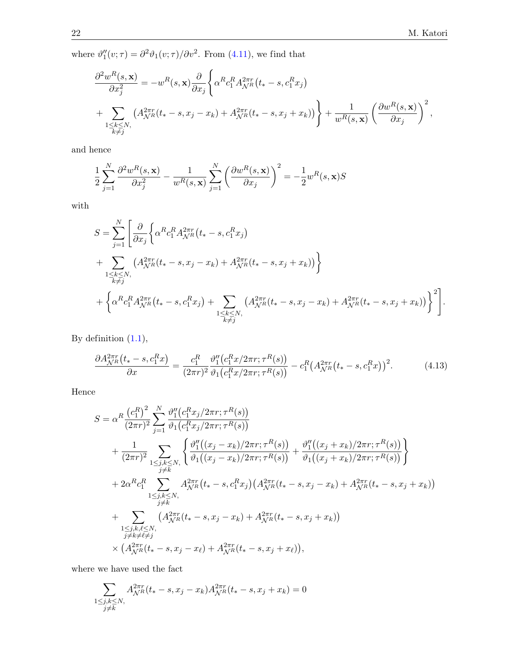where  $\vartheta_1''(v;\tau) = \partial^2 \vartheta_1(v;\tau) / \partial v^2$ . From [\(4.11\)](#page-20-0), we find that

$$
\frac{\partial^2 w^R(s, \mathbf{x})}{\partial x_j^2} = -w^R(s, \mathbf{x}) \frac{\partial}{\partial x_j} \left\{ \alpha^R c_1^R A_{\mathcal{N}^R}^{2\pi r} (t_* - s, c_1^R x_j) + \sum_{\substack{1 \le k \le N, \\ k \ne j}} \left( A_{\mathcal{N}^R}^{2\pi r} (t_* - s, x_j - x_k) + A_{\mathcal{N}^R}^{2\pi r} (t_* - s, x_j + x_k) \right) \right\} + \frac{1}{w^R(s, \mathbf{x})} \left( \frac{\partial w^R(s, \mathbf{x})}{\partial x_j} \right)^2,
$$

and hence

$$
\frac{1}{2} \sum_{j=1}^{N} \frac{\partial^2 w^R(s, \mathbf{x})}{\partial x_j^2} - \frac{1}{w^R(s, \mathbf{x})} \sum_{j=1}^{N} \left( \frac{\partial w^R(s, \mathbf{x})}{\partial x_j} \right)^2 = -\frac{1}{2} w^R(s, \mathbf{x}) S
$$

with

$$
S = \sum_{j=1}^{N} \left[ \frac{\partial}{\partial x_j} \left\{ \alpha^R c_1^R A_{\mathcal{N}^R}^{2\pi r} (t_* - s, c_1^R x_j) \right. \\ + \sum_{\substack{1 \le k \le N, \\ k \ne j}} \left( A_{\mathcal{N}^R}^{2\pi r} (t_* - s, x_j - x_k) + A_{\mathcal{N}^R}^{2\pi r} (t_* - s, x_j + x_k) \right) \right\} \\ + \left\{ \alpha^R c_1^R A_{\mathcal{N}^R}^{2\pi r} (t_* - s, c_1^R x_j) + \sum_{\substack{1 \le k \le N, \\ k \ne j}} \left( A_{\mathcal{N}^R}^{2\pi r} (t_* - s, x_j - x_k) + A_{\mathcal{N}^R}^{2\pi r} (t_* - s, x_j + x_k) \right) \right\}^2 \right].
$$

By definition [\(1.1\)](#page-1-1),

<span id="page-21-0"></span>
$$
\frac{\partial A_{\mathcal{N}^R}^{2\pi r}(t_*-s, c_1^R x)}{\partial x} = \frac{c_1^R}{(2\pi r)^2} \frac{\vartheta_1''(c_1^R x/2\pi r; \tau^R(s))}{\vartheta_1(c_1^R x/2\pi r; \tau^R(s))} - c_1^R \left(A_{\mathcal{N}^R}^{2\pi r}(t_*-s, c_1^R x)\right)^2. \tag{4.13}
$$

Hence

$$
S = \alpha^{R} \frac{\left(c_{1}^{R}\right)^{2}}{(2\pi r)^{2}} \sum_{j=1}^{N} \frac{\vartheta_{1}''\left(c_{1}^{R}x_{j}/2\pi r; \tau^{R}(s)\right)}{\vartheta_{1}\left(c_{1}^{R}x_{j}/2\pi r; \tau^{R}(s)\right)} + \frac{1}{(2\pi r)^{2}} \sum_{1 \leq j,k \leq N,} \left\{ \frac{\vartheta_{1}''\left((x_{j}-x_{k})/2\pi r; \tau^{R}(s)\right)}{\vartheta_{1}\left((x_{j}-x_{k})/2\pi r; \tau^{R}(s)\right)} + \frac{\vartheta_{1}''\left((x_{j}+x_{k})/2\pi r; \tau^{R}(s)\right)}{\vartheta_{1}\left((x_{j}+x_{k})/2\pi r; \tau^{R}(s)\right)} \right\} + 2\alpha^{R}c_{1}^{R} \sum_{\substack{1 \leq j,k \leq N, \\ j \neq k}} A_{\mathcal{N}^{R}}^{2\pi r}\left(t_{*}-s, c_{1}^{R}x_{j}\right) \left(A_{\mathcal{N}^{R}}^{2\pi r}\left(t_{*}-s, x_{j}-x_{k}\right)+ A_{\mathcal{N}^{R}}^{2\pi r}\left(t_{*}-s, x_{j}+x_{k}\right)\right) + \sum_{\substack{1 \leq j,k,\ell \leq N, \\ j \neq k \neq \ell \neq j}} \left(A_{\mathcal{N}^{R}}^{2\pi r}\left(t_{*}-s, x_{j}-x_{k}\right)+ A_{\mathcal{N}^{R}}^{2\pi r}\left(t_{*}-s, x_{j}+x_{k}\right)\right) \times \left(A_{\mathcal{N}^{R}}^{2\pi r}\left(t_{*}-s, x_{j}-x_{\ell}\right)+ A_{\mathcal{N}^{R}}^{2\pi r}\left(t_{*}-s, x_{j}+x_{\ell}\right)\right),
$$

where we have used the fact

$$
\sum_{\substack{1 \le j,k \le N, \\ j \ne k}} A_{\mathcal{N}^R}^{2\pi r}(t_*-s,x_j-x_k) A_{\mathcal{N}^R}^{2\pi r}(t_*-s,x_j+x_k) = 0
$$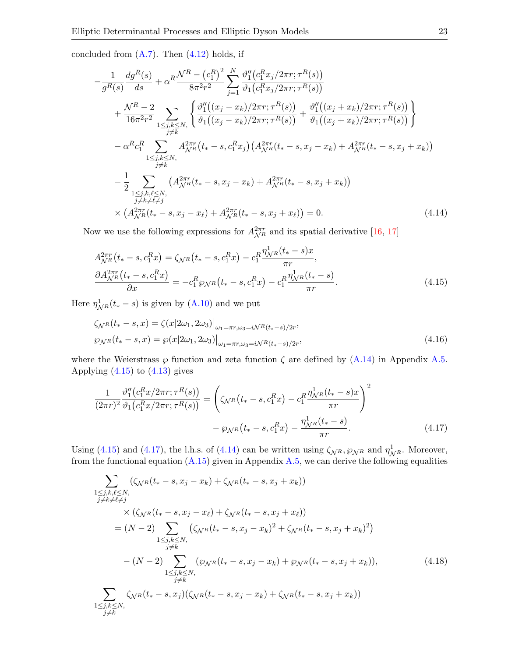concluded from  $(A.7)$ . Then  $(4.12)$  holds, if

$$
-\frac{1}{g^{R}(s)}\frac{dg^{R}(s)}{ds} + \alpha^{R}\frac{\mathcal{N}^{R} - (c_{1}^{R})^{2}}{8\pi^{2}r^{2}} \sum_{j=1}^{N} \frac{\vartheta_{1}''(c_{1}^{R}x_{j}/2\pi r; \tau^{R}(s))}{\vartheta_{1}(c_{1}^{R}x_{j}/2\pi r; \tau^{R}(s))} + \frac{\mathcal{N}^{R} - 2}{16\pi^{2}r^{2}} \sum_{1 \leq j,k \leq N,} \left\{ \frac{\vartheta_{1}''((x_{j} - x_{k})/2\pi r; \tau^{R}(s))}{\vartheta_{1}((x_{j} - x_{k})/2\pi r; \tau^{R}(s))} + \frac{\vartheta_{1}''((x_{j} + x_{k})/2\pi r; \tau^{R}(s))}{\vartheta_{1}((x_{j} + x_{k})/2\pi r; \tau^{R}(s))} \right\} - \alpha^{R}c_{1}^{R} \sum_{\substack{1 \leq j,k \leq N, \\ j \neq k}} A_{\mathcal{N}^{R}}^{2\pi r}(t_{*} - s, c_{1}^{R}x_{j}) (A_{\mathcal{N}^{R}}^{2\pi r}(t_{*} - s, x_{j} - x_{k}) + A_{\mathcal{N}^{R}}^{2\pi r}(t_{*} - s, x_{j} + x_{k})) - \frac{1}{2} \sum_{\substack{1 \leq j,k,\ell \leq N, \\ j \neq k \neq \ell \neq j}} \left( A_{\mathcal{N}^{R}}^{2\pi r}(t_{*} - s, x_{j} - x_{k}) + A_{\mathcal{N}^{R}}^{2\pi r}(t_{*} - s, x_{j} + x_{k}) \right) \times \left( A_{\mathcal{N}^{R}}^{2\pi r}(t_{*} - s, x_{j} - x_{\ell}) + A_{\mathcal{N}^{R}}^{2\pi r}(t_{*} - s, x_{j} + x_{\ell}) \right) = 0.
$$
 (4.14)

Now we use the following expressions for  $A_{\mathcal{N}^R}^{2\pi r}$  and its spatial derivative [\[16,](#page-34-5) [17\]](#page-34-6)

<span id="page-22-2"></span><span id="page-22-0"></span>
$$
A_{\mathcal{N}^{R}}^{2\pi r}(t_{*}-s,c_{1}^{R}x) = \zeta_{\mathcal{N}^{R}}(t_{*}-s,c_{1}^{R}x) - c_{1}^{R}\frac{\eta_{\mathcal{N}^{R}}^{1}(t_{*}-s)x}{\pi r},
$$
  
\n
$$
\frac{\partial A_{\mathcal{N}^{R}}^{2\pi r}(t_{*}-s,c_{1}^{R}x)}{\partial x} = -c_{1}^{R}\wp_{\mathcal{N}^{R}}(t_{*}-s,c_{1}^{R}x) - c_{1}^{R}\frac{\eta_{\mathcal{N}^{R}}^{1}(t_{*}-s)}{\pi r}.
$$
\n(4.15)

Here  $\eta^1_{\mathcal{N}^R}(t_*-s)$  is given by  $(\text{A}.10)$  and we put

<span id="page-22-3"></span>
$$
\zeta_{\mathcal{N}^R}(t_*-s,x) = \zeta(x|2\omega_1, 2\omega_3)\big|_{\omega_1 = \pi r, \omega_3 = i\mathcal{N}^R(t_*-s)/2r},
$$
  

$$
\varphi_{\mathcal{N}^R}(t_*-s,x) = \varphi(x|2\omega_1, 2\omega_3)\big|_{\omega_1 = \pi r, \omega_3 = i\mathcal{N}^R(t_*-s)/2r},
$$
\n(4.16)

where the Weierstrass  $\wp$  function and zeta function  $\zeta$  are defined by  $(A.14)$  in Appendix [A.5.](#page-33-9) Applying  $(4.15)$  to  $(4.13)$  gives

<span id="page-22-1"></span>
$$
\frac{1}{(2\pi r)^2} \frac{\vartheta_1''(c_1^R x/2\pi r; \tau^R(s))}{\vartheta_1(c_1^R x/2\pi r; \tau^R(s))} = \left(\zeta_{\mathcal{N}^R}(t_* - s, c_1^R x) - c_1^R \frac{\eta_{\mathcal{N}^R}^1(t_* - s)x}{\pi r}\right)^2
$$

$$
- \varphi_{\mathcal{N}^R}(t_* - s, c_1^R x) - \frac{\eta_{\mathcal{N}^R}^1(t_* - s)}{\pi r}.
$$
(4.17)

Using [\(4.15\)](#page-22-0) and [\(4.17\)](#page-22-1), the l.h.s. of [\(4.14\)](#page-22-2) can be written using  $\zeta_{\mathcal{N}^R}$ ,  $\wp_{\mathcal{N}^R}$  and  $\eta^1_{\mathcal{N}^R}$ . Moreover, from the functional equation  $(A.15)$  given in Appendix  $A.5$ , we can derive the following equalities

$$
\sum_{\substack{1 \le j,k,\ell \le N, \\ j \ne k \ne l \ne j}} (\zeta_{N}R(t_{*}-s,x_{j}-x_{k}) + \zeta_{N}R(t_{*}-s,x_{j}+x_{k}))
$$
\n
$$
\times (\zeta_{N}R(t_{*}-s,x_{j}-x_{\ell}) + \zeta_{N}R(t_{*}-s,x_{j}+x_{\ell}))
$$
\n
$$
= (N-2) \sum_{\substack{1 \le j,k \le N, \\ j \ne k}} (\zeta_{N}R(t_{*}-s,x_{j}-x_{k})^{2} + \zeta_{N}R(t_{*}-s,x_{j}+x_{k})^{2})
$$
\n
$$
- (N-2) \sum_{\substack{1 \le j,k \le N, \\ j \ne k}} (\wp_{N}R(t_{*}-s,x_{j}-x_{k}) + \wp_{N}R(t_{*}-s,x_{j}+x_{k})), \tag{4.18}
$$
\n
$$
\sum_{\substack{1 \le j,k \le N, \\ j \ne k}} \zeta_{N}R(t_{*}-s,x_{j})(\zeta_{N}R(t_{*}-s,x_{j}-x_{k}) + \zeta_{N}R(t_{*}-s,x_{j}+x_{k}))
$$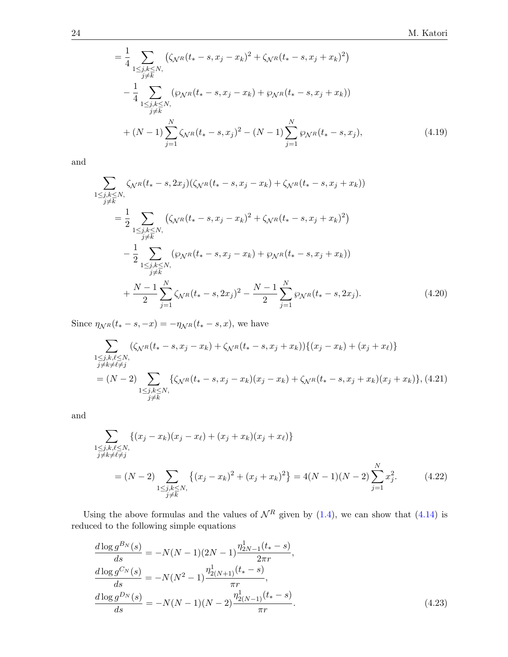$$
= \frac{1}{4} \sum_{\substack{1 \le j,k \le N, \\ j \ne k}} \left( \zeta_{\mathcal{N}^R} (t_* - s, x_j - x_k)^2 + \zeta_{\mathcal{N}^R} (t_* - s, x_j + x_k)^2 \right) - \frac{1}{4} \sum_{\substack{1 \le j,k \le N, \\ j \ne k}} \left( \wp_{\mathcal{N}^R} (t_* - s, x_j - x_k) + \wp_{\mathcal{N}^R} (t_* - s, x_j + x_k) \right) + (N-1) \sum_{j=1}^N \zeta_{\mathcal{N}^R} (t_* - s, x_j)^2 - (N-1) \sum_{j=1}^N \wp_{\mathcal{N}^R} (t_* - s, x_j), \tag{4.19}
$$

and

$$
\sum_{\substack{1 \le j,k \le N, \\ j \ne k}} \zeta_{N} R(t_{*} - s, 2x_{j}) (\zeta_{N} R(t_{*} - s, x_{j} - x_{k}) + \zeta_{N} R(t_{*} - s, x_{j} + x_{k}))
$$
\n
$$
= \frac{1}{2} \sum_{\substack{1 \le j,k \le N, \\ j \ne k}} (\zeta_{N} R(t_{*} - s, x_{j} - x_{k})^{2} + \zeta_{N} R(t_{*} - s, x_{j} + x_{k})^{2})
$$
\n
$$
- \frac{1}{2} \sum_{\substack{1 \le j,k \le N, \\ j \ne k}} (\wp_{N} R(t_{*} - s, x_{j} - x_{k}) + \wp_{N} R(t_{*} - s, x_{j} + x_{k}))
$$
\n
$$
+ \frac{N-1}{2} \sum_{j=1}^{N} \zeta_{N} R(t_{*} - s, 2x_{j})^{2} - \frac{N-1}{2} \sum_{j=1}^{N} \wp_{N} R(t_{*} - s, 2x_{j}). \tag{4.20}
$$

Since  $\eta_{\mathcal{N}^R}(t_* - s, -x) = -\eta_{\mathcal{N}^R}(t_* - s, x)$ , we have

$$
\sum_{\substack{1 \leq j,k,\ell \leq N, \\ j \neq k \neq \ell \neq j}} (\zeta_{\mathcal{N}^R}(t_*-s,x_j-x_k) + \zeta_{\mathcal{N}^R}(t_*-s,x_j+x_k)) \{(x_j-x_k) + (x_j+x_\ell)\}\
$$
  
=  $(N-2) \sum_{\substack{1 \leq j,k \leq N, \\ j \neq k}} \{\zeta_{\mathcal{N}^R}(t_*-s,x_j-x_k)(x_j-x_k) + \zeta_{\mathcal{N}^R}(t_*-s,x_j+x_k)(x_j+x_k)\}, (4.21)$ 

and

$$
\sum_{\substack{1 \le j,k,\ell \le N, \\ j \ne k \ne \ell \ne j}} \{ (x_j - x_k)(x_j - x_\ell) + (x_j + x_k)(x_j + x_\ell) \}
$$
\n
$$
= (N-2) \sum_{\substack{1 \le j,k \le N, \\ j \ne k}} \{ (x_j - x_k)^2 + (x_j + x_k)^2 \} = 4(N-1)(N-2) \sum_{j=1}^N x_j^2. \tag{4.22}
$$

Using the above formulas and the values of  $\mathcal{N}^R$  given by [\(1.4\)](#page-2-3), we can show that [\(4.14\)](#page-22-2) is reduced to the following simple equations

$$
\frac{d \log g^{B_N}(s)}{ds} = -N(N-1)(2N-1)\frac{\eta_{2N-1}^1(t_*-s)}{2\pi r},
$$
\n
$$
\frac{d \log g^{C_N}(s)}{ds} = -N(N^2-1)\frac{\eta_{2(N+1)}^1(t_*-s)}{\pi r},
$$
\n
$$
\frac{d \log g^{D_N}(s)}{ds} = -N(N-1)(N-2)\frac{\eta_{2(N-1)}^1(t_*-s)}{\pi r}.
$$
\n(4.23)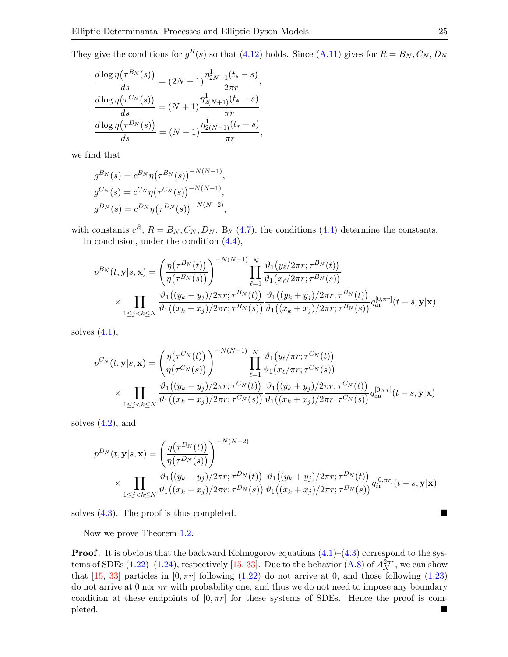They give the conditions for  $g^R(s)$  so that [\(4.12\)](#page-20-3) holds. Since [\(A.11\)](#page-32-2) gives for  $R = B_N, C_N, D_N$ 

$$
\frac{d \log \eta(\tau^{B_N}(s))}{ds} = (2N - 1) \frac{\eta_{2N-1}^1(t_* - s)}{2\pi r},
$$

$$
\frac{d \log \eta(\tau^{C_N}(s))}{ds} = (N + 1) \frac{\eta_{2(N+1)}^1(t_* - s)}{\pi r},
$$

$$
\frac{d \log \eta(\tau^{D_N}(s))}{ds} = (N - 1) \frac{\eta_{2(N-1)}^1(t_* - s)}{\pi r},
$$

we find that

$$
g^{B_N}(s) = c^{B_N} \eta(\tau^{B_N}(s))^{-N(N-1)},
$$
  
\n
$$
g^{C_N}(s) = c^{C_N} \eta(\tau^{C_N}(s))^{-N(N-1)},
$$
  
\n
$$
g^{D_N}(s) = c^{D_N} \eta(\tau^{D_N}(s))^{-N(N-2)},
$$

with constants  $c^R$ ,  $R = B_N$ ,  $C_N$ ,  $D_N$ . By [\(4.7\)](#page-19-3), the conditions [\(4.4\)](#page-18-4) determine the constants. In conclusion, under the condition [\(4.4\)](#page-18-4),

$$
p^{B_{N}}(t, \mathbf{y}|s, \mathbf{x}) = \left(\frac{\eta(\tau^{B_{N}}(t))}{\eta(\tau^{B_{N}}(s))}\right)^{-N(N-1)} \prod_{\ell=1}^{N} \frac{\vartheta_{1}(y_{\ell}/2\pi r; \tau^{B_{N}}(t))}{\vartheta_{1}(x_{\ell}/2\pi r; \tau^{B_{N}}(s))}
$$

$$
\times \prod_{1 \leq j < k \leq N} \frac{\vartheta_{1}((y_{k} - y_{j})/2\pi r; \tau^{B_{N}}(t))}{\vartheta_{1}((x_{k} - x_{j})/2\pi r; \tau^{B_{N}}(s))} \frac{\vartheta_{1}((y_{k} + y_{j})/2\pi r; \tau^{B_{N}}(t))}{\vartheta_{1}((x_{k} + x_{j})/2\pi r; \tau^{B_{N}}(s))} q_{ar}^{[0, \pi r]}(t - s, \mathbf{y}|\mathbf{x})
$$

solves  $(4.1)$ ,

$$
p^{C_N}(t, \mathbf{y}|s, \mathbf{x}) = \left(\frac{\eta(\tau^{C_N}(t))}{\eta(\tau^{C_N}(s))}\right)^{-N(N-1)} \prod_{\ell=1}^N \frac{\vartheta_1(y_\ell/\pi r; \tau^{C_N}(t))}{\vartheta_1(x_\ell/\pi r; \tau^{C_N}(s))}
$$
  
 
$$
\times \prod_{1 \leq j < k \leq N} \frac{\vartheta_1((y_k - y_j)/2\pi r; \tau^{C_N}(t))}{\vartheta_1((x_k - x_j)/2\pi r; \tau^{C_N}(s))} \frac{\vartheta_1((y_k + y_j)/2\pi r; \tau^{C_N}(t))}{\vartheta_1((x_k + x_j)/2\pi r; \tau^{C_N}(s))} q_{aa}^{[0, \pi r]}(t - s, \mathbf{y}|\mathbf{x})
$$

solves  $(4.2)$ , and

$$
p^{D_N}(t, \mathbf{y}|s, \mathbf{x}) = \left(\frac{\eta(\tau^{D_N}(t))}{\eta(\tau^{D_N}(s))}\right)^{-N(N-2)}
$$
  
 
$$
\times \prod_{1 \le j < k \le N} \frac{\vartheta_1((y_k - y_j)/2\pi r; \tau^{D_N}(t))}{\vartheta_1((x_k - x_j)/2\pi r; \tau^{D_N}(s))} \frac{\vartheta_1((y_k + y_j)/2\pi r; \tau^{D_N}(t))}{\vartheta_1((x_k + x_j)/2\pi r; \tau^{D_N}(s))} q_{rr}^{[0, \pi r]}(t - s, \mathbf{y}|\mathbf{x})
$$

solves  $(4.3)$ . The proof is thus completed.

Now we prove Theorem [1.2.](#page-4-1)

**Proof.** It is obvious that the backward Kolmogorov equations  $(4.1)-(4.3)$  $(4.1)-(4.3)$  $(4.1)-(4.3)$  correspond to the systems of SDEs  $(1.22)$ – $(1.24)$ , respectively [\[15,](#page-34-0) [33\]](#page-34-18). Due to the behavior  $(A.8)$  of  $A_{\mathcal{N}}^{2\pi r}$ , we can show that [\[15,](#page-34-0) [33\]](#page-34-18) particles in  $[0, \pi r]$  following [\(1.22\)](#page-5-0) do not arrive at 0, and those following [\(1.23\)](#page-5-2) do not arrive at 0 nor  $\pi r$  with probability one, and thus we do not need to impose any boundary condition at these endpoints of  $[0, \pi r]$  for these systems of SDEs. Hence the proof is completed.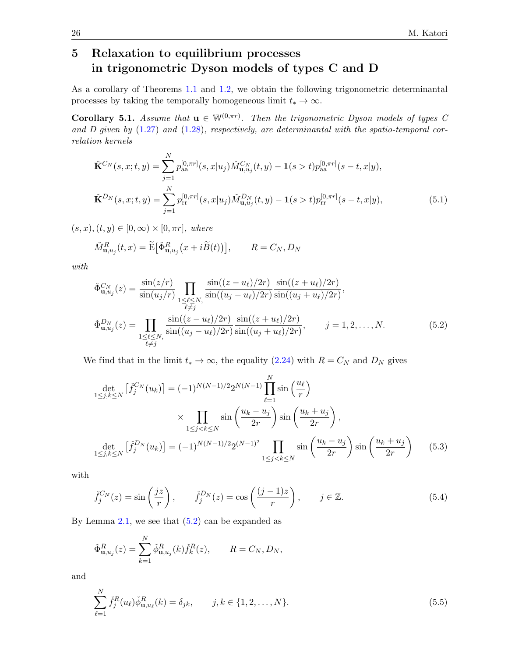## <span id="page-25-0"></span>5 Relaxation to equilibrium processes in trigonometric Dyson models of types C and D

As a corollary of Theorems [1.1](#page-4-0) and [1.2,](#page-4-1) we obtain the following trigonometric determinantal processes by taking the temporally homogeneous limit  $t_* \to \infty$ .

**Corollary 5.1.** Assume that  $\mathbf{u} \in \mathbb{W}^{(0,\pi r)}$ . Then the trigonometric Dyson models of types C and D given by  $(1.27)$  and  $(1.28)$ , respectively, are determinantal with the spatio-temporal correlation kernels

$$
\check{\mathbf{K}}^{C_{N}}(s,x;t,y) = \sum_{j=1}^{N} p_{aa}^{[0,\pi r]}(s,x|u_{j}) \check{M}_{\mathbf{u},u_{j}}^{C_{N}}(t,y) - \mathbf{1}(s>t) p_{aa}^{[0,\pi r]}(s-t,x|y),
$$
\n
$$
\check{\mathbf{K}}^{D_{N}}(s,x;t,y) = \sum_{j=1}^{N} p_{rr}^{[0,\pi r]}(s,x|u_{j}) \check{M}_{\mathbf{u},u_{j}}^{D_{N}}(t,y) - \mathbf{1}(s>t) p_{rr}^{[0,\pi r]}(s-t,x|y),
$$
\n(5.1)

 $(s, x), (t, y) \in [0, \infty) \times [0, \pi r]$ , where

$$
\check{M}^R_{\mathbf{u},u_j}(t,x) = \widetilde{\mathbf{E}} \big[ \check{\Phi}^R_{\mathbf{u},u_j} \big( x + i \widetilde{B}(t) \big) \big], \qquad R = C_N, D_N
$$

with

<span id="page-25-1"></span>
$$
\check{\Phi}_{\mathbf{u},u_j}^{C_N}(z) = \frac{\sin(z/r)}{\sin(u_j/r)} \prod_{\substack{1 \le \ell \le N, \\ \ell \ne j}} \frac{\sin((z - u_\ell)/2r)}{\sin((u_j - u_\ell)/2r)} \frac{\sin((z + u_\ell)/2r)}{\sin((u_j + u_\ell)/2r)},
$$
\n
$$
\check{\Phi}_{\mathbf{u},u_j}^{D_N}(z) = \prod_{\substack{1 \le \ell \le N, \\ \ell \ne j}} \frac{\sin((z - u_\ell)/2r)}{\sin((u_j - u_\ell)/2r)} \frac{\sin((z + u_\ell)/2r)}{\sin((u_j + u_\ell)/2r)}, \qquad j = 1, 2, ..., N. \tag{5.2}
$$

We find that in the limit  $t_* \to \infty$ , the equality [\(2.24\)](#page-14-3) with  $R = C_N$  and  $D_N$  gives

$$
\det_{1 \le j,k \le N} \left[ \tilde{f}_{j}^{C_{N}}(u_{k}) \right] = (-1)^{N(N-1)/2} 2^{N(N-1)} \prod_{\ell=1}^{N} \sin\left(\frac{u_{\ell}}{r}\right)
$$

$$
\times \prod_{1 \le j < k \le N} \sin\left(\frac{u_{k} - u_{j}}{2r}\right) \sin\left(\frac{u_{k} + u_{j}}{2r}\right),
$$

$$
\det_{1 \le j,k \le N} \left[ \tilde{f}_{j}^{D_{N}}(u_{k}) \right] = (-1)^{N(N-1)/2} 2^{(N-1)^{2}} \prod_{1 \le j < k \le N} \sin\left(\frac{u_{k} - u_{j}}{2r}\right) \sin\left(\frac{u_{k} + u_{j}}{2r}\right) \tag{5.3}
$$

with

$$
\check{f}_j^{C_N}(z) = \sin\left(\frac{jz}{r}\right), \qquad \check{f}_j^{D_N}(z) = \cos\left(\frac{(j-1)z}{r}\right), \qquad j \in \mathbb{Z}.
$$
\n(5.4)

By Lemma  $2.1$ , we see that  $(5.2)$  can be expanded as

$$
\check{\Phi}_{\mathbf{u},u_j}^R(z) = \sum_{k=1}^N \check{\phi}_{\mathbf{u},u_j}^R(k) \check{f}_k^R(z), \qquad R = C_N, D_N,
$$

and

<span id="page-25-2"></span>
$$
\sum_{\ell=1}^{N} \check{f}_{j}^{R}(u_{\ell}) \check{\phi}_{\mathbf{u},u_{\ell}}^{R}(k) = \delta_{jk}, \qquad j, k \in \{1, 2, \dots, N\}.
$$
\n(5.5)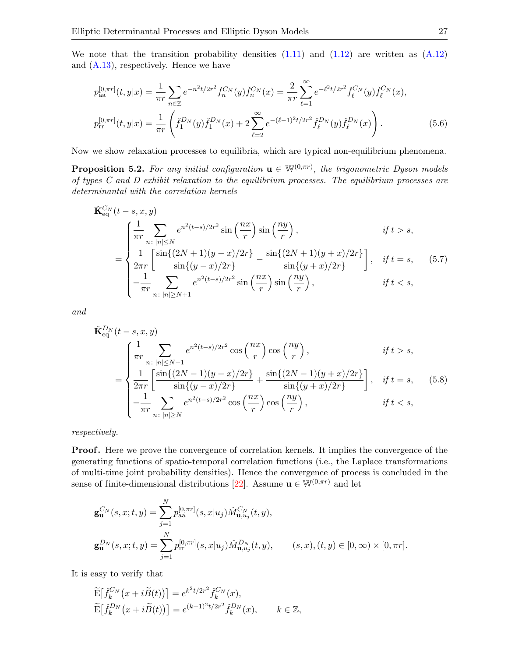We note that the transition probability densities  $(1.11)$  and  $(1.12)$  are written as  $(A.12)$ and [\(A.13\)](#page-32-4), respectively. Hence we have

<span id="page-26-0"></span>
$$
p_{aa}^{[0,\pi r]}(t,y|x) = \frac{1}{\pi r} \sum_{n \in \mathbb{Z}} e^{-n^2 t/2r^2} \check{f}_n^{C_N}(y) \check{f}_n^{C_N}(x) = \frac{2}{\pi r} \sum_{\ell=1}^{\infty} e^{-\ell^2 t/2r^2} \check{f}_\ell^{C_N}(y) \check{f}_\ell^{C_N}(x),
$$
  

$$
p_{rr}^{[0,\pi r]}(t,y|x) = \frac{1}{\pi r} \left( \check{f}_1^{D_N}(y) \check{f}_1^{D_N}(x) + 2 \sum_{\ell=2}^{\infty} e^{-(\ell-1)^2 t/2r^2} \check{f}_\ell^{D_N}(y) \check{f}_\ell^{D_N}(x) \right).
$$
 (5.6)

Now we show relaxation processes to equilibria, which are typical non-equilibrium phenomena.

**Proposition 5.2.** For any initial configuration  $\mathbf{u} \in \mathbb{W}^{(0,\pi r)}$ , the trigonometric Dyson models of types C and D exhibit relaxation to the equilibrium processes. The equilibrium processes are determinantal with the correlation kernels

<span id="page-26-1"></span>
$$
\tilde{\mathbf{K}}_{eq}^{C_N}(t-s, x, y) = \begin{cases}\n\frac{1}{\pi r} \sum_{n: |n| \le N} e^{n^2(t-s)/2r^2} \sin\left(\frac{nx}{r}\right) \sin\left(\frac{ny}{r}\right), & \text{if } t > s, \\
\frac{1}{2\pi r} \left[ \frac{\sin\{(2N+1)(y-x)/2r\}}{\sin\{(y-x)/2r\}} - \frac{\sin\{(2N+1)(y+x)/2r\}}{\sin\{(y+x)/2r\}} \right], & \text{if } t = s, \\
-\frac{1}{\pi r} \sum_{n: |n| \ge N+1} e^{n^2(t-s)/2r^2} \sin\left(\frac{nx}{r}\right) \sin\left(\frac{ny}{r}\right), & \text{if } t < s,\n\end{cases}
$$
\n(5.7)

and

<span id="page-26-2"></span>
$$
\tilde{\mathbf{K}}_{\text{eq}}^{D_{N}}(t-s,x,y) = \begin{cases}\n\frac{1}{\pi r} \sum_{n:\,|n| \leq N-1} e^{n^{2}(t-s)/2r^{2}} \cos\left(\frac{nx}{r}\right) \cos\left(\frac{ny}{r}\right), & \text{if } t > s, \\
\frac{1}{2\pi r} \left[ \frac{\sin\{(2N-1)(y-x)/2r\}}{\sin\{(y-x)/2r\}} + \frac{\sin\{(2N-1)(y+x)/2r\}}{\sin\{(y+x)/2r\}} \right], & \text{if } t = s, \\
-\frac{1}{\pi r} \sum_{n:\,|n| \geq N} e^{n^{2}(t-s)/2r^{2}} \cos\left(\frac{nx}{r}\right) \cos\left(\frac{ny}{r}\right), & \text{if } t < s,\n\end{cases}
$$
\n(5.8)

respectively.

**Proof.** Here we prove the convergence of correlation kernels. It implies the convergence of the generating functions of spatio-temporal correlation functions (i.e., the Laplace transformations of multi-time joint probability densities). Hence the convergence of process is concluded in the sense of finite-dimensional distributions [\[22\]](#page-34-15). Assume  $\mathbf{u} \in \mathbb{W}^{(0,\pi r)}$  and let

$$
\mathbf{g}_{\mathbf{u}}^{C_{N}}(s,x;t,y) = \sum_{j=1}^{N} p_{\text{aa}}^{[0,\pi r]}(s,x|u_{j}) \check{M}_{\mathbf{u},u_{j}}^{C_{N}}(t,y),
$$
  

$$
\mathbf{g}_{\mathbf{u}}^{D_{N}}(s,x;t,y) = \sum_{j=1}^{N} p_{\text{rr}}^{[0,\pi r]}(s,x|u_{j}) \check{M}_{\mathbf{u},u_{j}}^{D_{N}}(t,y), \qquad (s,x),(t,y) \in [0,\infty) \times [0,\pi r].
$$

It is easy to verify that

$$
\begin{aligned}\n\widetilde{\mathbf{E}}\big[\check{f}_k^{C_N}\big(x+i\widetilde{B}(t)\big)\big] &= e^{k^2t/2r^2}\check{f}_k^{C_N}(x), \\
\widetilde{\mathbf{E}}\big[\check{f}_k^{D_N}\big(x+i\widetilde{B}(t)\big)\big] &= e^{(k-1)^2t/2r^2}\check{f}_k^{D_N}(x), \qquad k \in \mathbb{Z},\n\end{aligned}
$$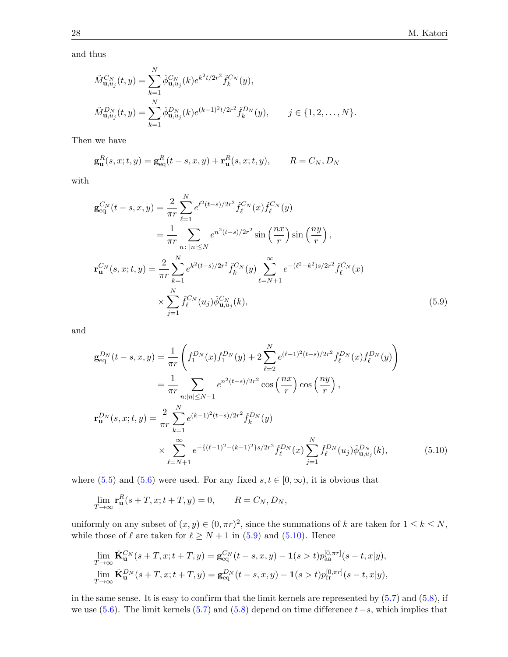and thus

$$
\tilde{M}_{\mathbf{u},u_j}^{C_N}(t,y) = \sum_{k=1}^N \check{\phi}_{\mathbf{u},u_j}^{C_N}(k) e^{k^2 t/2r^2} \check{f}_k^{C_N}(y),
$$
\n
$$
\tilde{M}_{\mathbf{u},u_j}^{D_N}(t,y) = \sum_{k=1}^N \check{\phi}_{\mathbf{u},u_j}^{D_N}(k) e^{(k-1)^2 t/2r^2} \check{f}_k^{D_N}(y), \qquad j \in \{1, 2, \dots, N\}.
$$

Then we have

$$
\mathbf{g}_{\mathbf{u}}^{R}(s,x;t,y) = \mathbf{g}_{\text{eq}}^{R}(t-s,x,y) + \mathbf{r}_{\mathbf{u}}^{R}(s,x;t,y), \qquad R = C_{N}, D_{N}
$$

with

$$
\mathbf{g}_{eq}^{C_N}(t-s,x,y) = \frac{2}{\pi r} \sum_{\ell=1}^{N} e^{\ell^2 (t-s)/2r^2} \tilde{f}_{\ell}^{C_N}(x) \tilde{f}_{\ell}^{C_N}(y)
$$
  
\n
$$
= \frac{1}{\pi r} \sum_{n \colon |n| \le N} e^{n^2 (t-s)/2r^2} \sin\left(\frac{nx}{r}\right) \sin\left(\frac{ny}{r}\right),
$$
  
\n
$$
\mathbf{r}_{\mathbf{u}}^{C_N}(s,x;t,y) = \frac{2}{\pi r} \sum_{k=1}^{N} e^{k^2 (t-s)/2r^2} \tilde{f}_{k}^{C_N}(y) \sum_{\ell=N+1}^{\infty} e^{-(\ell^2 - k^2)s/2r^2} \tilde{f}_{\ell}^{C_N}(x)
$$
  
\n
$$
\times \sum_{j=1}^{N} \tilde{f}_{\ell}^{C_N}(u_j) \tilde{\phi}_{\mathbf{u},u_j}^{C_N}(k), \tag{5.9}
$$

and

<span id="page-27-0"></span>
$$
\mathbf{g}_{eq}^{D_{N}}(t-s,x,y) = \frac{1}{\pi r} \left( \check{f}_{1}^{D_{N}}(x) \check{f}_{1}^{D_{N}}(y) + 2 \sum_{\ell=2}^{N} e^{(\ell-1)^{2}(t-s)/2r^{2}} \check{f}_{\ell}^{D_{N}}(x) \check{f}_{\ell}^{D_{N}}(y) \right)
$$
  
\n
$$
= \frac{1}{\pi r} \sum_{n:|n| \leq N-1} e^{n^{2}(t-s)/2r^{2}} \cos\left(\frac{nx}{r}\right) \cos\left(\frac{ny}{r}\right),
$$
  
\n
$$
\mathbf{r}_{\mathbf{u}}^{D_{N}}(s,x;t,y) = \frac{2}{\pi r} \sum_{k=1}^{N} e^{(k-1)^{2}(t-s)/2r^{2}} \check{f}_{k}^{D_{N}}(y)
$$
  
\n
$$
\times \sum_{\ell=N+1}^{\infty} e^{-\{(\ell-1)^{2} - (k-1)^{2}\}s/2r^{2}} \check{f}_{\ell}^{D_{N}}(x) \sum_{j=1}^{N} \check{f}_{\ell}^{D_{N}}(u_{j}) \check{\phi}_{\mathbf{u},u_{j}}^{D_{N}}(k), \qquad (5.10)
$$

where [\(5.5\)](#page-25-2) and [\(5.6\)](#page-26-0) were used. For any fixed  $s, t \in [0, \infty)$ , it is obvious that

<span id="page-27-1"></span>
$$
\lim_{T \to \infty} \mathbf{r}_\mathbf{u}^R(s+T, x; t+T, y) = 0, \qquad R = C_N, D_N,
$$

uniformly on any subset of  $(x, y) \in (0, \pi r)^2$ , since the summations of k are taken for  $1 \leq k \leq N$ , while those of  $\ell$  are taken for  $\ell \geq N + 1$  in [\(5.9\)](#page-27-0) and [\(5.10\)](#page-27-1). Hence

$$
\lim_{T \to \infty} \check{\mathbf{K}}_{\mathbf{u}}^{C_N}(s+T, x; t+T, y) = \mathbf{g}_{\text{eq}}^{C_N}(t-s, x, y) - \mathbf{1}(s > t) p_{\text{aa}}^{[0, \pi r]}(s-t, x|y),
$$
  

$$
\lim_{T \to \infty} \check{\mathbf{K}}_{\mathbf{u}}^{D_N}(s+T, x; t+T, y) = \mathbf{g}_{\text{eq}}^{D_N}(t-s, x, y) - \mathbf{1}(s > t) p_{\text{tr}}^{[0, \pi r]}(s-t, x|y),
$$

in the same sense. It is easy to confirm that the limit kernels are represented by  $(5.7)$  and  $(5.8)$ , if we use [\(5.6\)](#page-26-0). The limit kernels [\(5.7\)](#page-26-1) and [\(5.8\)](#page-26-2) depend on time difference  $t-s$ , which implies that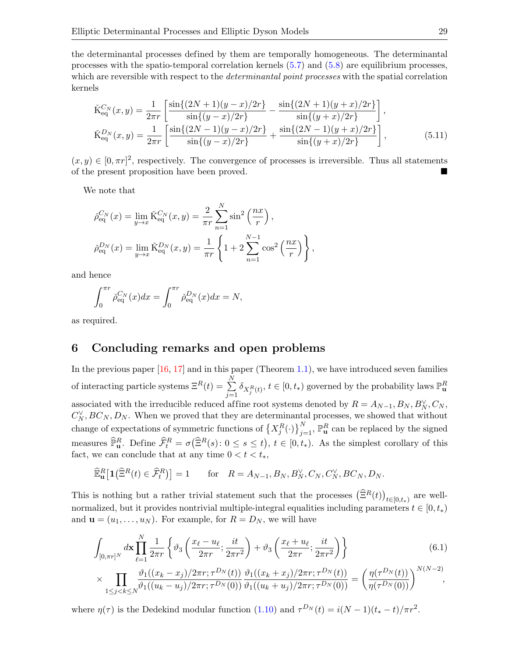the determinantal processes defined by them are temporally homogeneous. The determinantal processes with the spatio-temporal correlation kernels [\(5.7\)](#page-26-1) and [\(5.8\)](#page-26-2) are equilibrium processes, which are reversible with respect to the *determinantal point processes* with the spatial correlation kernels

$$
\tilde{K}_{eq}^{C_N}(x,y) = \frac{1}{2\pi r} \left[ \frac{\sin\{(2N+1)(y-x)/2r\}}{\sin\{(y-x)/2r\}} - \frac{\sin\{(2N+1)(y+x)/2r\}}{\sin\{(y+x)/2r\}} \right],
$$
\n
$$
\tilde{K}_{eq}^{D_N}(x,y) = \frac{1}{2\pi r} \left[ \frac{\sin\{(2N-1)(y-x)/2r\}}{\sin\{(y-x)/2r\}} + \frac{\sin\{(2N-1)(y+x)/2r\}}{\sin\{(y+x)/2r\}} \right],
$$
\n(5.11)

 $(x, y) \in [0, \pi r]^2$ , respectively. The convergence of processes is irreversible. Thus all statements of the present proposition have been proved.

We note that

$$
\tilde{\rho}_{\text{eq}}^{C_N}(x) = \lim_{y \to x} \check{K}_{\text{eq}}^{C_N}(x, y) = \frac{2}{\pi r} \sum_{n=1}^N \sin^2\left(\frac{nx}{r}\right),
$$
  

$$
\tilde{\rho}_{\text{eq}}^{D_N}(x) = \lim_{y \to x} \check{K}_{\text{eq}}^{D_N}(x, y) = \frac{1}{\pi r} \left\{ 1 + 2 \sum_{n=1}^{N-1} \cos^2\left(\frac{nx}{r}\right) \right\},
$$

and hence

$$
\int_0^{\pi r} \check{\rho}_{\text{eq}}^{C_N}(x) dx = \int_0^{\pi r} \check{\rho}_{\text{eq}}^{D_N}(x) dx = N,
$$

as required.

## <span id="page-28-0"></span>6 Concluding remarks and open problems

In the previous paper  $[16, 17]$  $[16, 17]$  $[16, 17]$  and in this paper (Theorem [1.1\)](#page-4-0), we have introduced seven families of interacting particle systems  $\Xi^R(t) = \sum_{n=1}^{N}$  $\sum_{j=1}^{N} \delta_{X_j^R(t)}, t \in [0, t_*)$  governed by the probability laws  $\mathbb{P}^R_{\mathbf{u}}$ associated with the irreducible reduced affine root systems denoted by  $R = A_{N-1}, B_N, B_N^{\vee}, C_N,$  $C_N^{\vee}$ ,  $BC_N$ ,  $D_N$ . When we proved that they are determinantal processes, we showed that without change of expectations of symmetric functions of  $\left\{X_j^R(\cdot)\right\}_{j=1}^N$ ,  $\mathbb{P}^R_{\mathbf{u}}$  can be replaced by the signed measures  $\widehat{\mathbb{P}}_{\mathbf{u}}^R$ . Define  $\widehat{\mathcal{F}}_t^R = \sigma(\widehat{\Xi}^R(s): 0 \le s \le t)$ ,  $t \in [0, t_*)$ . As the simplest corollary of this fact, we can conclude that at any time  $0 < t < t_*$ ,

$$
\widehat{\mathbb{E}}_{\mathbf{u}}^R\big[\mathbf{1}\big(\widehat{\Xi}^R(t)\in\widehat{\mathcal{F}}_t^R\big)\big]=1\qquad\text{for}\quad R=A_{N-1},B_N,B_N^\vee,C_N,C_N^\vee,BC_N,D_N.
$$

This is nothing but a rather trivial statement such that the processes  $(\widehat{\Xi}^R(t))_{t\in[0,t_*)}$  are wellnormalized, but it provides nontrivial multiple-integral equalities including parameters  $t \in [0, t_*)$ and  $\mathbf{u} = (u_1, \dots, u_N)$ . For example, for  $R = D_N$ , we will have

$$
\int_{[0,\pi r]^N} d\mathbf{x} \prod_{\ell=1}^N \frac{1}{2\pi r} \left\{ \vartheta_3 \left( \frac{x_\ell - u_\ell}{2\pi r}; \frac{it}{2\pi r^2} \right) + \vartheta_3 \left( \frac{x_\ell + u_\ell}{2\pi r}; \frac{it}{2\pi r^2} \right) \right\} \tag{6.1}
$$

$$
\times \prod_{1 \leq j < k \leq N} \frac{\vartheta_1((x_k - x_j)/2\pi r; \tau^{D_N}(t))}{\vartheta_1((u_k - u_j)/2\pi r; \tau^{D_N}(0))} \frac{\vartheta_1((x_k + x_j)/2\pi r; \tau^{D_N}(t))}{\vartheta_1((u_k + u_j)/2\pi r; \tau^{D_N}(0))} = \left(\frac{\eta(\tau^{D_N}(t))}{\eta(\tau^{D_N}(0))}\right)^{N(N-2)},
$$

where  $\eta(\tau)$  is the Dedekind modular function [\(1.10\)](#page-3-4) and  $\tau^{D_N}(t) = i(N-1)(t_*-t)/\pi r^2$ .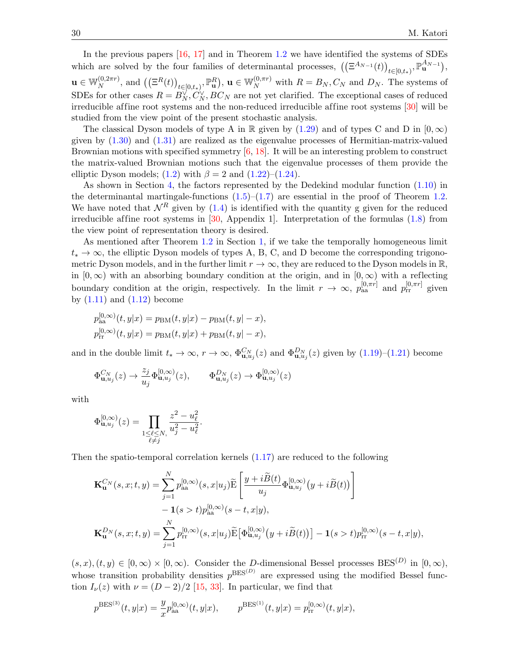In the previous papers  $[16, 17]$  $[16, 17]$  $[16, 17]$  and in Theorem [1.2](#page-4-1) we have identified the systems of SDEs which are solved by the four families of determinantal processes,  $((\Xi^{A_{N-1}}(t))_{t\in[0,t_*)}, \mathbb{P}^{A_{N-1}}_{\mathbf{u}})$ ,  $\mathbf{u} \in \mathbb{W}_N^{(0,2\pi r)}$  $\mathbb{E}_{N}^{(0,2\pi r)}$ , and  $((\Xi^{R}(t))_{t\in[0,t_*)},\mathbb{P}_{\mathbf{u}}^{R})$ ,  $\mathbf{u}\in\mathbb{W}_{N}^{(0,\pi r)}$  with  $R=B_N,C_N$  and  $D_N$ . The systems of SDEs for other cases  $R = B_N^{\vee}, C_N^{\vee}, BC_N$  are not yet clarified. The exceptional cases of reduced irreducible affine root systems and the non-reduced irreducible affine root systems [\[30\]](#page-34-23) will be studied from the view point of the present stochastic analysis.

The classical Dyson models of type A in R given by  $(1.29)$  and of types C and D in  $[0, \infty)$ given by  $(1.30)$  and  $(1.31)$  are realized as the eigenvalue processes of Hermitian-matrix-valued Brownian motions with specified symmetry [\[6,](#page-33-1) [18\]](#page-34-10). It will be an interesting problem to construct the matrix-valued Brownian motions such that the eigenvalue processes of them provide the elliptic Dyson models; [\(1.2\)](#page-1-0) with  $\beta = 2$  and [\(1.22\)](#page-5-0)–[\(1.24\)](#page-5-1).

As shown in Section [4,](#page-18-0) the factors represented by the Dedekind modular function [\(1.10\)](#page-3-4) in the determinantal martingale-functions  $(1.5)$ – $(1.7)$  are essential in the proof of Theorem [1.2.](#page-4-1) We have noted that  $\mathcal{N}^R$  given by [\(1.4\)](#page-2-3) is identified with the quantity g given for the reduced irreducible affine root systems in  $[30,$  Appendix 1. Interpretation of the formulas  $(1.8)$  from the view point of representation theory is desired.

As mentioned after Theorem [1.2](#page-4-1) in Section [1,](#page-0-1) if we take the temporally homogeneous limit  $t_* \to \infty$ , the elliptic Dyson models of types A, B, C, and D become the corresponding trigonometric Dyson models, and in the further limit  $r \to \infty$ , they are reduced to the Dyson models in  $\mathbb{R}$ , in  $[0, \infty)$  with an absorbing boundary condition at the origin, and in  $[0, \infty)$  with a reflecting boundary condition at the origin, respectively. In the limit  $r \to \infty$ ,  $p_{aa}^{[0,\pi r]}$  and  $p_{rr}^{[0,\pi r]}$  given by  $(1.11)$  and  $(1.12)$  become

$$
p_{aa}^{[0,\infty)}(t, y|x) = p_{BM}(t, y|x) - p_{BM}(t, y|-x),
$$
  

$$
p_{rr}^{[0,\infty)}(t, y|x) = p_{BM}(t, y|x) + p_{BM}(t, y|-x),
$$

and in the double limit  $t_* \to \infty$ ,  $r \to \infty$ ,  $\Phi_{\mathbf{u},u_j}^{C_N}(z)$  and  $\Phi_{\mathbf{u},u_j}^{D_N}(z)$  given by  $(1.19)-(1.21)$  $(1.19)-(1.21)$  $(1.19)-(1.21)$  become

$$
\Phi_{\mathbf{u},u_j}^{C_N}(z) \to \frac{z_j}{u_j} \Phi_{\mathbf{u},u_j}^{[0,\infty)}(z), \qquad \Phi_{\mathbf{u},u_j}^{D_N}(z) \to \Phi_{\mathbf{u},u_j}^{[0,\infty)}(z)
$$

with

$$
\Phi_{\mathbf{u},u_j}^{[0,\infty)}(z) = \prod_{\substack{1 \leq \ell \leq N, \\ \ell \neq j}} \frac{z^2 - u_\ell^2}{u_j^2 - u_\ell^2}.
$$

Then the spatio-temporal correlation kernels  $(1.17)$  are reduced to the following

$$
\mathbf{K}_{\mathbf{u}}^{C_{N}}(s,x;t,y) = \sum_{j=1}^{N} p_{\text{aa}}^{[0,\infty)}(s,x|u_{j}) \widetilde{\mathbf{E}} \left[ \frac{y+i\widetilde{B}(t)}{u_{j}} \Phi_{\mathbf{u},u_{j}}^{[0,\infty)}(y+i\widetilde{B}(t)) \right] - \mathbf{1}(s>t) p_{\text{aa}}^{[0,\infty)}(s-t,x|y),
$$
\n
$$
\mathbf{K}_{\mathbf{u}}^{D_{N}}(s,x;t,y) = \sum_{j=1}^{N} p_{\text{rr}}^{[0,\infty)}(s,x|u_{j}) \widetilde{\mathbf{E}} \left[ \Phi_{\mathbf{u},u_{j}}^{[0,\infty)}(y+i\widetilde{B}(t)) \right] - \mathbf{1}(s>t) p_{\text{rr}}^{[0,\infty)}(s-t,x|y),
$$

 $(s, x), (t, y) \in [0, \infty) \times [0, \infty)$ . Consider the D-dimensional Bessel processes BES<sup>(D)</sup> in  $[0, \infty)$ , whose transition probability densities  $p^{BES^{(D)}}$  are expressed using the modified Bessel function  $I_{\nu}(z)$  with  $\nu = (D-2)/2$  [\[15,](#page-34-0) [33\]](#page-34-18). In particular, we find that

$$
p^{\text{BES}^{(3)}}(t,y|x) = \frac{y}{x} p_{\text{aa}}^{[0,\infty)}(t,y|x), \qquad p^{\text{BES}^{(1)}}(t,y|x) = p_{\text{rr}}^{[0,\infty)}(t,y|x),
$$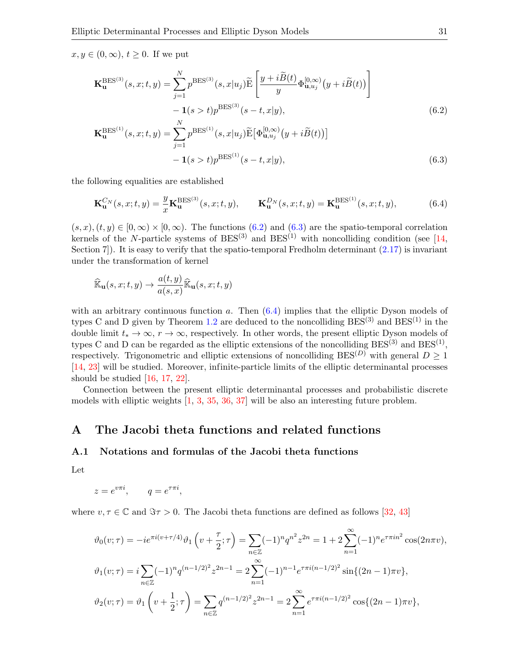$x, y \in (0, \infty), t \geq 0$ . If we put

$$
\mathbf{K}_{\mathbf{u}}^{\text{BES}^{(3)}}(s,x;t,y) = \sum_{j=1}^{N} p^{\text{BES}^{(3)}}(s,x|u_j) \widetilde{\mathbf{E}} \left[ \frac{y + i \widetilde{B}(t)}{y} \Phi_{\mathbf{u},u_j}^{[0,\infty)}(y + i \widetilde{B}(t)) \right] - \mathbf{1}(s > t) p^{\text{BES}^{(3)}}(s - t, x|y), \tag{6.2}
$$

<span id="page-30-2"></span><span id="page-30-1"></span>
$$
\mathbf{K}_{\mathbf{u}}^{\text{BES}^{(1)}}(s,x;t,y) = \sum_{j=1}^{N} p^{\text{BES}^{(1)}}(s,x|u_j) \widetilde{\mathbf{E}} \big[\Phi_{\mathbf{u},u_j}^{[0,\infty)}(y+i\widetilde{B}(t))\big] \n- \mathbf{1}(s>t) p^{\text{BES}^{(1)}}(s-t,x|y),
$$
\n(6.3)

the following equalities are established

<span id="page-30-3"></span>
$$
\mathbf{K}_{\mathbf{u}}^{C_N}(s,x;t,y) = \frac{y}{x} \mathbf{K}_{\mathbf{u}}^{\text{BES}^{(3)}}(s,x;t,y), \qquad \mathbf{K}_{\mathbf{u}}^{D_N}(s,x;t,y) = \mathbf{K}_{\mathbf{u}}^{\text{BES}^{(1)}}(s,x;t,y), \tag{6.4}
$$

 $(s, x), (t, y) \in [0, \infty) \times [0, \infty)$ . The functions  $(6.2)$  and  $(6.3)$  are the spatio-temporal correlation kernels of the N-particle systems of  $BES^{(3)}$  and  $BES^{(1)}$  with noncolliding condition (see [\[14,](#page-34-2) Section 7. It is easy to verify that the spatio-temporal Fredholm determinant  $(2.17)$  is invariant under the transformation of kernel

$$
\widehat{\mathbb{K}}_{\mathbf{u}}(s,x;t,y) \to \frac{a(t,y)}{a(s,x)} \widehat{\mathbb{K}}_{\mathbf{u}}(s,x;t,y)
$$

with an arbitrary continuous function  $a$ . Then  $(6.4)$  implies that the elliptic Dyson models of types C and D given by Theorem [1.2](#page-4-1) are deduced to the noncolliding  $BES^{(3)}$  and  $BES^{(1)}$  in the double limit  $t_* \to \infty$ ,  $r \to \infty$ , respectively. In other words, the present elliptic Dyson models of types C and D can be regarded as the elliptic extensions of the noncolliding  $BES^{(3)}$  and  $BES^{(1)}$ , respectively. Trigonometric and elliptic extensions of noncolliding BES<sup>(D)</sup> with general  $D \ge 1$ [\[14,](#page-34-2) [23\]](#page-34-12) will be studied. Moreover, infinite-particle limits of the elliptic determinantal processes should be studied [\[16,](#page-34-5) [17,](#page-34-6) [22\]](#page-34-15).

Connection between the present elliptic determinantal processes and probabilistic discrete models with elliptic weights [\[1,](#page-33-11) [3,](#page-33-12) [35,](#page-34-24) [36,](#page-34-25) [37\]](#page-34-26) will be also an interesting future problem.

## <span id="page-30-0"></span>A The Jacobi theta functions and related functions

### A.1 Notations and formulas of the Jacobi theta functions

Let

$$
z = e^{v\pi i}, \qquad q = e^{\tau \pi i},
$$

where  $v, \tau \in \mathbb{C}$  and  $\Im \tau > 0$ . The Jacobi theta functions are defined as follows [\[32,](#page-34-9) [43\]](#page-35-5)

$$
\vartheta_0(v;\tau) = -ie^{\pi i (v+\tau/4)} \vartheta_1 \left( v + \frac{\tau}{2}; \tau \right) = \sum_{n \in \mathbb{Z}} (-1)^n q^{n^2} z^{2n} = 1 + 2 \sum_{n=1}^{\infty} (-1)^n e^{\tau \pi i n^2} \cos(2n\pi v),
$$
  

$$
\vartheta_1(v;\tau) = i \sum_{n \in \mathbb{Z}} (-1)^n q^{(n-1/2)^2} z^{2n-1} = 2 \sum_{n=1}^{\infty} (-1)^{n-1} e^{\tau \pi i (n-1/2)^2} \sin\{(2n-1)\pi v\},
$$
  

$$
\vartheta_2(v;\tau) = \vartheta_1 \left( v + \frac{1}{2}; \tau \right) = \sum_{n \in \mathbb{Z}} q^{(n-1/2)^2} z^{2n-1} = 2 \sum_{n=1}^{\infty} e^{\tau \pi i (n-1/2)^2} \cos\{(2n-1)\pi v\},
$$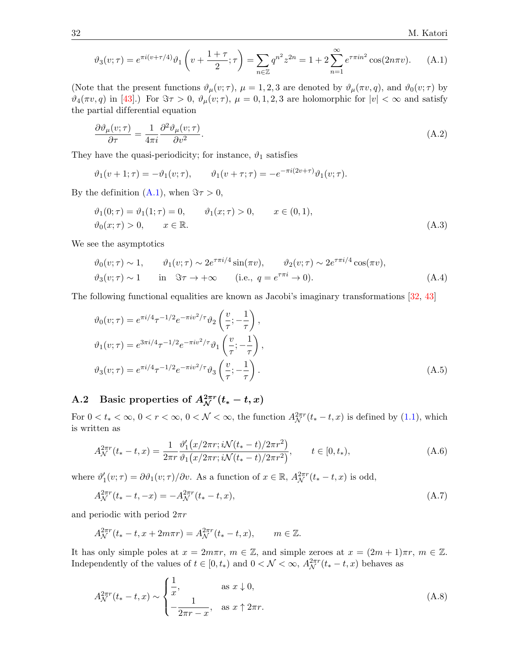<span id="page-31-2"></span>
$$
\vartheta_3(v;\tau) = e^{\pi i (v+\tau/4)} \vartheta_1 \left( v + \frac{1+\tau}{2}; \tau \right) = \sum_{n \in \mathbb{Z}} q^{n^2} z^{2n} = 1 + 2 \sum_{n=1}^{\infty} e^{\tau \pi i n^2} \cos(2n\pi v). \tag{A.1}
$$

(Note that the present functions  $\vartheta_{\mu}(v;\tau)$ ,  $\mu = 1, 2, 3$  are denoted by  $\vartheta_{\mu}(\pi v, q)$ , and  $\vartheta_{0}(v;\tau)$  by  $\vartheta_4(\pi v, q)$  in [\[43\]](#page-35-5).) For  $\Im \tau > 0$ ,  $\vartheta_\mu(v; \tau)$ ,  $\mu = 0, 1, 2, 3$  are holomorphic for  $|v| < \infty$  and satisfy the partial differential equation

<span id="page-31-5"></span>
$$
\frac{\partial \vartheta_{\mu}(v;\tau)}{\partial \tau} = \frac{1}{4\pi i} \frac{\partial^2 \vartheta_{\mu}(v;\tau)}{\partial v^2}.
$$
\n(A.2)

They have the quasi-periodicity; for instance,  $\vartheta_1$  satisfies

$$
\vartheta_1(v+1;\tau) = -\vartheta_1(v;\tau), \qquad \vartheta_1(v+\tau;\tau) = -e^{-\pi i(2v+\tau)}\vartheta_1(v;\tau).
$$

By the definition  $(A.1)$ , when  $\Im \tau > 0$ ,

<span id="page-31-3"></span>
$$
\vartheta_1(0; \tau) = \vartheta_1(1; \tau) = 0, \qquad \vartheta_1(x; \tau) > 0, \qquad x \in (0, 1),
$$
  

$$
\vartheta_0(x; \tau) > 0, \qquad x \in \mathbb{R}.
$$
 (A.3)

We see the asymptotics

<span id="page-31-1"></span>
$$
\vartheta_0(v;\tau) \sim 1, \qquad \vartheta_1(v;\tau) \sim 2e^{\tau \pi i/4} \sin(\pi v), \qquad \vartheta_2(v;\tau) \sim 2e^{\tau \pi i/4} \cos(\pi v),
$$
  

$$
\vartheta_3(v;\tau) \sim 1 \qquad \text{in} \quad \Im \tau \to +\infty \qquad (\text{i.e., } q = e^{\tau \pi i} \to 0).
$$
 (A.4)

The following functional equalities are known as Jacobi's imaginary transformations [\[32,](#page-34-9) [43\]](#page-35-5)

<span id="page-31-7"></span>
$$
\vartheta_0(v;\tau) = e^{\pi i/4} \tau^{-1/2} e^{-\pi i v^2/\tau} \vartheta_2 \left(\frac{v}{\tau}; -\frac{1}{\tau}\right),
$$
  
\n
$$
\vartheta_1(v;\tau) = e^{3\pi i/4} \tau^{-1/2} e^{-\pi i v^2/\tau} \vartheta_1 \left(\frac{v}{\tau}; -\frac{1}{\tau}\right),
$$
  
\n
$$
\vartheta_3(v;\tau) = e^{\pi i/4} \tau^{-1/2} e^{-\pi i v^2/\tau} \vartheta_3 \left(\frac{v}{\tau}; -\frac{1}{\tau}\right).
$$
\n(A.5)

## <span id="page-31-0"></span>A.2 Basic properties of  $A_{\mathcal{N}}^{2\pi r}(t_{*}-t,x)$

For  $0 < t_* < \infty$ ,  $0 < r < \infty$ ,  $0 < \mathcal{N} < \infty$ , the function  $A_{\mathcal{N}}^{2\pi r}(t_* - t, x)$  is defined by [\(1.1\)](#page-1-1), which is written as

$$
A_{\mathcal{N}}^{2\pi r}(t_{*}-t,x) = \frac{1}{2\pi r} \frac{\vartheta_{1}'(x/2\pi r; i\mathcal{N}(t_{*}-t)/2\pi r^{2})}{\vartheta_{1}(x/2\pi r; i\mathcal{N}(t_{*}-t)/2\pi r^{2})}, \qquad t \in [0, t_{*}),
$$
\n(A.6)

where  $\vartheta_1'(v;\tau) = \partial \vartheta_1(v;\tau) / \partial v$ . As a function of  $x \in \mathbb{R}$ ,  $A_{\mathcal{N}}^{2\pi r}(t_* - t, x)$  is odd,

<span id="page-31-4"></span>
$$
A_{\mathcal{N}}^{2\pi r}(t_{*}-t,-x) = -A_{\mathcal{N}}^{2\pi r}(t_{*}-t,x),
$$
\n(A.7)

and periodic with period  $2\pi r$ 

$$
A_{\mathcal{N}}^{2\pi r}(t_* - t, x + 2m\pi r) = A_{\mathcal{N}}^{2\pi r}(t_* - t, x), \qquad m \in \mathbb{Z}.
$$

It has only simple poles at  $x = 2m\pi r$ ,  $m \in \mathbb{Z}$ , and simple zeroes at  $x = (2m + 1)\pi r$ ,  $m \in \mathbb{Z}$ . Independently of the values of  $t \in [0, t_*)$  and  $0 < \mathcal{N} < \infty$ ,  $A_{\mathcal{N}}^{2\pi r}(t_* - t, x)$  behaves as

<span id="page-31-6"></span>
$$
A_N^{2\pi r}(t_* - t, x) \sim \begin{cases} \frac{1}{x}, & \text{as } x \downarrow 0, \\ -\frac{1}{2\pi r - x}, & \text{as } x \uparrow 2\pi r. \end{cases}
$$
(A.8)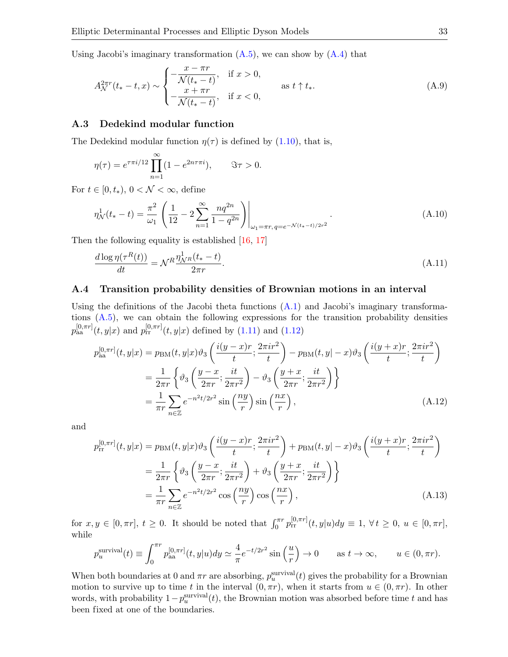Using Jacobi's imaginary transformation  $(A.5)$ , we can show by  $(A.4)$  that

<span id="page-32-0"></span>
$$
A_{\mathcal{N}}^{2\pi r}(t_{*}-t,x) \sim \begin{cases} -\frac{x-\pi r}{\mathcal{N}(t_{*}-t)}, & \text{if } x > 0, \\ -\frac{x+\pi r}{\mathcal{N}(t_{*}-t)}, & \text{if } x < 0, \end{cases} \qquad \text{as } t \uparrow t_{*}.
$$
 (A.9)

### A.3 Dedekind modular function

The Dedekind modular function  $\eta(\tau)$  is defined by [\(1.10\)](#page-3-4), that is,

$$
\eta(\tau) = e^{\tau \pi i/12} \prod_{n=1}^{\infty} (1 - e^{2n\tau \pi i}),
$$
  $\Im \tau > 0.$ 

For  $t \in [0, t_*)$ ,  $0 < \mathcal{N} < \infty$ , define

<span id="page-32-1"></span>
$$
\eta_{\mathcal{N}}^1(t_* - t) = \frac{\pi^2}{\omega_1} \left( \frac{1}{12} - 2 \sum_{n=1}^{\infty} \frac{nq^{2n}}{1 - q^{2n}} \right) \Big|_{\omega_1 = \pi r, q = e^{-\mathcal{N}(t_* - t)/2r^2}}.
$$
\n(A.10)

Then the following equality is established [\[16,](#page-34-5) [17\]](#page-34-6)

<span id="page-32-2"></span>
$$
\frac{d \log \eta(\tau^R(t))}{dt} = \mathcal{N}^R \frac{\eta_{\mathcal{N}^R}^1(t_* - t)}{2\pi r}.
$$
\n(A.11)

### A.4 Transition probability densities of Brownian motions in an interval

Using the definitions of the Jacobi theta functions  $(A.1)$  and Jacobi's imaginary transformations [\(A.5\)](#page-31-7), we can obtain the following expressions for the transition probability densities  $p_{aa}^{[0,\pi r]}(t, y|x)$  and  $p_{rr}^{[0,\pi r]}(t, y|x)$  defined by  $(1.11)$  and  $(1.12)$ 

$$
p_{aa}^{[0,\pi r]}(t,y|x) = p_{BM}(t,y|x)\vartheta_3\left(\frac{i(y-x)r}{t};\frac{2\pi ir^2}{t}\right) - p_{BM}(t,y|x) - x\vartheta_3\left(\frac{i(y+x)r}{t};\frac{2\pi ir^2}{t}\right)
$$

$$
= \frac{1}{2\pi r}\left\{\vartheta_3\left(\frac{y-x}{2\pi r};\frac{it}{2\pi r^2}\right) - \vartheta_3\left(\frac{y+x}{2\pi r};\frac{it}{2\pi r^2}\right)\right\}
$$

$$
= \frac{1}{\pi r}\sum_{n\in\mathbb{Z}}e^{-n^2t/2r^2}\sin\left(\frac{ny}{r}\right)\sin\left(\frac{nx}{r}\right),\tag{A.12}
$$

and

<span id="page-32-4"></span><span id="page-32-3"></span>
$$
p_{rr}^{[0,\pi r]}(t,y|x) = p_{BM}(t,y|x)\vartheta_3\left(\frac{i(y-x)r}{t};\frac{2\pi ir^2}{t}\right) + p_{BM}(t,y|x) + p_{BM}(t,y|x) + \vartheta_3\left(\frac{i(y+x)r}{t};\frac{2\pi ir^2}{t}\right)
$$

$$
= \frac{1}{2\pi r}\left\{\vartheta_3\left(\frac{y-x}{2\pi r};\frac{it}{2\pi r^2}\right) + \vartheta_3\left(\frac{y+x}{2\pi r};\frac{it}{2\pi r^2}\right)\right\}
$$

$$
= \frac{1}{\pi r}\sum_{n\in\mathbb{Z}}e^{-n^2t/2r^2}\cos\left(\frac{ny}{r}\right)\cos\left(\frac{nx}{r}\right),\tag{A.13}
$$

for  $x, y \in [0, \pi r]$ ,  $t \ge 0$ . It should be noted that  $\int_0^{\pi r} p_{rr}^{[0, \pi r]}(t, y | u) dy \equiv 1, \forall t \ge 0, u \in [0, \pi r]$ , while

$$
p_u^{\text{survival}}(t) \equiv \int_0^{\pi r} p_{aa}^{[0,\pi r]}(t,y|u) dy \simeq \frac{4}{\pi} e^{-t/2r^2} \sin\left(\frac{u}{r}\right) \to 0 \quad \text{as } t \to \infty, \qquad u \in (0,\pi r).
$$

When both boundaries at 0 and  $\pi r$  are absorbing,  $p_u^{\text{survival}}(t)$  gives the probability for a Brownian motion to survive up to time t in the interval  $(0, \pi r)$ , when it starts from  $u \in (0, \pi r)$ . In other words, with probability  $1-p_u^{\text{survival}}(t)$ , the Brownian motion was absorbed before time t and has been fixed at one of the boundaries.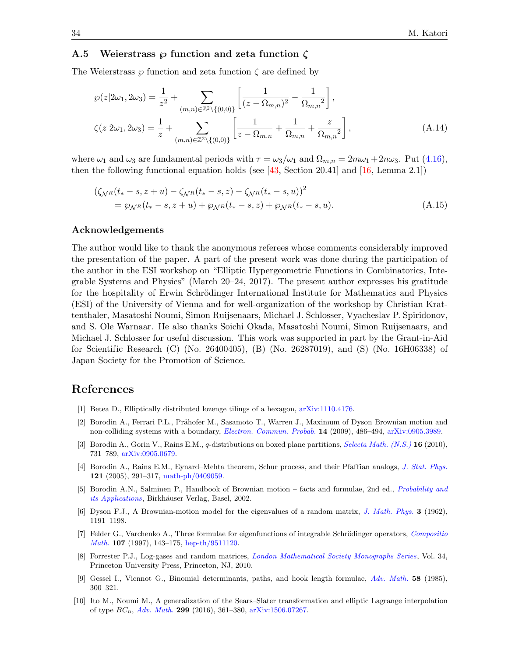### <span id="page-33-9"></span>A.5 Weierstrass  $\wp$  function and zeta function  $\zeta$

The Weierstrass  $\wp$  function and zeta function  $\zeta$  are defined by

<span id="page-33-8"></span>
$$
\wp(z|2\omega_1, 2\omega_3) = \frac{1}{z^2} + \sum_{(m,n)\in\mathbb{Z}^2\backslash\{(0,0)\}} \left[ \frac{1}{(z-\Omega_{m,n})^2} - \frac{1}{\Omega_{m,n}^2} \right],
$$
  

$$
\zeta(z|2\omega_1, 2\omega_3) = \frac{1}{z} + \sum_{(m,n)\in\mathbb{Z}^2\backslash\{(0,0)\}} \left[ \frac{1}{z-\Omega_{m,n}} + \frac{1}{\Omega_{m,n}} + \frac{z}{\Omega_{m,n}^2} \right],
$$
 (A.14)

where  $\omega_1$  and  $\omega_3$  are fundamental periods with  $\tau = \omega_3/\omega_1$  and  $\Omega_{m,n} = 2m\omega_1 + 2n\omega_3$ . Put [\(4.16\)](#page-22-3), then the following functional equation holds (see [\[43,](#page-35-5) Section 20.41] and [\[16,](#page-34-5) Lemma 2.1])

<span id="page-33-10"></span>
$$
(\zeta_{\mathcal{N}^R}(t_*-s, z+u) - \zeta_{\mathcal{N}^R}(t_*-s, z) - \zeta_{\mathcal{N}^R}(t_*-s, u))^2
$$
  
=  $\wp_{\mathcal{N}^R}(t_*-s, z+u) + \wp_{\mathcal{N}^R}(t_*-s, z) + \wp_{\mathcal{N}^R}(t_*-s, u).$  (A.15)

### Acknowledgements

The author would like to thank the anonymous referees whose comments considerably improved the presentation of the paper. A part of the present work was done during the participation of the author in the ESI workshop on "Elliptic Hypergeometric Functions in Combinatorics, Integrable Systems and Physics" (March 20–24, 2017). The present author expresses his gratitude for the hospitality of Erwin Schrödinger International Institute for Mathematics and Physics (ESI) of the University of Vienna and for well-organization of the workshop by Christian Krattenthaler, Masatoshi Noumi, Simon Ruijsenaars, Michael J. Schlosser, Vyacheslav P. Spiridonov, and S. Ole Warnaar. He also thanks Soichi Okada, Masatoshi Noumi, Simon Ruijsenaars, and Michael J. Schlosser for useful discussion. This work was supported in part by the Grant-in-Aid for Scientific Research (C) (No. 26400405), (B) (No. 26287019), and (S) (No. 16H06338) of Japan Society for the Promotion of Science.

## References

- <span id="page-33-11"></span>[1] Betea D., Elliptically distributed lozenge tilings of a hexagon, [arXiv:1110.4176.](https://arxiv.org/abs/1110.4176)
- <span id="page-33-5"></span>[2] Borodin A., Ferrari P.L., Prähofer M., Sasamoto T., Warren J., Maximum of Dyson Brownian motion and non-colliding systems with a boundary, *[Electron. Commun. Probab.](https://doi.org/10.1214/ECP.v14-1503)* 14 (2009), 486–494, [arXiv:0905.3989.](https://arxiv.org/abs/0905.3989)
- <span id="page-33-12"></span>[3] Borodin A., Gorin V., Rains E.M., q-distributions on boxed plane partitions, [Selecta Math. \(N.S.\)](https://doi.org/10.1007/s00029-010-0034-y) **16** (2010), 731–789, [arXiv:0905.0679.](https://arxiv.org/abs/0905.0679)
- <span id="page-33-0"></span>[4] Borodin A., Rains E.M., Eynard–Mehta theorem, Schur process, and their Pfaffian analogs, [J. Stat. Phys.](https://doi.org/10.1007/s10955-005-7583-z) 121 (2005), 291–317, [math-ph/0409059.](https://arxiv.org/abs/math-ph/0409059)
- <span id="page-33-2"></span>[5] Borodin A.N., Salminen P., Handbook of Brownian motion – facts and formulae, 2nd ed., [Probability and](https://doi.org/10.1007/978-3-0348-8163-0) *[its Applications](https://doi.org/10.1007/978-3-0348-8163-0)*, Birkhäuser Verlag, Basel, 2002.
- <span id="page-33-1"></span>[6] Dyson F.J., A Brownian-motion model for the eigenvalues of a random matrix, [J. Math. Phys.](https://doi.org/10.1063/1.1703862) 3 (1962), 1191–1198.
- <span id="page-33-4"></span>[7] Felder G., Varchenko A., Three formulae for eigenfunctions of integrable Schrödinger operators, [Compositio](https://doi.org/10.1023/A:1000138423050) [Math.](https://doi.org/10.1023/A:1000138423050) 107 (1997), 143–175, [hep-th/9511120.](https://arxiv.org/abs/hep-th/9511120)
- <span id="page-33-3"></span>[8] Forrester P.J., Log-gases and random matrices, [London Mathematical Society Monographs Series](https://doi.org/10.1515/9781400835416), Vol. 34, Princeton University Press, Princeton, NJ, 2010.
- <span id="page-33-7"></span>[9] Gessel I., Viennot G., Binomial determinants, paths, and hook length formulae, [Adv. Math.](https://doi.org/10.1016/0001-8708(85)90121-5) 58 (1985), 300–321.
- <span id="page-33-6"></span>[10] Ito M., Noumi M., A generalization of the Sears–Slater transformation and elliptic Lagrange interpolation of type  $BC_n$ , [Adv. Math.](https://doi.org/10.1016/j.aim.2016.05.016) 299 (2016), 361–380, [arXiv:1506.07267.](https://arxiv.org/abs/1506.07267)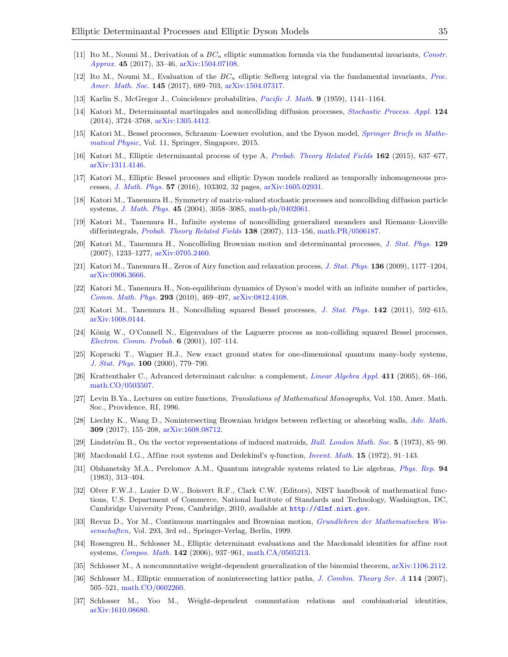- <span id="page-34-19"></span>[11] Ito M., Noumi M., Derivation of a  $BC_n$  elliptic summation formula via the fundamental invariants, [Constr.](https://doi.org/10.1007/s00365-016-9340-8) [Approx.](https://doi.org/10.1007/s00365-016-9340-8) 45 (2017), 33–46, [arXiv:1504.07108.](https://arxiv.org/abs/1504.07108)
- <span id="page-34-20"></span>[12] Ito M., Noumi M., Evaluation of the  $BC_n$  elliptic Selberg integral via the fundamental invariants, [Proc.](https://doi.org/10.1090/proc/13234) [Amer. Math. Soc.](https://doi.org/10.1090/proc/13234) 145 (2017), 689–703, [arXiv:1504.07317.](https://arxiv.org/abs/1504.07317)
- <span id="page-34-21"></span>[13] Karlin S., McGregor J., Coincidence probabilities, [Pacific J. Math.](https://doi.org/10.2140/pjm.1959.9.1141) 9 (1959), 1141–1164.
- <span id="page-34-2"></span>[14] Katori M., Determinantal martingales and noncolliding diffusion processes, *[Stochastic Process. Appl.](https://doi.org/10.1016/j.spa.2014.06.002)* 124 (2014), 3724–3768, [arXiv:1305.4412.](https://arxiv.org/abs/1305.4412)
- <span id="page-34-0"></span>[15] Katori M., Bessel processes, Schramm–Loewner evolution, and the Dyson model, [Springer Briefs in Mathe](https://doi.org/10.1007/978-981-10-0275-5)[matical Physic](https://doi.org/10.1007/978-981-10-0275-5), Vol. 11, Springer, Singapore, 2015.
- <span id="page-34-5"></span>[16] Katori M., Elliptic determinantal process of type A, [Probab. Theory Related Fields](https://doi.org/10.1007/s00440-014-0581-9) 162 (2015), 637–677, [arXiv:1311.4146.](https://arxiv.org/abs/1311.4146)
- <span id="page-34-6"></span>[17] Katori M., Elliptic Bessel processes and elliptic Dyson models realized as temporally inhomogeneous processes, [J. Math. Phys.](https://doi.org/10.1063/1.4964253) 57 (2016), 103302, 32 pages, [arXiv:1605.02931.](https://arxiv.org/abs/1605.02931)
- <span id="page-34-10"></span>[18] Katori M., Tanemura H., Symmetry of matrix-valued stochastic processes and noncolliding diffusion particle systems, [J. Math. Phys.](https://doi.org/10.1063/1.1765215) 45 (2004), 3058–3085, [math-ph/0402061.](https://arxiv.org/abs/math-ph/0402061)
- <span id="page-34-11"></span>[19] Katori M., Tanemura H., Infinite systems of noncolliding generalized meanders and Riemann–Liouville differintegrals, [Probab. Theory Related Fields](https://doi.org/10.1007/s00440-006-0015-4) 138 (2007), 113–156, [math.PR/0506187.](https://arxiv.org/abs/math.PR/0506187)
- <span id="page-34-1"></span>[20] Katori M., Tanemura H., Noncolliding Brownian motion and determinantal processes, [J. Stat. Phys.](https://doi.org/10.1007/s10955-007-9421-y) 129 (2007), 1233–1277, [arXiv:0705.2460.](https://arxiv.org/abs/0705.2460)
- <span id="page-34-16"></span>[21] Katori M., Tanemura H., Zeros of Airy function and relaxation process, [J. Stat. Phys.](https://doi.org/10.1007/s10955-009-9829-7) 136 (2009), 1177–1204, [arXiv:0906.3666.](https://arxiv.org/abs/0906.3666)
- <span id="page-34-15"></span>[22] Katori M., Tanemura H., Non-equilibrium dynamics of Dyson's model with an infinite number of particles, [Comm. Math. Phys.](https://doi.org/10.1007/s00220-009-0912-3) 293 (2010), 469–497, [arXiv:0812.4108.](https://arxiv.org/abs/0812.4108)
- <span id="page-34-12"></span>[23] Katori M., Tanemura H., Noncolliding squared Bessel processes, [J. Stat. Phys.](https://doi.org/10.1007/s10955-011-0117-y) 142 (2011), 592–615, [arXiv:1008.0144.](https://arxiv.org/abs/1008.0144)
- <span id="page-34-13"></span>[24] König W., O'Connell N., Eigenvalues of the Laguerre process as non-colliding squared Bessel processes, [Electron. Comm. Probab.](https://doi.org/10.1214/ECP.v6-1040) 6 (2001), 107–114.
- <span id="page-34-7"></span>[25] Koprucki T., Wagner H.J., New exact ground states for one-dimensional quantum many-body systems, [J. Stat. Phys.](https://doi.org/10.1023/A:1018683727464) 100 (2000), 779–790.
- <span id="page-34-4"></span>[26] Krattenthaler C., Advanced determinant calculus: a complement, [Linear Algebra Appl.](https://doi.org/10.1016/j.laa.2005.06.042) 411 (2005), 68–166, [math.CO/0503507.](https://arxiv.org/abs/math.CO/0503507)
- <span id="page-34-17"></span>[27] Levin B.Ya., Lectures on entire functions, Translations of Mathematical Monographs, Vol. 150, Amer. Math. Soc., Providence, RI, 1996.
- <span id="page-34-14"></span>[28] Liechty K., Wang D., Nonintersecting Brownian bridges between reflecting or absorbing walls, [Adv. Math.](https://doi.org/10.1016/j.aim.2016.10.024) 309 (2017), 155–208, [arXiv:1608.08712.](https://arxiv.org/abs/1608.08712)
- <span id="page-34-22"></span>[29] Lindström B., On the vector representations of induced matroids, *[Bull. London Math. Soc.](https://doi.org/10.1112/blms/5.1.85)* 5 (1973), 85–90.
- <span id="page-34-23"></span>[30] Macdonald I.G., Affine root systems and Dedekind's  $\eta$ -function, *[Invent. Math.](https://doi.org/10.1007/BF01418931)* 15 (1972), 91–143.
- <span id="page-34-8"></span>[31] Olshanetsky M.A., Perelomov A.M., Quantum integrable systems related to Lie algebras, [Phys. Rep.](https://doi.org/10.1016/0370-1573(83)90018-2) 94 (1983), 313–404.
- <span id="page-34-9"></span>[32] Olver F.W.J., Lozier D.W., Boisvert R.F., Clark C.W. (Editors), NIST handbook of mathematical functions, U.S. Department of Commerce, National Institute of Standards and Technology, Washington, DC, Cambridge University Press, Cambridge, 2010, available at <http://dlmf.nist.gov>.
- <span id="page-34-18"></span>[33] Revuz D., Yor M., Continuous martingales and Brownian motion, [Grundlehren der Mathematischen Wis](https://doi.org/10.1007/978-3-662-06400-9)[senschaften](https://doi.org/10.1007/978-3-662-06400-9), Vol. 293, 3rd ed., Springer-Verlag, Berlin, 1999.
- <span id="page-34-3"></span>[34] Rosengren H., Schlosser M., Elliptic determinant evaluations and the Macdonald identities for affine root systems, [Compos. Math.](https://doi.org/10.1112/S0010437X0600203X) 142 (2006), 937–961, [math.CA/0505213.](https://arxiv.org/abs/math.CA/0505213)
- <span id="page-34-24"></span>[35] Schlosser M., A noncommutative weight-dependent generalization of the binomial theorem, [arXiv:1106.2112.](https://arxiv.org/abs/1106.2112)
- <span id="page-34-25"></span>[36] Schlosser M., Elliptic enumeration of nonintersecting lattice paths, [J. Combin. Theory Ser. A](https://doi.org/10.1016/j.jcta.2006.07.002) 114 (2007), 505–521, [math.CO/0602260.](https://arxiv.org/abs/math.CO/0602260)
- <span id="page-34-26"></span>[37] Schlosser M., Yoo M., Weight-dependent commutation relations and combinatorial identities, [arXiv:1610.08680.](https://arxiv.org/abs/1610.08680)